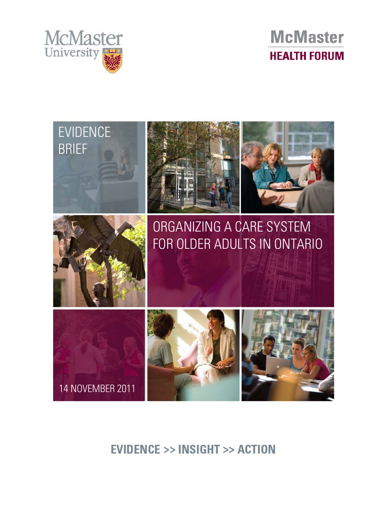





**EVIDENCE >> INSIGHT >> ACTION**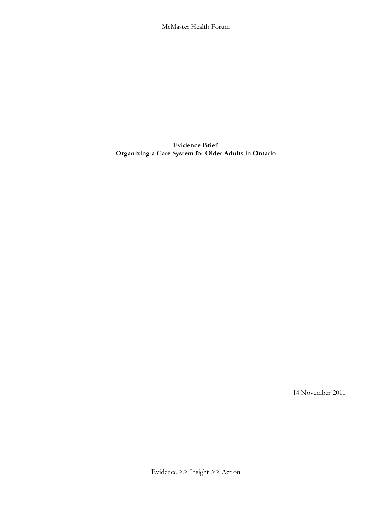**Evidence Brief: Organizing a Care System for Older Adults in Ontario**

14 November 2011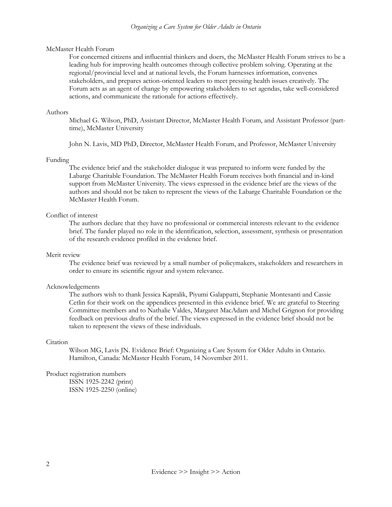#### *Organizing a Care System for Older Adults in Ontario*

#### McMaster Health Forum

For concerned citizens and influential thinkers and doers, the McMaster Health Forum strives to be a leading hub for improving health outcomes through collective problem solving. Operating at the regional/provincial level and at national levels, the Forum harnesses information, convenes stakeholders, and prepares action-oriented leaders to meet pressing health issues creatively. The Forum acts as an agent of change by empowering stakeholders to set agendas, take well-considered actions, and communicate the rationale for actions effectively.

#### Authors

Michael G. Wilson, PhD, Assistant Director, McMaster Health Forum, and Assistant Professor (parttime), McMaster University

John N. Lavis, MD PhD, Director, McMaster Health Forum, and Professor, McMaster University

#### Funding

The evidence brief and the stakeholder dialogue it was prepared to inform were funded by the Labarge Charitable Foundation. The McMaster Health Forum receives both financial and in-kind support from McMaster University. The views expressed in the evidence brief are the views of the authors and should not be taken to represent the views of the Labarge Charitable Foundation or the McMaster Health Forum.

#### Conflict of interest

The authors declare that they have no professional or commercial interests relevant to the evidence brief. The funder played no role in the identification, selection, assessment, synthesis or presentation of the research evidence profiled in the evidence brief.

#### Merit review

The evidence brief was reviewed by a small number of policymakers, stakeholders and researchers in order to ensure its scientific rigour and system relevance.

#### Acknowledgements

The authors wish to thank Jessica Kapralik, Piyumi Galappatti, Stephanie Montesanti and Cassie Cetlin for their work on the appendices presented in this evidence brief. We are grateful to Steering Committee members and to Nathalie Valdes, Margaret MacAdam and Michel Grignon for providing feedback on previous drafts of the brief. The views expressed in the evidence brief should not be taken to represent the views of these individuals.

#### **Citation**

Wilson MG, Lavis JN. Evidence Brief: Organizing a Care System for Older Adults in Ontario. Hamilton, Canada: McMaster Health Forum, 14 November 2011.

#### Product registration numbers

ISSN 1925-2242 (print) ISSN 1925-2250 (online)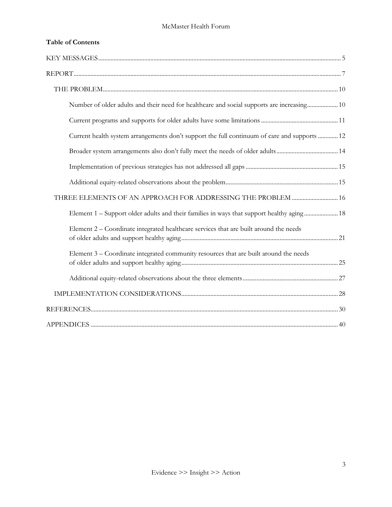| <b>Table of Contents</b>                                                                     |  |
|----------------------------------------------------------------------------------------------|--|
|                                                                                              |  |
|                                                                                              |  |
|                                                                                              |  |
| Number of older adults and their need for healthcare and social supports are increasing 10   |  |
|                                                                                              |  |
| Current health system arrangements don't support the full continuum of care and supports  12 |  |
|                                                                                              |  |
|                                                                                              |  |
|                                                                                              |  |
| THREE ELEMENTS OF AN APPROACH FOR ADDRESSING THE PROBLEM  16                                 |  |
| Element 1 – Support older adults and their families in ways that support healthy aging 18    |  |
| Element 2 – Coordinate integrated healthcare services that are built around the needs        |  |
| Element 3 – Coordinate integrated community resources that are built around the needs        |  |
|                                                                                              |  |
|                                                                                              |  |
|                                                                                              |  |
|                                                                                              |  |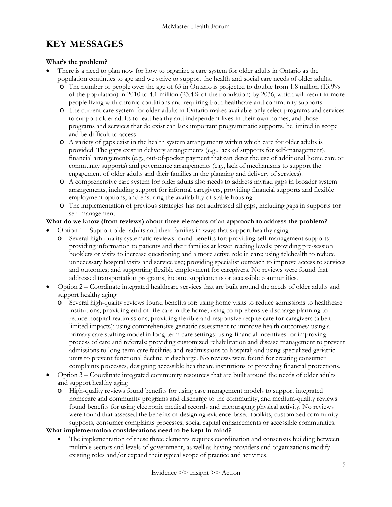## <span id="page-5-0"></span>**KEY MESSAGES**

## **What's the problem?**

- There is a need to plan now for how to organize a care system for older adults in Ontario as the population continues to age and we strive to support the health and social care needs of older adults.
	- o The number of people over the age of 65 in Ontario is projected to double from 1.8 million (13.9% of the population) in 2010 to 4.1 million (23.4% of the population) by 2036, which will result in more people living with chronic conditions and requiring both healthcare and community supports.
	- o The current care system for older adults in Ontario makes available only select programs and services to support older adults to lead healthy and independent lives in their own homes, and those programs and services that do exist can lack important programmatic supports, be limited in scope and be difficult to access.
	- o A variety of gaps exist in the health system arrangements within which care for older adults is provided. The gaps exist in delivery arrangements (e.g., lack of supports for self-management), financial arrangements (e.g., out-of-pocket payment that can deter the use of additional home care or community supports) and governance arrangements (e.g., lack of mechanisms to support the engagement of older adults and their families in the planning and delivery of services).
	- o A comprehensive care system for older adults also needs to address myriad gaps in broader system arrangements, including support for informal caregivers, providing financial supports and flexible employment options, and ensuring the availability of stable housing.
	- o The implementation of previous strategies has not addressed all gaps, including gaps in supports for self-management.

## **What do we know (from reviews) about three elements of an approach to address the problem?**

• Option 1 – Support older adults and their families in ways that support healthy aging

- Several high-quality systematic reviews found benefits for: providing self-management supports; providing information to patients and their families at lower reading levels; providing pre-session booklets or visits to increase questioning and a more active role in care; using telehealth to reduce unnecessary hospital visits and service use; providing specialist outreach to improve access to services and outcomes; and supporting flexible employment for caregivers. No reviews were found that addressed transportation programs, income supplements or accessible communities.
- Option 2 Coordinate integrated healthcare services that are built around the needs of older adults and support healthy aging
	- o Several high-quality reviews found benefits for: using home visits to reduce admissions to healthcare institutions; providing end-of-life care in the home; using comprehensive discharge planning to reduce hospital readmissions; providing flexible and responsive respite care for caregivers (albeit limited impacts); using comprehensive geriatric assessment to improve health outcomes; using a primary care staffing model in long-term care settings; using financial incentives for improving process of care and referrals; providing customized rehabilitation and disease management to prevent admissions to long-term care facilities and readmissions to hospital; and using specialized geriatric units to prevent functional decline at discharge. No reviews were found for creating consumer complaints processes, designing accessible healthcare institutions or providing financial protections.
- Option 3 Coordinate integrated community resources that are built around the needs of older adults and support healthy aging
	- o High-quality reviews found benefits for using case management models to support integrated homecare and community programs and discharge to the community, and medium-quality reviews found benefits for using electronic medical records and encouraging physical activity. No reviews were found that assessed the benefits of designing evidence-based toolkits, customized community supports, consumer complaints processes, social capital enhancements or accessible communities.

## **What implementation considerations need to be kept in mind?**

The implementation of these three elements requires coordination and consensus building between multiple sectors and levels of government, as well as having providers and organizations modify existing roles and/or expand their typical scope of practice and activities.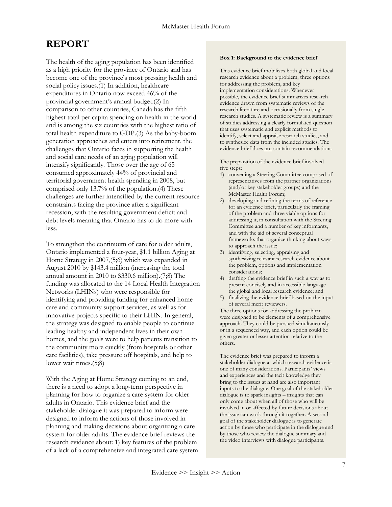# <span id="page-7-0"></span>**REPORT**

The health of the aging population has been identified as a high priority for the province of Ontario and has become one of the province's most pressing health and social policy issues.(1) In addition, healthcare expenditures in Ontario now exceed 46% of the provincial government's annual budget.(2) In comparison to other countries, Canada has the fifth highest total per capita spending on health in the world and is among the six countries with the highest ratio of total health expenditure to GDP.(3) As the baby-boom generation approaches and enters into retirement, the challenges that Ontario faces in supporting the health and social care needs of an aging population will intensify significantly. Those over the age of 65 consumed approximately 44% of provincial and territorial government health spending in 2008, but comprised only 13.7% of the population.(4) These challenges are further intensified by the current resource constraints facing the province after a significant recession, with the resulting government deficit and debt levels meaning that Ontario has to do more with less.

To strengthen the continuum of care for older adults, Ontario implemented a four-year, \$1.1 billion Aging at Home Strategy in 2007,(5;6) which was expanded in August 2010 by \$143.4 million (increasing the total annual amount in 2010 to \$330.6 million).(7;8) The funding was allocated to the 14 Local Health Integration Networks (LHINs) who were responsible for identifying and providing funding for enhanced home care and community support services, as well as for innovative projects specific to their LHIN. In general, the strategy was designed to enable people to continue leading healthy and independent lives in their own homes, and the goals were to help patients transition to the community more quickly (from hospitals or other care facilities), take pressure off hospitals, and help to lower wait times.(5;8)

With the Aging at Home Strategy coming to an end, there is a need to adopt a long-term perspective in planning for how to organize a care system for older adults in Ontario. This evidence brief and the stakeholder dialogue it was prepared to inform were designed to inform the actions of those involved in planning and making decisions about organizing a care system for older adults. The evidence brief reviews the research evidence about: 1) key features of the problem of a lack of a comprehensive and integrated care system

#### **Box 1: Background to the evidence brief**

This evidence brief mobilizes both global and local research evidence about a problem, three options for addressing the problem, and key implementation considerations. Whenever possible, the evidence brief summarizes research evidence drawn from systematic reviews of the research literature and occasionally from single research studies. A systematic review is a summary of studies addressing a clearly formulated question that uses systematic and explicit methods to identify, select and appraise research studies, and to synthesize data from the included studies. The evidence brief does not contain recommendations.

The preparation of the evidence brief involved five steps:

- 1) convening a Steering Committee comprised of representatives from the partner organizations (and/or key stakeholder groups) and the McMaster Health Forum;
- 2) developing and refining the terms of reference for an evidence brief, particularly the framing of the problem and three viable options for addressing it, in consultation with the Steering Committee and a number of key informants, and with the aid of several conceptual frameworks that organize thinking about ways to approach the issue;
- 3) identifying, selecting, appraising and synthesizing relevant research evidence about the problem, options and implementation considerations;
- 4) drafting the evidence brief in such a way as to present concisely and in accessible language the global and local research evidence; and
- 5) finalizing the evidence brief based on the input of several merit reviewers.

The three options for addressing the problem were designed to be elements of a comprehensive approach. They could be pursued simultaneously or in a sequenced way, and each option could be given greater or lesser attention relative to the others.

The evidence brief was prepared to inform a stakeholder dialogue at which research evidence is one of many considerations. Participants' views and experiences and the tacit knowledge they bring to the issues at hand are also important inputs to the dialogue. One goal of the stakeholder dialogue is to spark insights – insights that can only come about when all of those who will be involved in or affected by future decisions about the issue can work through it together. A second goal of the stakeholder dialogue is to generate action by those who participate in the dialogue and by those who review the dialogue summary and the video interviews with dialogue participants.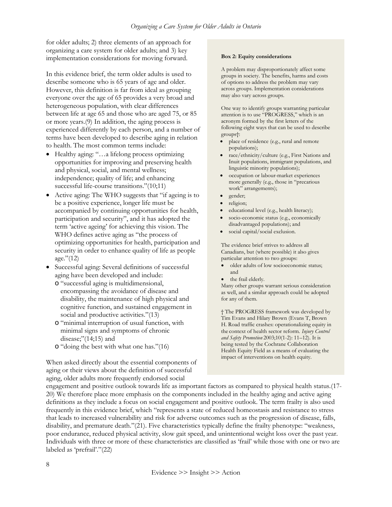for older adults; 2) three elements of an approach for organizing a care system for older adults; and 3) key implementation considerations for moving forward.

In this evidence brief, the term older adults is used to describe someone who is 65 years of age and older. However, this definition is far from ideal as grouping everyone over the age of 65 provides a very broad and heterogeneous population, with clear differences between life at age 65 and those who are aged 75, or 85 or more years.(9) In addition, the aging process is experienced differently by each person, and a number of terms have been developed to describe aging in relation to health. The most common terms include:

- Healthy aging: "…a lifelong process optimizing opportunities for improving and preserving health and physical, social, and mental wellness; independence; quality of life; and enhancing successful life-course transitions."(10;11)
- Active aging: The WHO suggests that "if ageing is to be a positive experience, longer life must be accompanied by continuing opportunities for health, participation and security", and it has adopted the term 'active ageing' for achieving this vision. The WHO defines active aging as "the process of optimizing opportunities for health, participation and security in order to enhance quality of life as people age."(12)
- Successful aging: Several definitions of successful aging have been developed and include:
	- o "successful aging is multidimensional, encompassing the avoidance of disease and disability, the maintenance of high physical and cognitive function, and sustained engagement in social and productive activities."(13)
	- o "minimal interruption of usual function, with minimal signs and symptoms of chronic disease;"(14;15) and
	- o "doing the best with what one has."(16)

When asked directly about the essential components of aging or their views about the definition of successful aging, older adults more frequently endorsed social

#### **Box 2: Equity considerations**

A problem may disproportionately affect some groups in society. The benefits, harms and costs of options to address the problem may vary across groups. Implementation considerations may also vary across groups.

One way to identify groups warranting particular attention is to use "PROGRESS," which is an acronym formed by the first letters of the following eight ways that can be used to describe groups†:

- place of residence (e.g., rural and remote populations);
- race/ethnicity/culture (e.g., First Nations and Inuit populations, immigrant populations, and linguistic minority populations);
- occupation or labour-market experiences more generally (e.g., those in "precarious work" arrangements);
- gender;
- religion;
- educational level (e.g., health literacy);
- socio-economic status (e.g., economically disadvantaged populations); and
- social capital/social exclusion.

The evidence brief strives to address all Canadians, but (where possible) it also gives particular attention to two groups:

- older adults of low socioeconomic status; and
- the frail elderly.

Many other groups warrant serious consideration as well, and a similar approach could be adopted for any of them.

† The PROGRESS framework was developed by Tim Evans and Hilary Brown (Evans T, Brown H. Road traffic crashes: operationalizing equity in the context of health sector reform. *Injury Control and Safety Promotion* 2003;10(1-2): 11–12). It is being tested by the Cochrane Collaboration Health Equity Field as a means of evaluating the impact of interventions on health equity.

engagement and positive outlook towards life as important factors as compared to physical health status.(17- 20) We therefore place more emphasis on the components included in the healthy aging and active aging definitions as they include a focus on social engagement and positive outlook. The term frailty is also used frequently in this evidence brief, which "represents a state of reduced homeostasis and resistance to stress that leads to increased vulnerability and risk for adverse outcomes such as the progression of disease, falls, disability, and premature death."(21). Five characteristics typically define the frailty phenotype: "weakness, poor endurance, reduced physical activity, slow gait speed, and unintentional weight loss over the past year. Individuals with three or more of these characteristics are classified as 'frail' while those with one or two are labeled as 'prefrail'."(22)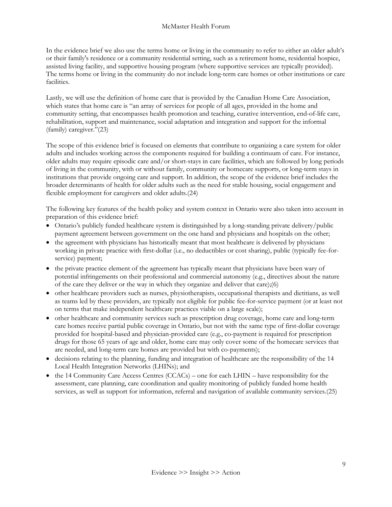In the evidence brief we also use the terms home or living in the community to refer to either an older adult's or their family's residence or a community residential setting, such as a retirement home, residential hospice, assisted living facility, and supportive housing program (where supportive services are typically provided). The terms home or living in the community do not include long-term care homes or other institutions or care facilities.

Lastly, we will use the definition of home care that is provided by the Canadian Home Care Association, which states that home care is "an array of services for people of all ages, provided in the home and community setting, that encompasses health promotion and teaching, curative intervention, end-of-life care, rehabilitation, support and maintenance, social adaptation and integration and support for the informal (family) caregiver."(23)

The scope of this evidence brief is focused on elements that contribute to organizing a care system for older adults and includes working across the components required for building a continuum of care. For instance, older adults may require episodic care and/or short-stays in care facilities, which are followed by long periods of living in the community, with or without family, community or homecare supports, or long-term stays in institutions that provide ongoing care and support. In addition, the scope of the evidence brief includes the broader determinants of health for older adults such as the need for stable housing, social engagement and flexible employment for caregivers and older adults.(24)

The following key features of the health policy and system context in Ontario were also taken into account in preparation of this evidence brief:

- Ontario's publicly funded healthcare system is distinguished by a long-standing private delivery/public payment agreement between government on the one hand and physicians and hospitals on the other;
- the agreement with physicians has historically meant that most healthcare is delivered by physicians working in private practice with first-dollar (i.e., no deductibles or cost sharing), public (typically fee-forservice) payment;
- the private practice element of the agreement has typically meant that physicians have been wary of potential infringements on their professional and commercial autonomy (e.g., directives about the nature of the care they deliver or the way in which they organize and deliver that care);(6)
- other healthcare providers such as nurses, physiotherapists, occupational therapists and dietitians, as well as teams led by these providers, are typically not eligible for public fee-for-service payment (or at least not on terms that make independent healthcare practices viable on a large scale);
- other healthcare and community services such as prescription drug coverage, home care and long-term care homes receive partial public coverage in Ontario, but not with the same type of first-dollar coverage provided for hospital-based and physician-provided care (e.g., co-payment is required for prescription drugs for those 65 years of age and older, home care may only cover some of the homecare services that are needed, and long-term care homes are provided but with co-payments);
- decisions relating to the planning, funding and integration of healthcare are the responsibility of the 14 Local Health Integration Networks (LHINs); and
- the 14 Community Care Access Centres (CCACs) one for each LHIN have responsibility for the assessment, care planning, care coordination and quality monitoring of publicly funded home health services, as well as support for information, referral and navigation of available community services.(25)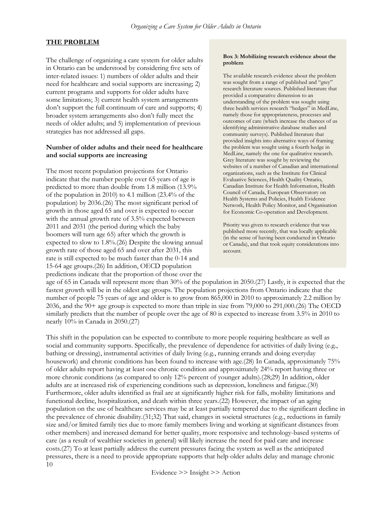## <span id="page-10-0"></span>**THE PROBLEM**

The challenge of organizing a care system for older adults in Ontario can be understood by considering five sets of inter-related issues: 1) numbers of older adults and their need for healthcare and social supports are increasing; 2) current programs and supports for older adults have some limitations; 3) current health system arrangements don't support the full continuum of care and supports; 4) broader system arrangements also don't fully meet the needs of older adults; and 5) implementation of previous strategies has not addressed all gaps.

#### <span id="page-10-1"></span>**Number of older adults and their need for healthcare and social supports are increasing**

The most recent population projections for Ontario indicate that the number people over 65 years of age is predicted to more than double from 1.8 million (13.9% of the population in 2010) to 4.1 million (23.4% of the population) by 2036.(26) The most significant period of growth in those aged 65 and over is expected to occur with the annual growth rate of 3.5% expected between 2011 and 2031 (the period during which the baby boomers will turn age 65) after which the growth is expected to slow to 1.8%.(26) Despite the slowing annual growth rate of those aged 65 and over after 2031, this rate is still expected to be much faster than the 0-14 and 15-64 age groups.(26) In addition, OECD population predictions indicate that the proportion of those over the

#### **Box 3: Mobilizing research evidence about the problem**

The available research evidence about the problem was sought from a range of published and "grey" research literature sources. Published literature that provided a comparative dimension to an understanding of the problem was sought using three health services research "hedges" in MedLine, namely those for appropriateness, processes and outcomes of care (which increase the chances of us identifying administrative database studies and community surveys). Published literature that provided insights into alternative ways of framing the problem was sought using a fourth hedge in MedLine, namely the one for qualitative research. Grey literature was sought by reviewing the websites of a number of Canadian and international organizations, such as the Institute for Clinical Evaluative Sciences, Health Quality Ontario, Canadian Institute for Health Information, Health Council of Canada, European Observatory on Health Systems and Policies, Health Evidence Network, Health Policy Monitor, and Organisation for Economic Co-operation and Development.

Priority was given to research evidence that was published more recently, that was locally applicable (in the sense of having been conducted in Ontario or Canada), and that took equity considerations into account.

age of 65 in Canada will represent more than 30% of the population in 2050.(27) Lastly, it is expected that the fastest growth will be in the oldest age groups. The population projections from Ontario indicate that the number of people 75 years of age and older is to grow from 865,000 in 2010 to approximately 2.2 million by 2036, and the 90+ age group is expected to more than triple in size from 79,000 to 291,000.(26) The OECD similarly predicts that the number of people over the age of 80 is expected to increase from 3.5% in 2010 to nearly 10% in Canada in 2050.(27)

10 This shift in the population can be expected to contribute to more people requiring healthcare as well as social and community supports. Specifically, the prevalence of dependence for activities of daily living (e.g., bathing or dressing), instrumental activities of daily living (e.g., running errands and doing everyday housework) and chronic conditions has been found to increase with age.(28) In Canada, approximately 75% of older adults report having at least one chronic condition and approximately 24% report having three or more chronic conditions (as compared to only 12% percent of younger adults).(28;29) In addition, older adults are at increased risk of experiencing conditions such as depression, loneliness and fatigue.(30) Furthermore, older adults identified as frail are at significantly higher risk for falls, mobility limitations and functional decline, hospitalization, and death within three years.(22) However, the impact of an aging population on the use of healthcare services may be at least partially tempered due to the significant decline in the prevalence of chronic disability.(31;32) That said, changes in societal structures (e.g., reductions in family size and/or limited family ties due to more family members living and working at significant distances from other members) and increased demand for better quality, more responsive and technology-based systems of care (as a result of wealthier societies in general) will likely increase the need for paid care and increase costs.(27) To at least partially address the current pressures facing the system as well as the anticipated pressures, there is a need to provide appropriate supports that help older adults delay and manage chronic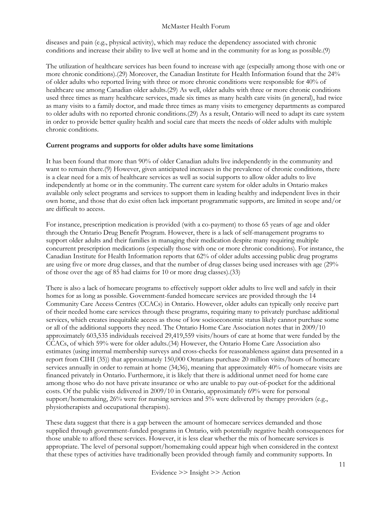diseases and pain (e.g., physical activity), which may reduce the dependency associated with chronic conditions and increase their ability to live well at home and in the community for as long as possible.(9)

The utilization of healthcare services has been found to increase with age (especially among those with one or more chronic conditions).(29) Moreover, the Canadian Institute for Health Information found that the 24% of older adults who reported living with three or more chronic conditions were responsible for 40% of healthcare use among Canadian older adults.(29) As well, older adults with three or more chronic conditions used three times as many healthcare services, made six times as many health care visits (in general), had twice as many visits to a family doctor, and made three times as many visits to emergency departments as compared to older adults with no reported chronic conditions.(29) As a result, Ontario will need to adapt its care system in order to provide better quality health and social care that meets the needs of older adults with multiple chronic conditions.

#### <span id="page-11-0"></span>**Current programs and supports for older adults have some limitations**

It has been found that more than 90% of older Canadian adults live independently in the community and want to remain there.(9) However, given anticipated increases in the prevalence of chronic conditions, there is a clear need for a mix of healthcare services as well as social supports to allow older adults to live independently at home or in the community. The current care system for older adults in Ontario makes available only select programs and services to support them in leading healthy and independent lives in their own home, and those that do exist often lack important programmatic supports, are limited in scope and/or are difficult to access.

For instance, prescription medication is provided (with a co-payment) to those 65 years of age and older through the Ontario Drug Benefit Program. However, there is a lack of self-management programs to support older adults and their families in managing their medication despite many requiring multiple concurrent prescription medications (especially those with one or more chronic conditions). For instance, the Canadian Institute for Health Information reports that 62% of older adults accessing public drug programs are using five or more drug classes, and that the number of drug classes being used increases with age (29% of those over the age of 85 had claims for 10 or more drug classes).(33)

There is also a lack of homecare programs to effectively support older adults to live well and safely in their homes for as long as possible. Government-funded homecare services are provided through the 14 Community Care Access Centres (CCACs) in Ontario. However, older adults can typically only receive part of their needed home care services through these programs, requiring many to privately purchase additional services, which creates inequitable access as those of low socioeconomic status likely cannot purchase some or all of the additional supports they need. The Ontario Home Care Association notes that in 2009/10 approximately 603,535 individuals received 29,419,559 visits/hours of care at home that were funded by the CCACs, of which 59% were for older adults.(34) However, the Ontario Home Care Association also estimates (using internal membership surveys and cross-checks for reasonableness against data presented in a report from CIHI (35)) that approximately 150,000 Ontarians purchase 20 million visits/hours of homecare services annually in order to remain at home (34;36), meaning that approximately 40% of homecare visits are financed privately in Ontario. Furthermore, it is likely that there is additional unmet need for home care among those who do not have private insurance or who are unable to pay out-of-pocket for the additional costs. Of the public visits delivered in 2009/10 in Ontario, approximately 69% were for personal support/homemaking, 26% were for nursing services and 5% were delivered by therapy providers (e.g., physiotherapists and occupational therapists).

These data suggest that there is a gap between the amount of homecare services demanded and those supplied through government-funded programs in Ontario, with potentially negative health consequences for those unable to afford these services. However, it is less clear whether the mix of homecare services is appropriate. The level of personal support/homemaking could appear high when considered in the context that these types of activities have traditionally been provided through family and community supports. In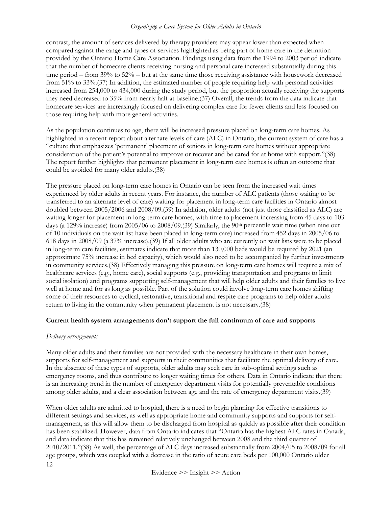## *Organizing a Care System for Older Adults in Ontario*

contrast, the amount of services delivered by therapy providers may appear lower than expected when compared against the range and types of services highlighted as being part of home care in the definition provided by the Ontario Home Care Association. Findings using data from the 1994 to 2003 period indicate that the number of homecare clients receiving nursing and personal care increased substantially during this time period – from 39% to 52% – but at the same time those receiving assistance with housework decreased from 51% to 33%.(37) In addition, the estimated number of people requiring help with personal activities increased from 254,000 to 434,000 during the study period, but the proportion actually receiving the supports they need decreased to 35% from nearly half at baseline.(37) Overall, the trends from the data indicate that homecare services are increasingly focused on delivering complex care for fewer clients and less focused on those requiring help with more general activities.

As the population continues to age, there will be increased pressure placed on long-term care homes. As highlighted in a recent report about alternate levels of care (ALC) in Ontario, the current system of care has a "culture that emphasizes 'permanent' placement of seniors in long-term care homes without appropriate consideration of the patient's potential to improve or recover and be cared for at home with support."(38) The report further highlights that permanent placement in long-term care homes is often an outcome that could be avoided for many older adults.(38)

The pressure placed on long-term care homes in Ontario can be seen from the increased wait times experienced by older adults in recent years. For instance, the number of ALC patients (those waiting to be transferred to an alternate level of care) waiting for placement in long-term care facilities in Ontario almost doubled between 2005/2006 and 2008/09.(39) In addition, older adults (not just those classified as ALC) are waiting longer for placement in long-term care homes, with time to placement increasing from 45 days to 103 days (a 129% increase) from 2005/06 to 2008/09.(39) Similarly, the 90<sup>th</sup> percentile wait time (when nine out of 10 individuals on the wait list have been placed in long-term care) increased from 452 days in 2005/06 to 618 days in 2008/09 (a 37% increase).(39) If all older adults who are currently on wait lists were to be placed in long-term care facilities, estimates indicate that more than 130,000 beds would be required by 2021 (an approximate 75% increase in bed capacity), which would also need to be accompanied by further investments in community services.(38) Effectively managing this pressure on long-term care homes will require a mix of healthcare services (e.g., home care), social supports (e.g., providing transportation and programs to limit social isolation) and programs supporting self-management that will help older adults and their families to live well at home and for as long as possible. Part of the solution could involve long-term care homes shifting some of their resources to cyclical, restorative, transitional and respite care programs to help older adults return to living in the community when permanent placement is not necessary.(38)

## <span id="page-12-0"></span>**Current health system arrangements don't support the full continuum of care and supports**

## *Delivery arrangements*

Many older adults and their families are not provided with the necessary healthcare in their own homes, supports for self-management and supports in their communities that facilitate the optimal delivery of care. In the absence of these types of supports, older adults may seek care in sub-optimal settings such as emergency rooms, and thus contribute to longer waiting times for others. Data in Ontario indicate that there is an increasing trend in the number of emergency department visits for potentially preventable conditions among older adults, and a clear association between age and the rate of emergency department visits.(39)

12 When older adults are admitted to hospital, there is a need to begin planning for effective transitions to different settings and services, as well as appropriate home and community supports and supports for selfmanagement, as this will allow them to be discharged from hospital as quickly as possible after their condition has been stabilized. However, data from Ontario indicates that "Ontario has the highest ALC rates in Canada, and data indicate that this has remained relatively unchanged between 2008 and the third quarter of 2010/2011."(38) As well, the percentage of ALC days increased substantially from 2004/05 to 2008/09 for all age groups, which was coupled with a decrease in the ratio of acute care beds per 100,000 Ontario older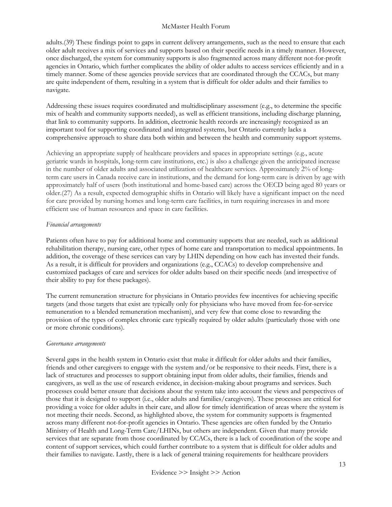adults.(39) These findings point to gaps in current delivery arrangements, such as the need to ensure that each older adult receives a mix of services and supports based on their specific needs in a timely manner. However, once discharged, the system for community supports is also fragmented across many different not-for-profit agencies in Ontario, which further complicates the ability of older adults to access services efficiently and in a timely manner. Some of these agencies provide services that are coordinated through the CCACs, but many are quite independent of them, resulting in a system that is difficult for older adults and their families to navigate.

Addressing these issues requires coordinated and multidisciplinary assessment (e.g., to determine the specific mix of health and community supports needed), as well as efficient transitions, including discharge planning, that link to community supports. In addition, electronic health records are increasingly recognized as an important tool for supporting coordinated and integrated systems, but Ontario currently lacks a comprehensive approach to share data both within and between the health and community support systems.

Achieving an appropriate supply of healthcare providers and spaces in appropriate settings (e.g., acute geriatric wards in hospitals, long-term care institutions, etc.) is also a challenge given the anticipated increase in the number of older adults and associated utilization of healthcare services. Approximately 2% of longterm care users in Canada receive care in institutions, and the demand for long-term care is driven by age with approximately half of users (both institutional and home-based care) across the OECD being aged 80 years or older.(27) As a result, expected demographic shifts in Ontario will likely have a significant impact on the need for care provided by nursing homes and long-term care facilities, in turn requiring increases in and more efficient use of human resources and space in care facilities.

#### *Financial arrangements*

Patients often have to pay for additional home and community supports that are needed, such as additional rehabilitation therapy, nursing care, other types of home care and transportation to medical appointments. In addition, the coverage of these services can vary by LHIN depending on how each has invested their funds. As a result, it is difficult for providers and organizations (e.g., CCACs) to develop comprehensive and customized packages of care and services for older adults based on their specific needs (and irrespective of their ability to pay for these packages).

The current remuneration structure for physicians in Ontario provides few incentives for achieving specific targets (and those targets that exist are typically only for physicians who have moved from fee-for-service remuneration to a blended remuneration mechanism), and very few that come close to rewarding the provision of the types of complex chronic care typically required by older adults (particularly those with one or more chronic conditions).

## *Governance arrangements*

Several gaps in the health system in Ontario exist that make it difficult for older adults and their families, friends and other caregivers to engage with the system and/or be responsive to their needs. First, there is a lack of structures and processes to support obtaining input from older adults, their families, friends and caregivers, as well as the use of research evidence, in decision-making about programs and services. Such processes could better ensure that decisions about the system take into account the views and perspectives of those that it is designed to support (i.e., older adults and families/caregivers). These processes are critical for providing a voice for older adults in their care, and allow for timely identification of areas where the system is not meeting their needs. Second, as highlighted above, the system for community supports is fragmented across many different not-for-profit agencies in Ontario. These agencies are often funded by the Ontario Ministry of Health and Long-Term Care/LHINs, but others are independent. Given that many provide services that are separate from those coordinated by CCACs, there is a lack of coordination of the scope and content of support services, which could further contribute to a system that is difficult for older adults and their families to navigate. Lastly, there is a lack of general training requirements for healthcare providers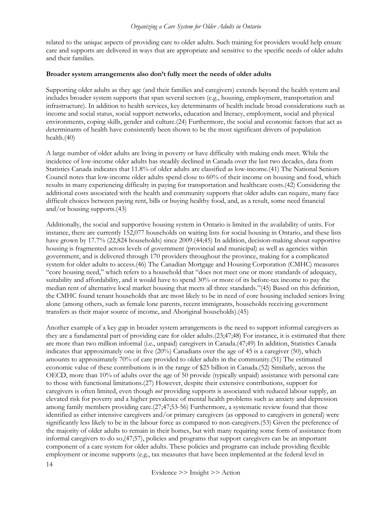related to the unique aspects of providing care to older adults. Such training for providers would help ensure care and supports are delivered in ways that are appropriate and sensitive to the specific needs of older adults and their families.

#### <span id="page-14-0"></span>**Broader system arrangements also don't fully meet the needs of older adults**

Supporting older adults as they age (and their families and caregivers) extends beyond the health system and includes broader system supports that span several sectors (e.g., housing, employment, transportation and infrastructure). In addition to health services, key determinants of health include broad considerations such as income and social status, social support networks, education and literacy, employment, social and physical environments, coping skills, gender and culture.(24) Furthermore, the social and economic factors that act as determinants of health have consistently been shown to be the most significant drivers of population health.(40)

A large number of older adults are living in poverty or have difficulty with making ends meet. While the incidence of low-income older adults has steadily declined in Canada over the last two decades, data from Statistics Canada indicates that 11.8% of older adults are classified as low-income.(41) The National Seniors Council notes that low-income older adults spend close to 60% of their income on housing and food, which results in many experiencing difficulty in paying for transportation and healthcare costs.(42) Considering the additional costs associated with the health and community supports that older adults can require, many face difficult choices between paying rent, bills or buying healthy food, and, as a result, some need financial and/or housing supports.(43)

Additionally, the social and supportive housing system in Ontario is limited in the availability of units. For instance, there are currently 152,077 households on waiting lists for social housing in Ontario, and these lists have grown by 17.7% (22,824 households) since 2009.(44;45) In addition, decision-making about supportive housing is fragmented across levels of government (provincial and municipal) as well as agencies within government, and is delivered through 170 providers throughout the province, making for a complicated system for older adults to access.(46) The Canadian Mortgage and Housing Corporation (CMHC) measures "core housing need," which refers to a household that "does not meet one or more standards of adequacy, suitability and affordability, and it would have to spend 30% or more of its before-tax income to pay the median rent of alternative local market housing that meets all three standards."(45) Based on this definition, the CMHC found tenant households that are most likely to be in need of core housing included seniors living alone (among others, such as female lone parents, recent immigrants, households receiving government transfers as their major source of income, and Aboriginal households).(45)

Another example of a key gap in broader system arrangements is the need to support informal caregivers as they are a fundamental part of providing care for older adults.(23;47;48) For instance, it is estimated that there are more than two million informal (i.e., unpaid) caregivers in Canada.(47;49) In addition, Statistics Canada indicates that approximately one in five (20%) Canadians over the age of 45 is a caregiver (50), which amounts to approximately 70% of care provided to older adults in the community.(51) The estimated economic value of these contributions is in the range of \$25 billion in Canada.(52) Similarly, across the OECD, more than 10% of adults over the age of 50 provide (typically unpaid) assistance with personal care to those with functional limitations.(27) However, despite their extensive contributions, support for caregivers is often limited, even though *not* providing supports is associated with reduced labour supply, an elevated risk for poverty and a higher prevalence of mental health problems such as anxiety and depression among family members providing care.(27;47;53-56) Furthermore, a systematic review found that those identified as either intensive caregivers and/or primary caregivers (as opposed to caregivers in general) were significantly less likely to be in the labour force as compared to non-caregivers.(53) Given the preference of the majority of older adults to remain in their homes, but with many requiring some form of assistance from informal caregivers to do so,(47;57), policies and programs that support caregivers can be an important component of a care system for older adults. These policies and programs can include providing flexible employment or income supports (e.g., tax measures that have been implemented at the federal level in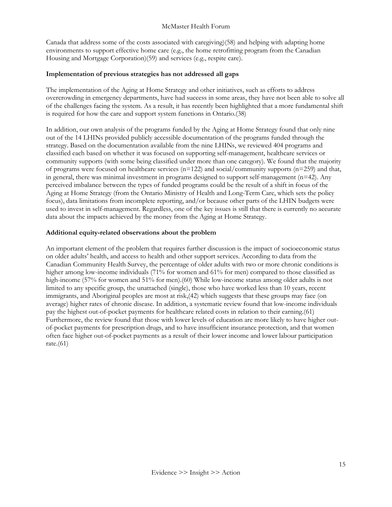Canada that address some of the costs associated with caregiving)(58) and helping with adapting home environments to support effective home care (e.g., the home retrofitting program from the Canadian Housing and Mortgage Corporation)(59) and services (e.g., respite care).

## <span id="page-15-0"></span>**Implementation of previous strategies has not addressed all gaps**

The implementation of the Aging at Home Strategy and other initiatives, such as efforts to address overcrowding in emergency departments, have had success in some areas, they have not been able to solve all of the challenges facing the system. As a result, it has recently been highlighted that a more fundamental shift is required for how the care and support system functions in Ontario.(38)

In addition, our own analysis of the programs funded by the Aging at Home Strategy found that only nine out of the 14 LHINs provided publicly accessible documentation of the programs funded through the strategy. Based on the documentation available from the nine LHINs, we reviewed 404 programs and classified each based on whether it was focused on supporting self-management, healthcare services or community supports (with some being classified under more than one category). We found that the majority of programs were focused on healthcare services (n=122) and social/community supports (n=259) and that, in general, there was minimal investment in programs designed to support self-management  $(n=42)$ . Any perceived imbalance between the types of funded programs could be the result of a shift in focus of the Aging at Home Strategy (from the Ontario Ministry of Health and Long-Term Care, which sets the policy focus), data limitations from incomplete reporting, and/or because other parts of the LHIN budgets were used to invest in self-management. Regardless, one of the key issues is still that there is currently no accurate data about the impacts achieved by the money from the Aging at Home Strategy.

## <span id="page-15-1"></span>**Additional equity-related observations about the problem**

An important element of the problem that requires further discussion is the impact of socioeconomic status on older adults' health, and access to health and other support services. According to data from the Canadian Community Health Survey, the percentage of older adults with two or more chronic conditions is higher among low-income individuals (71% for women and 61% for men) compared to those classified as high-income (57% for women and 51% for men).(60) While low-income status among older adults is not limited to any specific group, the unattached (single), those who have worked less than 10 years, recent immigrants, and Aboriginal peoples are most at risk,(42) which suggests that these groups may face (on average) higher rates of chronic disease. In addition, a systematic review found that low-income individuals pay the highest out-of-pocket payments for healthcare related costs in relation to their earning.(61) Furthermore, the review found that those with lower levels of education are more likely to have higher outof-pocket payments for prescription drugs, and to have insufficient insurance protection, and that women often face higher out-of-pocket payments as a result of their lower income and lower labour participation rate. $(61)$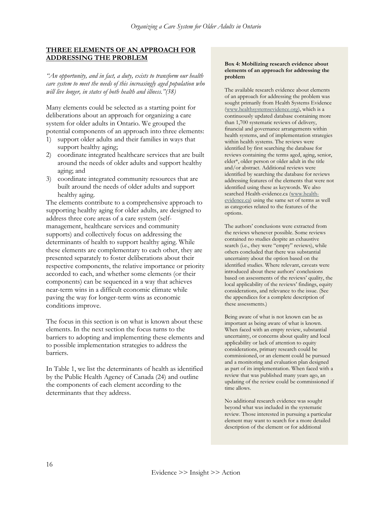#### <span id="page-16-0"></span>**THREE ELEMENTS OF AN APPROACH FOR ADDRESSING THE PROBLEM**

*"An opportunity, and in fact, a duty, exists to transform our health care system to meet the needs of this increasingly aged population who will live longer, in states of both health and illness."(38)*

Many elements could be selected as a starting point for deliberations about an approach for organizing a care system for older adults in Ontario. We grouped the potential components of an approach into three elements:

- 1) support older adults and their families in ways that support healthy aging;
- 2) coordinate integrated healthcare services that are built around the needs of older adults and support healthy aging; and
- 3) coordinate integrated community resources that are built around the needs of older adults and support healthy aging.

The elements contribute to a comprehensive approach to supporting healthy aging for older adults, are designed to address three core areas of a care system (selfmanagement, healthcare services and community supports) and collectively focus on addressing the determinants of health to support healthy aging. While these elements are complementary to each other, they are presented separately to foster deliberations about their respective components, the relative importance or priority accorded to each, and whether some elements (or their components) can be sequenced in a way that achieves near-term wins in a difficult economic climate while paving the way for longer-term wins as economic conditions improve.

The focus in this section is on what is known about these elements. In the next section the focus turns to the barriers to adopting and implementing these elements and to possible implementation strategies to address the barriers.

In Table 1, we list the determinants of health as identified by the Public Health Agency of Canada (24) and outline the components of each element according to the determinants that they address.

#### **Box 4: Mobilizing research evidence about elements of an approach for addressing the problem**

The available research evidence about elements of an approach for addressing the problem was sought primarily from Health Systems Evidence [\(www.healthsystemsevidence.org\)](http://www.healthsystemsevidence.org/), which is a continuously updated database containing more than 1,700 systematic reviews of delivery, financial and governance arrangements within health systems, and of implementation strategies within health systems. The reviews were identified by first searching the database for reviews containing the terms aged, aging, senior, elder\*, older person or older adult in the title and/or abstract. Additional reviews were identified by searching the database for reviews addressing features of the elements that were not identified using these as keywords. We also searched Health-evidence.ca (www.healthevidence.ca) using the same set of terms as well as categories related to the features of the options.

The authors' conclusions were extracted from the reviews whenever possible. Some reviews contained no studies despite an exhaustive search (i.e., they were "empty" reviews), while others concluded that there was substantial uncertainty about the option based on the identified studies. Where relevant, caveats were introduced about these authors' conclusions based on assessments of the reviews' quality, the local applicability of the reviews' findings, equity considerations, and relevance to the issue. (See the appendices for a complete description of these assessments.)

Being aware of what is not known can be as important as being aware of what is known. When faced with an empty review, substantial uncertainty, or concerns about quality and local applicability or lack of attention to equity considerations, primary research could be commissioned, or an element could be pursued and a monitoring and evaluation plan designed as part of its implementation. When faced with a review that was published many years ago, an updating of the review could be commissioned if time allows.

No additional research evidence was sought beyond what was included in the systematic review. Those interested in pursuing a particular element may want to search for a more detailed description of the element or for additional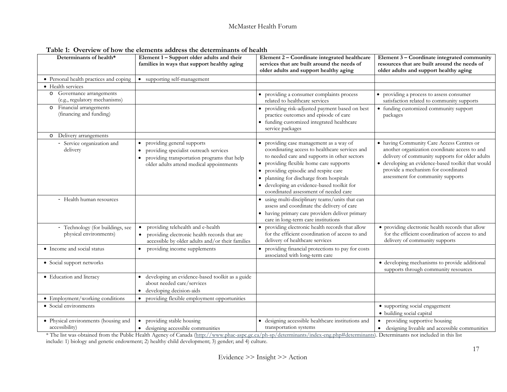| Determinants of health*                                    | Element 1 - Support older adults and their<br>families in ways that support healthy aging                                                                                                 | Element 2 - Coordinate integrated healthcare<br>services that are built around the needs of<br>older adults and support healthy aging                                                                                                                                                                                                                           | Element 3 - Coordinate integrated community<br>resources that are built around the needs of<br>older adults and support healthy aging                                                                                                                                          |
|------------------------------------------------------------|-------------------------------------------------------------------------------------------------------------------------------------------------------------------------------------------|-----------------------------------------------------------------------------------------------------------------------------------------------------------------------------------------------------------------------------------------------------------------------------------------------------------------------------------------------------------------|--------------------------------------------------------------------------------------------------------------------------------------------------------------------------------------------------------------------------------------------------------------------------------|
| • Personal health practices and coping                     | • supporting self-management                                                                                                                                                              |                                                                                                                                                                                                                                                                                                                                                                 |                                                                                                                                                                                                                                                                                |
| • Health services                                          |                                                                                                                                                                                           |                                                                                                                                                                                                                                                                                                                                                                 |                                                                                                                                                                                                                                                                                |
| o Governance arrangements<br>(e.g., regulatory mechanisms) |                                                                                                                                                                                           | • providing a consumer complaints process<br>related to healthcare services                                                                                                                                                                                                                                                                                     | • providing a process to assess consumer<br>satisfaction related to community supports                                                                                                                                                                                         |
| o Financial arrangements<br>(financing and funding)        |                                                                                                                                                                                           | providing risk-adjusted payment based on best<br>practice outcomes and episode of care<br>• funding customized integrated healthcare<br>service packages                                                                                                                                                                                                        | • funding customized community support<br>packages                                                                                                                                                                                                                             |
| o Delivery arrangements                                    |                                                                                                                                                                                           |                                                                                                                                                                                                                                                                                                                                                                 |                                                                                                                                                                                                                                                                                |
| - Service organization and<br>delivery                     | providing general supports<br>$\bullet$<br>providing specialist outreach services<br>$\bullet$<br>providing transportation programs that help<br>older adults attend medical appointments | • providing case management as a way of<br>coordinating access to healthcare services and<br>to needed care and supports in other sectors<br>• providing flexible home care supports<br>• providing episodic and respite care<br>· planning for discharge from hospitals<br>· developing an evidence-based toolkit for<br>coordinated assessment of needed care | • having Community Care Access Centres or<br>another organization coordinate access to and<br>delivery of community supports for older adults<br>· developing an evidence-based toolkit that would<br>provide a mechanism for coordinated<br>assessment for community supports |
| - Health human resources                                   |                                                                                                                                                                                           | • using multi-disciplinary teams/units that can<br>assess and coordinate the delivery of care<br>• having primary care providers deliver primary<br>care in long-term care institutions                                                                                                                                                                         |                                                                                                                                                                                                                                                                                |
| - Technology (for buildings, see<br>physical environments) | providing telehealth and e-health<br>• providing electronic health records that are<br>accessible by older adults and/or their families                                                   | • providing electronic health records that allow<br>for the efficient coordination of access to and<br>delivery of healthcare services                                                                                                                                                                                                                          | • providing electronic health records that allow<br>for the efficient coordination of access to and<br>delivery of community supports                                                                                                                                          |
| • Income and social status                                 | providing income supplements                                                                                                                                                              | providing financial protections to pay for costs<br>associated with long-term care                                                                                                                                                                                                                                                                              |                                                                                                                                                                                                                                                                                |
| • Social support networks                                  |                                                                                                                                                                                           |                                                                                                                                                                                                                                                                                                                                                                 | · developing mechanisms to provide additional<br>supports through community resources                                                                                                                                                                                          |
| • Education and literacy                                   | developing an evidence-based toolkit as a guide<br>about needed care/services<br>developing decision-aids                                                                                 |                                                                                                                                                                                                                                                                                                                                                                 |                                                                                                                                                                                                                                                                                |
| • Employment/working conditions                            | providing flexible employment opportunities<br>$\bullet$                                                                                                                                  |                                                                                                                                                                                                                                                                                                                                                                 |                                                                                                                                                                                                                                                                                |
| • Social environments                                      |                                                                                                                                                                                           |                                                                                                                                                                                                                                                                                                                                                                 | • supporting social engagement<br>· building social capital                                                                                                                                                                                                                    |
| • Physical environments (housing and<br>accessibility)     | providing stable housing<br>$\bullet$<br>• designing accessible communities                                                                                                               | · designing accessible healthcare institutions and<br>transportation systems                                                                                                                                                                                                                                                                                    | providing supportive housing<br>$\bullet$<br>• designing liveable and accessible communities                                                                                                                                                                                   |

**Table 1: Overview of how the elements address the determinants of health**

\* The list was obtained from the Public Health Agency of Canada [\(http://www.phac-aspc.gc.ca/ph-sp/determinants/index-eng.php#determinants\)](http://www.phac-aspc.gc.ca/ph-sp/determinants/index-eng.php#determinants). Determinants not included in this list include: 1) biology and genetic endowment; 2) healthy child development; 3) gender; and 4) culture.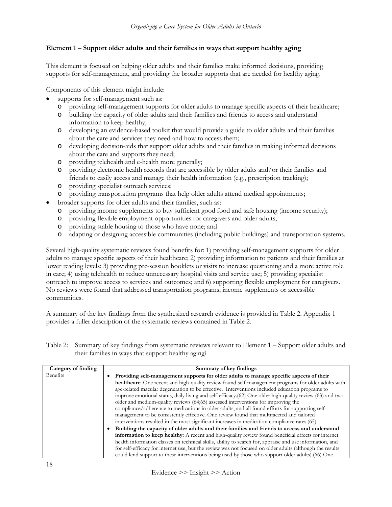## <span id="page-18-0"></span>**Element 1 – Support older adults and their families in ways that support healthy aging**

This element is focused on helping older adults and their families make informed decisions, providing supports for self-management, and providing the broader supports that are needed for healthy aging.

Components of this element might include:

- supports for self-management such as:
	- o providing self-management supports for older adults to manage specific aspects of their healthcare;
	- o building the capacity of older adults and their families and friends to access and understand information to keep healthy;
	- o developing an evidence-based toolkit that would provide a guide to older adults and their families about the care and services they need and how to access them;
	- o developing decision-aids that support older adults and their families in making informed decisions about the care and supports they need;
	- o providing telehealth and e-health more generally;
	- o providing electronic health records that are accessible by older adults and/or their families and friends to easily access and manage their health information (e.g., prescription tracking);
	- o providing specialist outreach services;
	- o providing transportation programs that help older adults attend medical appointments;
- broader supports for older adults and their families, such as:
	- o providing income supplements to buy sufficient good food and safe housing (income security);
	- o providing flexible employment opportunities for caregivers and older adults;
	- o providing stable housing to those who have none; and
	- o adapting or designing accessible communities (including public buildings) and transportation systems.

Several high-quality systematic reviews found benefits for: 1) providing self-management supports for older adults to manage specific aspects of their healthcare; 2) providing information to patients and their families at lower reading levels; 3) providing pre-session booklets or visits to increase questioning and a more active role in care; 4) using telehealth to reduce unnecessary hospital visits and service use; 5) providing specialist outreach to improve access to services and outcomes; and 6) supporting flexible employment for caregivers. No reviews were found that addressed transportation programs, income supplements or accessible communities.

A summary of the key findings from the synthesized research evidence is provided in Table 2. Appendix 1 provides a fuller description of the systematic reviews contained in Table 2.

| Table 2: Summary of key findings from systematic reviews relevant to Element 1 - Support older adults and |
|-----------------------------------------------------------------------------------------------------------|
| their families in ways that support healthy agingt                                                        |

| Category of finding | Summary of key findings                                                                                                                                                                                                                                                                                                                                                                                                                                                                                                                                                                                                                                                                                                                                                                          |
|---------------------|--------------------------------------------------------------------------------------------------------------------------------------------------------------------------------------------------------------------------------------------------------------------------------------------------------------------------------------------------------------------------------------------------------------------------------------------------------------------------------------------------------------------------------------------------------------------------------------------------------------------------------------------------------------------------------------------------------------------------------------------------------------------------------------------------|
| Benefits            | Providing self-management supports for older adults to manage specific aspects of their<br>healthcare: One recent and high-quality review found self-management programs for older adults with<br>age-related macular degeneration to be effective. Interventions included education programs to<br>improve emotional status, daily living and self-efficacy.(62) One older high-quality review (63) and two<br>older and medium-quality reviews (64;65) assessed interventions for improving the<br>compliance/adherence to medications in older adults, and all found efforts for supporting self-<br>management to be consistently effective. One review found that multifaceted and tailored<br>interventions resulted in the most significant increases in medication compliance rates.(65) |
|                     | Building the capacity of older adults and their families and friends to access and understand<br>information to keep healthy: A recent and high-quality review found beneficial effects for internet<br>health information classes on technical skills, ability to search for, appraise and use information, and<br>for self-efficacy for internet use, but the review was not focused on older adults (although the results<br>could lend support to these interventions being used by those who support older adults). (66) One                                                                                                                                                                                                                                                                |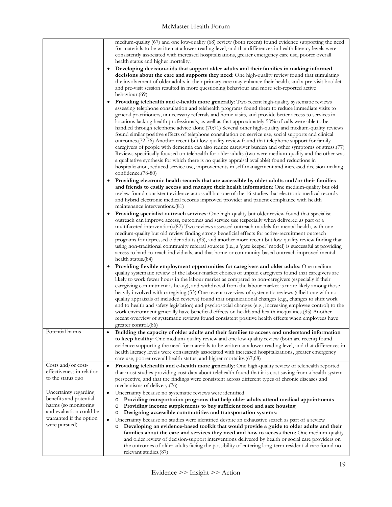|                                                                                                                                                | medium-quality (67) and one low-quality (68) review (both recent) found evidence supporting the need<br>for materials to be written at a lower reading level, and that differences in health literacy levels were<br>consistently associated with increased hospitalizations, greater emergency care use, poorer overall<br>health status and higher mortality.<br>Developing decision-aids that support older adults and their families in making informed<br>decisions about the care and supports they need: One high-quality review found that stimulating<br>the involvement of older adults in their primary care may enhance their health, and a pre-visit booklet<br>and pre-visit session resulted in more questioning behaviour and more self-reported active<br>behaviour.(69)<br>Providing telehealth and e-health more generally: Two recent high-quality systematic reviews<br>assessing telephone consultation and telehealth programs found them to reduce immediate visits to<br>general practitioners, unnecessary referrals and home visits, and provide better access to services in<br>locations lacking health professionals, as well as that approximately 50% of calls were able to be<br>handled through telephone advice alone. (70,71) Several other high-quality and medium-quality reviews<br>found similar positive effects of telephone consultation on service use, social supports and clinical<br>outcomes. (72-76) Another recent but low-quality review found that telephone support for family<br>caregivers of people with dementia can also reduce caregiver burden and other symptoms of stress.(77)<br>Reviews specifically focused on telehealth for older adults (two were medium-quality and the other was<br>a qualitative synthesis for which there is no quality appraisal available) found reductions in<br>hospitalization, reduced service use, improvements in self-management and increased decision-making<br>confidence.(78-80)<br>• Providing electronic health records that are accessible by older adults and/or their families<br>and friends to easily access and manage their health information: One medium-quality but old<br>review found consistent evidence across all but one of the 16 studies that electronic medical records<br>and hybrid electronic medical records improved provider and patient compliance with health<br>maintenance interventions.(81)<br><b>Providing specialist outreach services</b> : One high-quality but older review found that specialist<br>outreach can improve access, outcomes and service use (especially when delivered as part of a<br>multifaceted intervention). (82) Two reviews assessed outreach models for mental health, with one<br>medium-quality but old review finding strong beneficial effects for active-recruitment outreach<br>programs for depressed older adults (83), and another more recent but low-quality review finding that<br>using non-traditional community referral sources (i.e., a 'gate keeper' model) is successful at providing<br>access to hard-to-reach individuals, and that home or community-based outreach improved mental<br>health status.(84)<br>• Providing flexible employment opportunities for caregivers and older adults: One medium-<br>quality systematic review of the labour-market choices of unpaid caregivers found that caregivers are<br>likely to work fewer hours in the labour market as compared to non-caregivers (especially if their<br>caregiving commitment is heavy), and withdrawal from the labour market is more likely among those<br>heavily involved with caregiving (53) One recent overview of systematic reviews (albeit one with no<br>quality appraisals of included reviews) found that organizational changes (e.g., changes to shift work<br>and to health and safety legislation) and psychosocial changes (e.g., increasing employee control) to the<br>work environment generally have beneficial effects on health and health inequalities.(85) Another<br>recent overview of systematic reviews found consistent positive health effects when employees have |
|------------------------------------------------------------------------------------------------------------------------------------------------|----------------------------------------------------------------------------------------------------------------------------------------------------------------------------------------------------------------------------------------------------------------------------------------------------------------------------------------------------------------------------------------------------------------------------------------------------------------------------------------------------------------------------------------------------------------------------------------------------------------------------------------------------------------------------------------------------------------------------------------------------------------------------------------------------------------------------------------------------------------------------------------------------------------------------------------------------------------------------------------------------------------------------------------------------------------------------------------------------------------------------------------------------------------------------------------------------------------------------------------------------------------------------------------------------------------------------------------------------------------------------------------------------------------------------------------------------------------------------------------------------------------------------------------------------------------------------------------------------------------------------------------------------------------------------------------------------------------------------------------------------------------------------------------------------------------------------------------------------------------------------------------------------------------------------------------------------------------------------------------------------------------------------------------------------------------------------------------------------------------------------------------------------------------------------------------------------------------------------------------------------------------------------------------------------------------------------------------------------------------------------------------------------------------------------------------------------------------------------------------------------------------------------------------------------------------------------------------------------------------------------------------------------------------------------------------------------------------------------------------------------------------------------------------------------------------------------------------------------------------------------------------------------------------------------------------------------------------------------------------------------------------------------------------------------------------------------------------------------------------------------------------------------------------------------------------------------------------------------------------------------------------------------------------------------------------------------------------------------------------------------------------------------------------------------------------------------------------------------------------------------------------------------------------------------------------------------------------------------------------------------------------------------------------------------------------------------------------------------------------------------------------------------------------------------------------------------------------------------------------------------------------------------------------------------------------------------------------------------------------------------------------------------------------------------------------------------------------------------------------------------------------------------------------|
| Potential harms                                                                                                                                | ereater control.(86)<br>Building the capacity of older adults and their families to access and understand information<br>to keep healthy: One medium-quality review and one low-quality review (both are recent) found<br>evidence supporting the need for materials to be written at a lower reading level, and that differences in<br>health literacy levels were consistently associated with increased hospitalizations, greater emergency<br>care use, poorer overall health status, and higher mortality.(67;68)                                                                                                                                                                                                                                                                                                                                                                                                                                                                                                                                                                                                                                                                                                                                                                                                                                                                                                                                                                                                                                                                                                                                                                                                                                                                                                                                                                                                                                                                                                                                                                                                                                                                                                                                                                                                                                                                                                                                                                                                                                                                                                                                                                                                                                                                                                                                                                                                                                                                                                                                                                                                                                                                                                                                                                                                                                                                                                                                                                                                                                                                                                                                                                                                                                                                                                                                                                                                                                                                                                                                                                                                                                         |
| Costs and/or cost-<br>effectiveness in relation<br>to the status quo                                                                           | Providing telehealth and e-health more generally: One high-quality review of telehealth reported<br>$\bullet$<br>that most studies providing cost data about telehealth found that it is cost saving from a health system<br>perspective, and that the findings were consistent across different types of chronic diseases and<br>mechanisms of delivery.(76)                                                                                                                                                                                                                                                                                                                                                                                                                                                                                                                                                                                                                                                                                                                                                                                                                                                                                                                                                                                                                                                                                                                                                                                                                                                                                                                                                                                                                                                                                                                                                                                                                                                                                                                                                                                                                                                                                                                                                                                                                                                                                                                                                                                                                                                                                                                                                                                                                                                                                                                                                                                                                                                                                                                                                                                                                                                                                                                                                                                                                                                                                                                                                                                                                                                                                                                                                                                                                                                                                                                                                                                                                                                                                                                                                                                                  |
| Uncertainty regarding<br>benefits and potential<br>harms (so monitoring<br>and evaluation could be<br>warranted if the option<br>were pursued) | Uncertainty because no systematic reviews were identified<br>$\bullet$<br>Providing transportation programs that help older adults attend medical appointments<br>$\circ$<br>Providing income supplements to buy sufficient food and safe housing<br>O<br>Designing accessible communities and transportation systems:<br>O<br>Uncertainty because no studies were identified despite an exhaustive search as part of a review<br>$\bullet$<br>Developing an evidence-based toolkit that would provide a guide to older adults and their<br>O<br>families about the care and services they need and how to access them: One medium-quality<br>and older review of decision-support interventions delivered by health or social care providers on<br>the outcomes of older adults facing the possibility of entering long-term residential care found no<br>relevant studies.(87)                                                                                                                                                                                                                                                                                                                                                                                                                                                                                                                                                                                                                                                                                                                                                                                                                                                                                                                                                                                                                                                                                                                                                                                                                                                                                                                                                                                                                                                                                                                                                                                                                                                                                                                                                                                                                                                                                                                                                                                                                                                                                                                                                                                                                                                                                                                                                                                                                                                                                                                                                                                                                                                                                                                                                                                                                                                                                                                                                                                                                                                                                                                                                                                                                                                                               |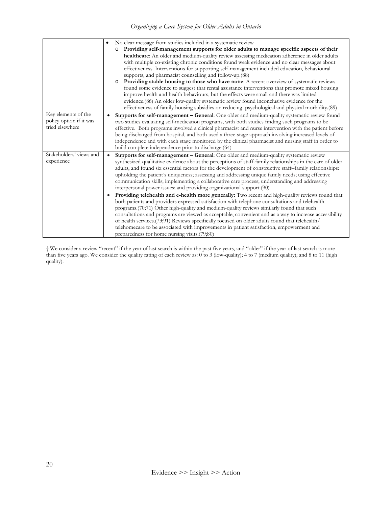| Key elements of the                   | No clear message from studies included in a systematic review<br>$\bullet$<br>Providing self-management supports for older adults to manage specific aspects of their<br>healthcare: An older and medium-quality review assessing medication adherence in older adults<br>with multiple co-existing chronic conditions found weak evidence and no clear messages about<br>effectiveness. Interventions for supporting self-management included education, behavioural<br>supports, and pharmacist counselling and follow-up.(88)<br>Providing stable housing to those who have none: A recent overview of systematic reviews<br>found some evidence to suggest that rental assistance interventions that promote mixed housing<br>improve health and health behaviours, but the effects were small and there was limited<br>evidence. (86) An older low-quality systematic review found inconclusive evidence for the<br>effectiveness of family housing subsidies on reducing psychological and physical morbidity.(89)<br>Supports for self-management - General: One older and medium-quality systematic review found |
|---------------------------------------|--------------------------------------------------------------------------------------------------------------------------------------------------------------------------------------------------------------------------------------------------------------------------------------------------------------------------------------------------------------------------------------------------------------------------------------------------------------------------------------------------------------------------------------------------------------------------------------------------------------------------------------------------------------------------------------------------------------------------------------------------------------------------------------------------------------------------------------------------------------------------------------------------------------------------------------------------------------------------------------------------------------------------------------------------------------------------------------------------------------------------|
| policy option if it was               | two studies evaluating self-medication programs, with both studies finding such programs to be                                                                                                                                                                                                                                                                                                                                                                                                                                                                                                                                                                                                                                                                                                                                                                                                                                                                                                                                                                                                                           |
| tried elsewhere                       | effective. Both programs involved a clinical pharmacist and nurse intervention with the patient before<br>being discharged from hospital, and both used a three-stage approach involving increased levels of<br>independence and with each stage monitored by the clinical pharmacist and nursing staff in order to<br>build complete independence prior to discharge.(64)                                                                                                                                                                                                                                                                                                                                                                                                                                                                                                                                                                                                                                                                                                                                               |
| Stakeholders' views and<br>experience | Supports for self-management - General: One older and medium-quality systematic review<br>$\bullet$<br>synthesized qualitative evidence about the perceptions of staff-family relationships in the care of older<br>adults, and found six essential factors for the development of constructive staff-family relationships:<br>upholding the patient's uniqueness; assessing and addressing unique family needs; using effective<br>communication skills; implementing a collaborative care process; understanding and addressing<br>interpersonal power issues; and providing organizational support. (90)                                                                                                                                                                                                                                                                                                                                                                                                                                                                                                              |
|                                       | Providing telehealth and e-health more generally: Two recent and high-quality reviews found that<br>both patients and providers expressed satisfaction with telephone consultations and telehealth<br>programs.(70;71) Other high-quality and medium-quality reviews similarly found that such<br>consultations and programs are viewed as acceptable, convenient and as a way to increase accessibility<br>of health services.(73;91) Reviews specifically focused on older adults found that telehealth/<br>telehomecare to be associated with improvements in patient satisfaction, empowerment and                                                                                                                                                                                                                                                                                                                                                                                                                                                                                                                   |
|                                       | preparedness for home nursing visits (79;80)                                                                                                                                                                                                                                                                                                                                                                                                                                                                                                                                                                                                                                                                                                                                                                                                                                                                                                                                                                                                                                                                             |

† We consider a review "recent" if the year of last search is within the past five years, and "older" if the year of last search is more than five years ago. We consider the quality rating of each review as: 0 to 3 (low-quality); 4 to 7 (medium quality); and 8 to 11 (high quality).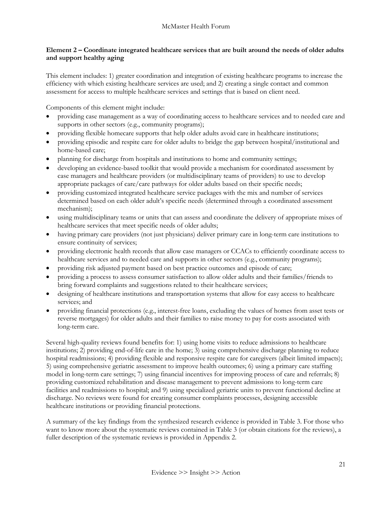## <span id="page-21-0"></span>**Element 2 – Coordinate integrated healthcare services that are built around the needs of older adults and support healthy aging**

This element includes: 1) greater coordination and integration of existing healthcare programs to increase the efficiency with which existing healthcare services are used; and 2) creating a single contact and common assessment for access to multiple healthcare services and settings that is based on client need.

Components of this element might include:

- providing case management as a way of coordinating access to healthcare services and to needed care and supports in other sectors (e.g., community programs);
- providing flexible homecare supports that help older adults avoid care in healthcare institutions;
- providing episodic and respite care for older adults to bridge the gap between hospital/institutional and home-based care;
- planning for discharge from hospitals and institutions to home and community settings;
- developing an evidence-based toolkit that would provide a mechanism for coordinated assessment by case managers and healthcare providers (or multidisciplinary teams of providers) to use to develop appropriate packages of care/care pathways for older adults based on their specific needs;
- providing customized integrated healthcare service packages with the mix and number of services determined based on each older adult's specific needs (determined through a coordinated assessment mechanism);
- using multidisciplinary teams or units that can assess and coordinate the delivery of appropriate mixes of healthcare services that meet specific needs of older adults;
- having primary care providers (not just physicians) deliver primary care in long-term care institutions to ensure continuity of services;
- providing electronic health records that allow case managers or CCACs to efficiently coordinate access to healthcare services and to needed care and supports in other sectors (e.g., community programs);
- providing risk adjusted payment based on best practice outcomes and episode of care;
- providing a process to assess consumer satisfaction to allow older adults and their families/friends to bring forward complaints and suggestions related to their healthcare services;
- designing of healthcare institutions and transportation systems that allow for easy access to healthcare services; and
- providing financial protections (e.g., interest-free loans, excluding the values of homes from asset tests or reverse mortgages) for older adults and their families to raise money to pay for costs associated with long-term care.

Several high-quality reviews found benefits for: 1) using home visits to reduce admissions to healthcare institutions; 2) providing end-of-life care in the home; 3) using comprehensive discharge planning to reduce hospital readmissions; 4) providing flexible and responsive respite care for caregivers (albeit limited impacts); 5) using comprehensive geriatric assessment to improve health outcomes; 6) using a primary care staffing model in long-term care settings; 7) using financial incentives for improving process of care and referrals; 8) providing customized rehabilitation and disease management to prevent admissions to long-term care facilities and readmissions to hospital; and 9) using specialized geriatric units to prevent functional decline at discharge. No reviews were found for creating consumer complaints processes, designing accessible healthcare institutions or providing financial protections.

A summary of the key findings from the synthesized research evidence is provided in Table 3. For those who want to know more about the systematic reviews contained in Table 3 (or obtain citations for the reviews), a fuller description of the systematic reviews is provided in Appendix 2.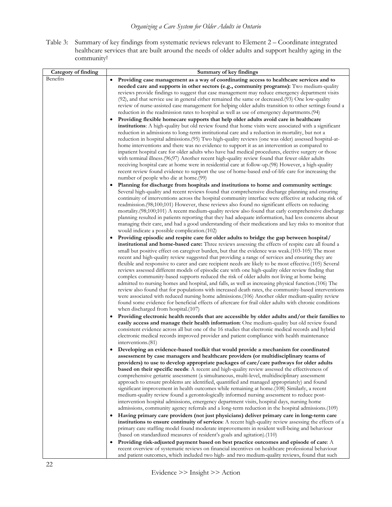Table 3: Summary of key findings from systematic reviews relevant to Element 2 – Coordinate integrated healthcare services that are built around the needs of older adults and support healthy aging in the community†

| Category of finding | Summary of key findings                                                                                                                                                                              |
|---------------------|------------------------------------------------------------------------------------------------------------------------------------------------------------------------------------------------------|
| Benefits            | Providing case management as a way of coordinating access to healthcare services and to                                                                                                              |
|                     | needed care and supports in other sectors (e.g., community programs): Two medium-quality                                                                                                             |
|                     | reviews provide findings to suggest that case management may reduce emergency department visits                                                                                                      |
|                     | (92), and that service use in general either remained the same or decreased.(93) One low-quality                                                                                                     |
|                     | review of nurse-assisted case management for helping older adults transition to other settings found a                                                                                               |
|                     | reduction in the readmission rates to hospital as well as use of emergency departments. (94)                                                                                                         |
|                     | Providing flexible homecare supports that help older adults avoid care in healthcare                                                                                                                 |
|                     | institutions: A high-quality but old review found that home visits were associated with a significant                                                                                                |
|                     | reduction in admissions to long-term institutional care and a reduction in mortality, but not a                                                                                                      |
|                     | reduction in hospital admissions. (95) Two high-quality reviews (one was older) assessed hospital-at-                                                                                                |
|                     | home interventions and there was no evidence to support it as an intervention as compared to                                                                                                         |
|                     | inpatient hospital care for older adults who have had medical procedures, elective surgery or those                                                                                                  |
|                     | with terminal illness.(96;97) Another recent high-quality review found that fewer older adults                                                                                                       |
|                     | receiving hospital care at home were in residential care at follow-up.(98) However, a high-quality                                                                                                   |
|                     | recent review found evidence to support the use of home-based end-of-life care for increasing the                                                                                                    |
|                     | number of people who die at home.(99)                                                                                                                                                                |
|                     | Planning for discharge from hospitals and institutions to home and community settings:                                                                                                               |
|                     | Several high-quality and recent reviews found that comprehensive discharge planning and ensuring                                                                                                     |
|                     | continuity of interventions across the hospital community interface were effective at reducing risk of                                                                                               |
|                     | readmission.(98;100;101) However, these reviews also found no significant effects on reducing<br>mortality.(98;100;101) A recent medium-quality review also found that early comprehensive discharge |
|                     | planning resulted in patients reporting that they had adequate information, had less concerns about                                                                                                  |
|                     | managing their care, and had a good understanding of their medications and key risks to monitor that                                                                                                 |
|                     | would indicate a possible complication.(102)                                                                                                                                                         |
|                     | Providing episodic and respite care for older adults to bridge the gap between hospital/                                                                                                             |
|                     | institutional and home-based care: Three reviews assessing the effects of respite care all found a                                                                                                   |
|                     | small but positive effect on caregiver burden, but that the evidence was weak.(103-105) The most                                                                                                     |
|                     | recent and high-quality review suggested that providing a range of services and ensuring they are                                                                                                    |
|                     | flexible and responsive to carer and care recipient needs are likely to be most effective.(105) Several                                                                                              |
|                     | reviews assessed different models of episodic care with one high-quality older review finding that                                                                                                   |
|                     | complex community-based supports reduced the risk of older adults not living at home being                                                                                                           |
|                     | admitted to nursing homes and hospital, and falls, as well as increasing physical function. (106) The                                                                                                |
|                     | review also found that for populations with increased death rates, the community-based interventions                                                                                                 |
|                     | were associated with reduced nursing home admissions.(106) Another older medium-quality review                                                                                                       |
|                     | found some evidence for beneficial effects of aftercare for frail older adults with chronic conditions                                                                                               |
|                     | when discharged from hospital.(107)                                                                                                                                                                  |
|                     | Providing electronic health records that are accessible by older adults and/or their families to<br>٠                                                                                                |
|                     | easily access and manage their health information: One medium-quality but old review found                                                                                                           |
|                     | consistent evidence across all but one of the 16 studies that electronic medical records and hybrid                                                                                                  |
|                     | electronic medical records improved provider and patient compliance with health maintenance<br>interventions.(81)                                                                                    |
|                     |                                                                                                                                                                                                      |
|                     | Developing an evidence-based toolkit that would provide a mechanism for coordinated<br>assessment by case managers and healthcare providers (or multidisciplinary teams of                           |
|                     | providers) to use to develop appropriate packages of care/care pathways for older adults                                                                                                             |
|                     | based on their specific needs: A recent and high-quality review assessed the effectiveness of                                                                                                        |
|                     | comprehensive geriatric assessment (a simultaneous, multi-level, multidisciplinary assessment                                                                                                        |
|                     | approach to ensure problems are identified, quantified and managed appropriately) and found                                                                                                          |
|                     | significant improvement in health outcomes while remaining at home.(108) Similarly, a recent                                                                                                         |
|                     | medium-quality review found a gerontologically informed nursing assessment to reduce post-                                                                                                           |
|                     | intervention hospital admissions, emergency department visits, hospital days, nursing home                                                                                                           |
|                     | admissions, community agency referrals and a long-term reduction in the hospital admissions.(109)                                                                                                    |
|                     | Having primary care providers (not just physicians) deliver primary care in long-term care                                                                                                           |
|                     | institutions to ensure continuity of services: A recent high-quality review assessing the effects of a                                                                                               |
|                     | primary care staffing model found moderate improvements in resident well-being and behaviour                                                                                                         |
|                     | (based on standardized measures of resident's goals and agitation).(110)                                                                                                                             |
|                     | Providing risk-adjusted payment based on best practice outcomes and episode of care: A                                                                                                               |
|                     | recent overview of systematic reviews on financial incentives on healthcare professional behaviour                                                                                                   |
|                     | and patient outcomes, which included two high- and two medium-quality reviews, found that such                                                                                                       |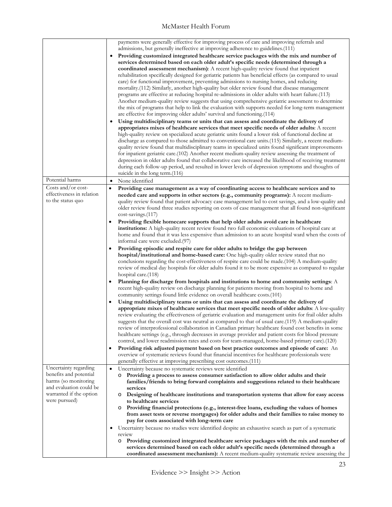|                                                 | payments were generally effective for improving process of care and improving referrals and                                                                                                                  |
|-------------------------------------------------|--------------------------------------------------------------------------------------------------------------------------------------------------------------------------------------------------------------|
|                                                 | admissions, but generally ineffective at improving adherence to guidelines.(111)                                                                                                                             |
|                                                 | Providing customized integrated healthcare service packages with the mix and number of                                                                                                                       |
|                                                 | services determined based on each older adult's specific needs (determined through a                                                                                                                         |
|                                                 | coordinated assessment mechanism): A recent high-quality review found that inpatient                                                                                                                         |
|                                                 | rehabilitation specifically designed for geriatric patients has beneficial effects (as compared to usual                                                                                                     |
|                                                 | care) for functional improvement, preventing admissions to nursing homes, and reducing                                                                                                                       |
|                                                 | mortality. (112) Similarly, another high-quality but older review found that disease management                                                                                                              |
|                                                 | programs are effective at reducing hospital re-admissions in older adults with heart failure.(113)                                                                                                           |
|                                                 | Another medium-quality review suggests that using comprehensive geriatric assessment to determine                                                                                                            |
|                                                 | the mix of programs that help to link the evaluation with supports needed for long-term management                                                                                                           |
|                                                 | are effective for improving older adults' survival and functioning (114)                                                                                                                                     |
|                                                 | Using multidisciplinary teams or units that can assess and coordinate the delivery of                                                                                                                        |
|                                                 | appropriates mixes of healthcare services that meet specific needs of older adults: A recent                                                                                                                 |
|                                                 | high-quality review on specialized acute geriatric units found a lower risk of functional decline at<br>discharge as compared to those admitted to conventional care units (115) Similarly, a recent medium- |
|                                                 | quality review found that multidisciplinary teams in specialized units found significant improvements                                                                                                        |
|                                                 | for inpatient geriatric care.(102) Another recent medium-quality review assessing the treatment of                                                                                                           |
|                                                 | depression in older adults found that collaborative care increased the likelihood of receiving treatment                                                                                                     |
|                                                 | during each follow-up period, and resulted in lower levels of depression symptoms and thoughts of                                                                                                            |
|                                                 | suicide in the long term. (116)                                                                                                                                                                              |
| Potential harms                                 | None identified<br>٠                                                                                                                                                                                         |
| Costs and/or cost-                              | Providing case management as a way of coordinating access to healthcare services and to<br>$\bullet$                                                                                                         |
| effectiveness in relation                       | needed care and supports in other sectors (e.g., community programs): A recent medium-                                                                                                                       |
| to the status quo                               | quality review found that patient advocacy case management led to cost savings, and a low-quality and                                                                                                        |
|                                                 | older review found three studies reporting on costs of case management that all found non-significant                                                                                                        |
|                                                 | cost-savings.(117)                                                                                                                                                                                           |
|                                                 | Providing flexible homecare supports that help older adults avoid care in healthcare<br>$\bullet$                                                                                                            |
|                                                 | institutions: A high-quality recent review found two full economic evaluations of hospital care at                                                                                                           |
|                                                 | home and found that it was less expensive than admission to an acute hospital ward when the costs of                                                                                                         |
|                                                 | informal care were excluded.(97)                                                                                                                                                                             |
|                                                 | Providing episodic and respite care for older adults to bridge the gap between                                                                                                                               |
|                                                 | hospital/institutional and home-based care: One high-quality older review stated that no                                                                                                                     |
|                                                 | conclusions regarding the cost-effectiveness of respite care could be made.(104) A medium-quality                                                                                                            |
|                                                 | review of medical day hospitals for older adults found it to be more expensive as compared to regular                                                                                                        |
|                                                 | hospital care.(118)                                                                                                                                                                                          |
|                                                 | Planning for discharge from hospitals and institutions to home and community settings: A                                                                                                                     |
|                                                 | recent high-quality review on discharge planning for patients moving from hospital to home and                                                                                                               |
|                                                 | community settings found little evidence on overall healthcare costs.(101)                                                                                                                                   |
|                                                 | Using multidisciplinary teams or units that can assess and coordinate the delivery of                                                                                                                        |
|                                                 | appropriate mixes of healthcare services that meet specific needs of older adults: $A$ low-quality                                                                                                           |
|                                                 | review evaluating the effectiveness of geriatric evaluation and management units for frail older adults                                                                                                      |
|                                                 | suggests that the overall cost was neutral as compared to that of usual care.(119) A medium-quality                                                                                                          |
|                                                 | review of interprofessional collaboration in Canadian primary healthcare found cost benefits in some                                                                                                         |
|                                                 | healthcare settings (e.g., through decreases in average provider and patient costs for blood pressure                                                                                                        |
|                                                 | control, and lower readmission rates and costs for team-managed, home-based primary care).(120)                                                                                                              |
|                                                 | Providing risk adjusted payment based on best practice outcomes and episode of care: An<br>$\bullet$                                                                                                         |
|                                                 | overview of systematic reviews found that financial incentives for healthcare professionals were                                                                                                             |
|                                                 | generally effective at improving prescribing cost outcomes. (111)                                                                                                                                            |
| Uncertainty regarding                           | Uncertainty because no systematic reviews were identified<br>$\bullet$                                                                                                                                       |
| benefits and potential                          | Providing a process to assess consumer satisfaction to allow older adults and their<br>$\circ$                                                                                                               |
| harms (so monitoring<br>and evaluation could be | families/friends to bring forward complaints and suggestions related to their healthcare                                                                                                                     |
| warranted if the option                         | services                                                                                                                                                                                                     |
| were pursued)                                   | Designing of healthcare institutions and transportation systems that allow for easy access<br>$\circ$<br>to healthcare services                                                                              |
|                                                 | Providing financial protections (e.g., interest-free loans, excluding the values of homes<br>$\circ$                                                                                                         |
|                                                 | from asset tests or reverse mortgages) for older adults and their families to raise money to                                                                                                                 |
|                                                 | pay for costs associated with long-term care                                                                                                                                                                 |
|                                                 | Uncertainty because no studies were identified despite an exhaustive search as part of a systematic                                                                                                          |
|                                                 | review                                                                                                                                                                                                       |
|                                                 | Providing customized integrated healthcare service packages with the mix and number of<br>$\circ$                                                                                                            |
|                                                 | services determined based on each older adult's specific needs (determined through a                                                                                                                         |
|                                                 | <b>coordinated assessment mechanism):</b> A recent medium-quality systematic review assessing the                                                                                                            |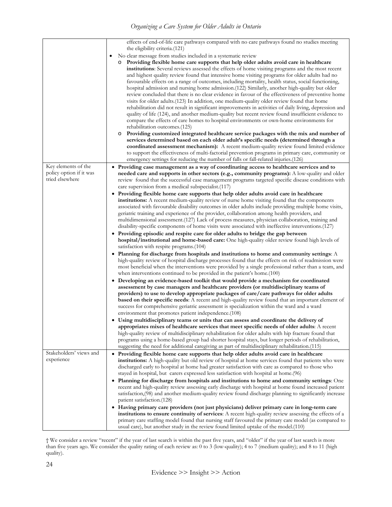|                         | effects of end-of-life care pathways compared with no care pathways found no studies meeting                                                                                                       |
|-------------------------|----------------------------------------------------------------------------------------------------------------------------------------------------------------------------------------------------|
|                         | the eligibility criteria.(121)                                                                                                                                                                     |
|                         | No clear message from studies included in a systematic review                                                                                                                                      |
|                         | Providing flexible home care supports that help older adults avoid care in healthcare<br>O                                                                                                         |
|                         | institutions: Several reviews assessed the effects of home visiting programs and the most recent                                                                                                   |
|                         | and highest quality review found that intensive home visiting programs for older adults had no                                                                                                     |
|                         | favourable effects on a range of outcomes, including mortality, health status, social functioning,                                                                                                 |
|                         | hospital admission and nursing home admission.(122) Similarly, another high-quality but older                                                                                                      |
|                         | review concluded that there is no clear evidence in favour of the effectiveness of preventive home                                                                                                 |
|                         | visits for older adults. (123) In addition, one medium-quality older review found that home                                                                                                        |
|                         | rehabilitation did not result in significant improvements in activities of daily living, depression and                                                                                            |
|                         | quality of life (124), and another medium-quality but recent review found insufficient evidence to                                                                                                 |
|                         | compare the effects of care homes to hospital environments or own-home environments for                                                                                                            |
|                         | rehabilitation outcomes.(125)                                                                                                                                                                      |
|                         | Providing customized integrated healthcare service packages with the mix and number of<br>O                                                                                                        |
|                         | services determined based on each older adult's specific needs (determined through a                                                                                                               |
|                         | coordinated assessment mechanism): A recent medium-quality review found limited evidence                                                                                                           |
|                         | to support the effectiveness of multi-factorial prevention programs in primary care, community or                                                                                                  |
|                         | emergency settings for reducing the number of falls or fall-related injuries.(126)                                                                                                                 |
| Key elements of the     | • Providing case management as a way of coordinating access to healthcare services and to                                                                                                          |
| policy option if it was | needed care and supports in other sectors (e.g., community programs): A low-quality and older                                                                                                      |
| tried elsewhere         | review found that the successful case management programs targeted specific disease conditions with                                                                                                |
|                         | care supervision from a medical subspecialist.(117)                                                                                                                                                |
|                         | • Providing flexible home care supports that help older adults avoid care in healthcare                                                                                                            |
|                         | institutions: A recent medium-quality review of nurse home visiting found that the components                                                                                                      |
|                         | associated with favourable disability outcomes in older adults include providing multiple home visits,                                                                                             |
|                         | geriatric training and experience of the provider, collaboration among health providers, and<br>multidimensional assessment. (127) Lack of process measures, physician collaboration, training and |
|                         | disability-specific components of home visits were associated with ineffective interventions.(127)                                                                                                 |
|                         | • Providing episodic and respite care for older adults to bridge the gap between                                                                                                                   |
|                         | hospital/institutional and home-based care: One high-quality older review found high levels of                                                                                                     |
|                         | satisfaction with respite programs.(104)                                                                                                                                                           |
|                         | • Planning for discharge from hospitals and institutions to home and community settings: $A$                                                                                                       |
|                         | high-quality review of hospital discharge processes found that the effects on risk of readmission were                                                                                             |
|                         | most beneficial when the interventions were provided by a single professional rather than a team, and                                                                                              |
|                         | when interventions continued to be provided in the patient's home.(100)                                                                                                                            |
|                         | • Developing an evidence-based toolkit that would provide a mechanism for coordinated                                                                                                              |
|                         | assessment by case managers and healthcare providers (or multidisciplinary teams of                                                                                                                |
|                         | providers) to use to develop appropriate packages of care/care pathways for older adults                                                                                                           |
|                         | based on their specific needs: A recent and high-quality review found that an important element of                                                                                                 |
|                         | success for comprehensive genatric assessment is specialization within the ward and a ward                                                                                                         |
|                         | environment that promotes patient independence.(108)                                                                                                                                               |
|                         | • Using multidisciplinary teams or units that can assess and coordinate the delivery of                                                                                                            |
|                         | appropriates mixes of healthcare services that meet specific needs of older adults: A recent                                                                                                       |
|                         | high-quality review of multidisciplinary rehabilitation for older adults with hip fracture found that                                                                                              |
|                         | programs using a home-based group had shorter hospital stays, but longer periods of rehabilitation,                                                                                                |
|                         | suggesting the need for additional caregiving as part of multidisciplinary rehabilitation.(115)                                                                                                    |
| Stakeholders' views and | • Providing flexible home care supports that help older adults avoid care in healthcare                                                                                                            |
| experience              | institutions: A high-quality but old review of hospital at home services found that patients who were                                                                                              |
|                         | discharged early to hospital at home had greater satisfaction with care as compared to those who                                                                                                   |
|                         | stayed in hospital, but carers expressed less satisfaction with hospital at home.(96)                                                                                                              |
|                         | • Planning for discharge from hospitals and institutions to home and community settings: One                                                                                                       |
|                         | recent and high-quality review assessing early discharge with hospital at home found increased patient                                                                                             |
|                         | satisfaction, (98) and another medium-quality review found discharge planning to significantly increase                                                                                            |
|                         | patient satisfaction.(128)                                                                                                                                                                         |
|                         | • Having primary care providers (not just physicians) deliver primary care in long-term care                                                                                                       |
|                         | institutions to ensure continuity of services: A recent high-quality review assessing the effects of a                                                                                             |
|                         | primary care staffing model found that nursing staff favoured the primary care model (as compared to                                                                                               |
|                         | usual care), but another study in the review found limited uptake of the model.(110)                                                                                                               |

† We consider a review "recent" if the year of last search is within the past five years, and "older" if the year of last search is more than five years ago. We consider the quality rating of each review as: 0 to 3 (low-quality); 4 to 7 (medium quality); and 8 to 11 (high quality).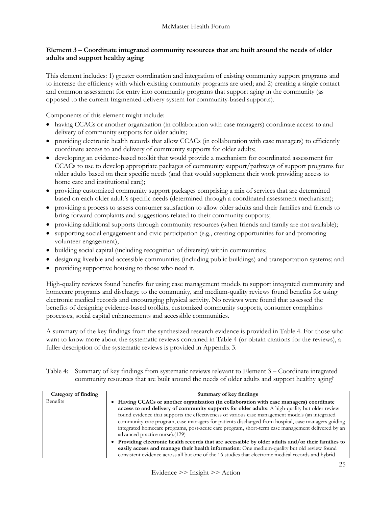## <span id="page-25-0"></span>**Element 3 – Coordinate integrated community resources that are built around the needs of older adults and support healthy aging**

This element includes: 1) greater coordination and integration of existing community support programs and to increase the efficiency with which existing community programs are used; and 2) creating a single contact and common assessment for entry into community programs that support aging in the community (as opposed to the current fragmented delivery system for community-based supports).

Components of this element might include:

- having CCACs or another organization (in collaboration with case managers) coordinate access to and delivery of community supports for older adults;
- providing electronic health records that allow CCACs (in collaboration with case managers) to efficiently coordinate access to and delivery of community supports for older adults;
- developing an evidence-based toolkit that would provide a mechanism for coordinated assessment for CCACs to use to develop appropriate packages of community support/pathways of support programs for older adults based on their specific needs (and that would supplement their work providing access to home care and institutional care);
- providing customized community support packages comprising a mix of services that are determined based on each older adult's specific needs (determined through a coordinated assessment mechanism);
- providing a process to assess consumer satisfaction to allow older adults and their families and friends to bring forward complaints and suggestions related to their community supports;
- providing additional supports through community resources (when friends and family are not available);
- supporting social engagement and civic participation (e.g., creating opportunities for and promoting volunteer engagement);
- building social capital (including recognition of diversity) within communities;
- designing liveable and accessible communities (including public buildings) and transportation systems; and
- providing supportive housing to those who need it.

High-quality reviews found benefits for using case management models to support integrated community and homecare programs and discharge to the community, and medium-quality reviews found benefits for using electronic medical records and encouraging physical activity. No reviews were found that assessed the benefits of designing evidence-based toolkits, customized community supports, consumer complaints processes, social capital enhancements and accessible communities.

A summary of the key findings from the synthesized research evidence is provided in Table 4. For those who want to know more about the systematic reviews contained in Table 4 (or obtain citations for the reviews), a fuller description of the systematic reviews is provided in Appendix 3.

Table 4: Summary of key findings from systematic reviews relevant to Element 3 – Coordinate integrated community resources that are built around the needs of older adults and support healthy aging†

| Category of finding | Summary of key findings                                                                                                                                                                                                                                                                                                                                                                                                                                                                                                                                                                                                                                                                                                                                                                                                                          |
|---------------------|--------------------------------------------------------------------------------------------------------------------------------------------------------------------------------------------------------------------------------------------------------------------------------------------------------------------------------------------------------------------------------------------------------------------------------------------------------------------------------------------------------------------------------------------------------------------------------------------------------------------------------------------------------------------------------------------------------------------------------------------------------------------------------------------------------------------------------------------------|
| Benefits            | Having CCACs or another organization (in collaboration with case managers) coordinate<br>access to and delivery of community supports for older adults: A high-quality but older review<br>found evidence that supports the effectiveness of various case management models (an integrated<br>community care program, case managers for patients discharged from hospital, case managers guiding<br>integrated homecare programs, post-acute care program, short-term case management delivered by an<br>advanced practice nurse).(129)<br>Providing electronic health records that are accessible by older adults and/or their families to<br>easily access and manage their health information: One medium-quality but old review found<br>consistent evidence across all but one of the 16 studies that electronic medical records and hybrid |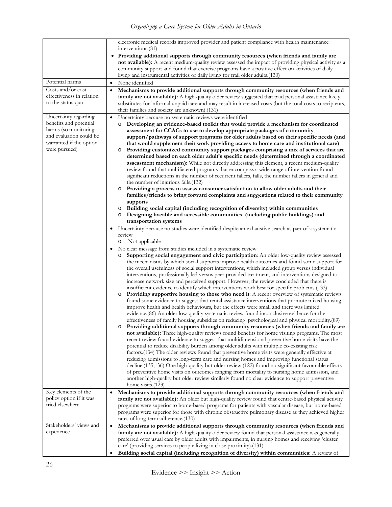*Organizing a Care System for Older Adults in Ontario*

|                                                                                                                                                | electronic medical records improved provider and patient compliance with health maintenance                                                                                                                                                                                                                                                                                                                                                                                                                                                                                                                                                                                                                                                                                                                                                                                                                                                                                                                                                                                                                                                                                                                                                                                                                                                                                                                                                                                                                                                                                                                                                                                                                                                                                                                                                                                                                                                                                                                                                                                                                                                                                                                                                                                                                                                                                                                                                                                                                                                                                                                                                                                                                                                                                                                                                                                                                                                                                                                                                                                                                                                                                                                                                                                                                                                                                                                                                                                                                                                                                                                           |
|------------------------------------------------------------------------------------------------------------------------------------------------|-----------------------------------------------------------------------------------------------------------------------------------------------------------------------------------------------------------------------------------------------------------------------------------------------------------------------------------------------------------------------------------------------------------------------------------------------------------------------------------------------------------------------------------------------------------------------------------------------------------------------------------------------------------------------------------------------------------------------------------------------------------------------------------------------------------------------------------------------------------------------------------------------------------------------------------------------------------------------------------------------------------------------------------------------------------------------------------------------------------------------------------------------------------------------------------------------------------------------------------------------------------------------------------------------------------------------------------------------------------------------------------------------------------------------------------------------------------------------------------------------------------------------------------------------------------------------------------------------------------------------------------------------------------------------------------------------------------------------------------------------------------------------------------------------------------------------------------------------------------------------------------------------------------------------------------------------------------------------------------------------------------------------------------------------------------------------------------------------------------------------------------------------------------------------------------------------------------------------------------------------------------------------------------------------------------------------------------------------------------------------------------------------------------------------------------------------------------------------------------------------------------------------------------------------------------------------------------------------------------------------------------------------------------------------------------------------------------------------------------------------------------------------------------------------------------------------------------------------------------------------------------------------------------------------------------------------------------------------------------------------------------------------------------------------------------------------------------------------------------------------------------------------------------------------------------------------------------------------------------------------------------------------------------------------------------------------------------------------------------------------------------------------------------------------------------------------------------------------------------------------------------------------------------------------------------------------------------------------------------------------|
|                                                                                                                                                | interventions.(81)<br>Providing additional supports through community resources (when friends and family are<br>not available): A recent medium-quality review assessed the impact of providing physical activity as a<br>community support and found that exercise programs have a positive effect on activities of daily                                                                                                                                                                                                                                                                                                                                                                                                                                                                                                                                                                                                                                                                                                                                                                                                                                                                                                                                                                                                                                                                                                                                                                                                                                                                                                                                                                                                                                                                                                                                                                                                                                                                                                                                                                                                                                                                                                                                                                                                                                                                                                                                                                                                                                                                                                                                                                                                                                                                                                                                                                                                                                                                                                                                                                                                                                                                                                                                                                                                                                                                                                                                                                                                                                                                                            |
| Potential harms                                                                                                                                | living and instrumental activities of daily living for frail older adults.(130)<br>None identified<br>$\bullet$                                                                                                                                                                                                                                                                                                                                                                                                                                                                                                                                                                                                                                                                                                                                                                                                                                                                                                                                                                                                                                                                                                                                                                                                                                                                                                                                                                                                                                                                                                                                                                                                                                                                                                                                                                                                                                                                                                                                                                                                                                                                                                                                                                                                                                                                                                                                                                                                                                                                                                                                                                                                                                                                                                                                                                                                                                                                                                                                                                                                                                                                                                                                                                                                                                                                                                                                                                                                                                                                                                       |
| Costs and/or cost-                                                                                                                             |                                                                                                                                                                                                                                                                                                                                                                                                                                                                                                                                                                                                                                                                                                                                                                                                                                                                                                                                                                                                                                                                                                                                                                                                                                                                                                                                                                                                                                                                                                                                                                                                                                                                                                                                                                                                                                                                                                                                                                                                                                                                                                                                                                                                                                                                                                                                                                                                                                                                                                                                                                                                                                                                                                                                                                                                                                                                                                                                                                                                                                                                                                                                                                                                                                                                                                                                                                                                                                                                                                                                                                                                                       |
| effectiveness in relation<br>to the status quo                                                                                                 | Mechanisms to provide additional supports through community resources (when friends and<br>$\bullet$<br>family are not available): A high-quality older review suggested that paid personal assistance likely<br>substitutes for informal unpaid care and may result in increased costs (but the total costs to recipients,<br>their families and society are unknown).(131)                                                                                                                                                                                                                                                                                                                                                                                                                                                                                                                                                                                                                                                                                                                                                                                                                                                                                                                                                                                                                                                                                                                                                                                                                                                                                                                                                                                                                                                                                                                                                                                                                                                                                                                                                                                                                                                                                                                                                                                                                                                                                                                                                                                                                                                                                                                                                                                                                                                                                                                                                                                                                                                                                                                                                                                                                                                                                                                                                                                                                                                                                                                                                                                                                                          |
| Uncertainty regarding<br>benefits and potential<br>harms (so monitoring<br>and evaluation could be<br>warranted if the option<br>were pursued) | Uncertainty because no systematic reviews were identified<br>$\bullet$<br>Developing an evidence-based toolkit that would provide a mechanism for coordinated<br>$\circ$<br>assessment for CCACs to use to develop appropriate packages of community<br>support/pathways of support programs for older adults based on their specific needs (and<br>that would supplement their work providing access to home care and institutional care)<br>Providing customized community support packages comprising a mix of services that are<br>O<br>determined based on each older adult's specific needs (determined through a coordinated<br>assessment mechanism): While not directly addressing this element, a recent medium-quality<br>review found that multifaceted programs that encompass a wide range of intervention found<br>significant reductions in the number of recurrent fallers, falls, the number fallers in general and<br>the number of injurious falls. (132)<br>Providing a process to assess consumer satisfaction to allow older adults and their<br>O<br>families/friends to bring forward complaints and suggestions related to their community<br>supports<br>Building social capital (including recognition of diversity) within communities<br>O<br>Designing liveable and accessible communities (including public buildings) and<br>O<br>transportation systems<br>Uncertainty because no studies were identified despite an exhaustive search as part of a systematic<br>review<br>Not applicable<br>O<br>No clear message from studies included in a systematic review<br>Supporting social engagement and civic participation: An older low-quality review assessed<br>O<br>the mechanisms by which social supports improve health outcomes and found some support for<br>the overall usefulness of social support interventions, which included group versus individual<br>interventions, professionally led versus peer-provided treatment, and interventions designed to<br>increase network size and perceived support. However, the review concluded that there is<br>insufficient evidence to identify which interventions work best for specific problems.(133)<br><b>Providing supportive housing to those who need it:</b> A recent overview of systematic reviews<br>$\circ$<br>found some evidence to suggest that rental assistance interventions that promote mixed housing<br>improve health and health behaviours, but the effects were small and there was limited<br>evidence. (86) An older low-quality systematic review found inconclusive evidence for the<br>effectiveness of family housing subsidies on reducing psychological and physical morbidity.(89)<br>Providing additional supports through community resources (when friends and family are<br>$\circ$<br>not available): Three high-quality reviews found benefits for home visiting programs. The most<br>recent review found evidence to suggest that multidimensional preventive home visits have the<br>potential to reduce disability burden among older adults with multiple co-existing risk<br>factors. (134) The older reviews found that preventive home visits were generally effective at<br>reducing admissions to long-term care and nursing homes and improving functional status<br>decline. (135;136) One high-quality but older review (122) found no significant favourable effects<br>of preventive home visits on outcomes ranging from mortality to nursing home admission, and<br>another high-quality but older review similarly found no clear evidence to support preventive |
| Key elements of the<br>policy option if it was<br>tried elsewhere                                                                              | home visits.(123)<br>Mechanisms to provide additional supports through community resources (when friends and<br>$\bullet$<br>family are not available): An older but high-quality review found that centre-based physical activity<br>programs were superior to home-based programs for patients with vascular disease, but home-based<br>programs were superior for those with chronic obstructive pulmonary disease as they achieved higher<br>rates of long-term adherence.(130)                                                                                                                                                                                                                                                                                                                                                                                                                                                                                                                                                                                                                                                                                                                                                                                                                                                                                                                                                                                                                                                                                                                                                                                                                                                                                                                                                                                                                                                                                                                                                                                                                                                                                                                                                                                                                                                                                                                                                                                                                                                                                                                                                                                                                                                                                                                                                                                                                                                                                                                                                                                                                                                                                                                                                                                                                                                                                                                                                                                                                                                                                                                                   |
| Stakeholders' views and<br>experience                                                                                                          | Mechanisms to provide additional supports through community resources (when friends and<br>$\bullet$<br>family are not available): A high-quality older review found that personal assistance was generally<br>preferred over usual care by older adults with impairments, in nursing homes and receiving 'cluster<br>care' (providing services to people living in close proximity).(131)<br>Building social capital (including recognition of diversity) within communities: A review of<br>٠                                                                                                                                                                                                                                                                                                                                                                                                                                                                                                                                                                                                                                                                                                                                                                                                                                                                                                                                                                                                                                                                                                                                                                                                                                                                                                                                                                                                                                                                                                                                                                                                                                                                                                                                                                                                                                                                                                                                                                                                                                                                                                                                                                                                                                                                                                                                                                                                                                                                                                                                                                                                                                                                                                                                                                                                                                                                                                                                                                                                                                                                                                                       |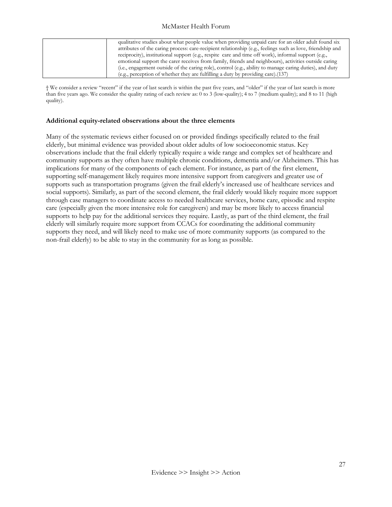| qualitative studies about what people value when providing unpaid care for an older adult found six        |
|------------------------------------------------------------------------------------------------------------|
| attributes of the caring process: care-recipient relationship (e.g., feelings such as love, friendship and |
| reciprocity), institutional support (e.g., respite care and time off work), informal support (e.g.,        |
| emotional support the carer receives from family, friends and neighbours), activities outside caring       |
| (i.e., engagement outside of the caring role), control (e.g., ability to manage caring duties), and duty   |
| (e.g., perception of whether they are fulfilling a duty by providing care). (137)                          |

† We consider a review "recent" if the year of last search is within the past five years, and "older" if the year of last search is more than five years ago. We consider the quality rating of each review as: 0 to 3 (low-quality); 4 to 7 (medium quality); and 8 to 11 (high quality).

#### <span id="page-27-0"></span>**Additional equity-related observations about the three elements**

Many of the systematic reviews either focused on or provided findings specifically related to the frail elderly, but minimal evidence was provided about older adults of low socioeconomic status. Key observations include that the frail elderly typically require a wide range and complex set of healthcare and community supports as they often have multiple chronic conditions, dementia and/or Alzheimers. This has implications for many of the components of each element. For instance, as part of the first element, supporting self-management likely requires more intensive support from caregivers and greater use of supports such as transportation programs (given the frail elderly's increased use of healthcare services and social supports). Similarly, as part of the second element, the frail elderly would likely require more support through case managers to coordinate access to needed healthcare services, home care, episodic and respite care (especially given the more intensive role for caregivers) and may be more likely to access financial supports to help pay for the additional services they require. Lastly, as part of the third element, the frail elderly will similarly require more support from CCACs for coordinating the additional community supports they need, and will likely need to make use of more community supports (as compared to the non-frail elderly) to be able to stay in the community for as long as possible.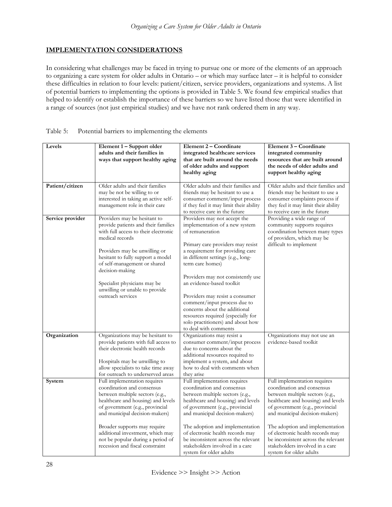## <span id="page-28-0"></span>**IMPLEMENTATION CONSIDERATIONS**

In considering what challenges may be faced in trying to pursue one or more of the elements of an approach to organizing a care system for older adults in Ontario – or which may surface later – it is helpful to consider these difficulties in relation to four levels: patient/citizen, service providers, organizations and systems. A list of potential barriers to implementing the options is provided in Table 5. We found few empirical studies that helped to identify or establish the importance of these barriers so we have listed those that were identified in a range of sources (not just empirical studies) and we have not rank ordered them in any way.

| Levels           | Element 1 – Support older<br>adults and their families in<br>ways that support healthy aging                                                                                                                                                                                                                                                         | Element 2 – Coordinate<br>integrated healthcare services<br>that are built around the needs<br>of older adults and support<br>healthy aging                                                                                                                                                                                                                                                                                                                                                     | Element 3 - Coordinate<br>integrated community<br>resources that are built around<br>the needs of older adults and<br>support healthy aging                                                                                                                                                                                                                                          |
|------------------|------------------------------------------------------------------------------------------------------------------------------------------------------------------------------------------------------------------------------------------------------------------------------------------------------------------------------------------------------|-------------------------------------------------------------------------------------------------------------------------------------------------------------------------------------------------------------------------------------------------------------------------------------------------------------------------------------------------------------------------------------------------------------------------------------------------------------------------------------------------|--------------------------------------------------------------------------------------------------------------------------------------------------------------------------------------------------------------------------------------------------------------------------------------------------------------------------------------------------------------------------------------|
| Patient/citizen  | Older adults and their families<br>may be not be willing to or<br>interested in taking an active self-<br>management role in their care                                                                                                                                                                                                              | Older adults and their families and<br>friends may be hesitant to use a<br>consumer comment/input process<br>if they feel it may limit their ability<br>to receive care in the future                                                                                                                                                                                                                                                                                                           | Older adults and their families and<br>friends may be hesitant to use a<br>consumer complaints process if<br>they feel it may limit their ability<br>to receive care in the future                                                                                                                                                                                                   |
| Service provider | Providers may be hesitant to<br>provide patients and their families<br>with full access to their electronic<br>medical records<br>Providers may be unwilling or<br>hesitant to fully support a model<br>of self-management or shared<br>decision-making<br>Specialist physicians may be<br>unwilling or unable to provide<br>outreach services       | Providers may not accept the<br>implementation of a new system<br>of remuneration<br>Primary care providers may resist<br>a requirement for providing care<br>in different settings (e.g., long-<br>term care homes)<br>Providers may not consistently use<br>an evidence-based toolkit<br>Providers may resist a consumer<br>comment/input process due to<br>concerns about the additional<br>resources required (especially for<br>solo practitioners) and about how<br>to deal with comments | Providing a wide range of<br>community supports requires<br>coordination between many types<br>of providers, which may be<br>difficult to implement                                                                                                                                                                                                                                  |
| Organization     | Organizations may be hesitant to<br>provide patients with full access to<br>their electronic health records<br>Hospitals may be unwilling to<br>allow specialists to take time away<br>for outreach to underserved areas                                                                                                                             | Organizations may resist a<br>consumer comment/input process<br>due to concerns about the<br>additional resources required to<br>implement a system, and about<br>how to deal with comments when<br>they arise                                                                                                                                                                                                                                                                                  | Organizations may not use an<br>evidence-based toolkit                                                                                                                                                                                                                                                                                                                               |
| System           | Full implementation requires<br>coordination and consensus<br>between multiple sectors (e.g.,<br>healthcare and housing) and levels<br>of government (e.g., provincial<br>and municipal decision-makers)<br>Broader supports may require<br>additional investment, which may<br>not be popular during a period of<br>recession and fiscal constraint | Full implementation requires<br>coordination and consensus<br>between multiple sectors (e.g.,<br>healthcare and housing) and levels<br>of government (e.g., provincial<br>and municipal decision-makers)<br>The adoption and implementation<br>of electronic health records may<br>be inconsistent across the relevant<br>stakeholders involved in a care<br>system for older adults                                                                                                            | Full implementation requires<br>coordination and consensus<br>between multiple sectors (e.g.,<br>healthcare and housing) and levels<br>of government (e.g., provincial<br>and municipal decision-makers)<br>The adoption and implementation<br>of electronic health records may<br>be inconsistent across the relevant<br>stakeholders involved in a care<br>system for older adults |

## Table 5: Potential barriers to implementing the elements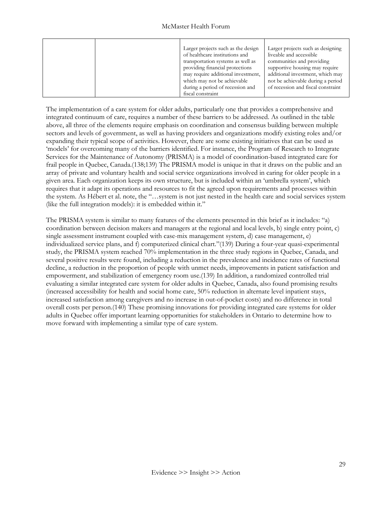|  | Larger projects such as the design | Larger projects such as designing  |
|--|------------------------------------|------------------------------------|
|  | of healthcare institutions and     | liveable and accessible            |
|  | transportation systems as well as  | communities and providing          |
|  | providing financial protections    | supportive housing may require     |
|  | may require additional investment, | additional investment, which may   |
|  | which may not be achievable        | not be achievable during a period  |
|  | during a period of recession and   | of recession and fiscal constraint |
|  | fiscal constraint                  |                                    |

The implementation of a care system for older adults, particularly one that provides a comprehensive and integrated continuum of care, requires a number of these barriers to be addressed. As outlined in the table above, all three of the elements require emphasis on coordination and consensus building between multiple sectors and levels of government, as well as having providers and organizations modify existing roles and/or expanding their typical scope of activities. However, there are some existing initiatives that can be used as 'models' for overcoming many of the barriers identified. For instance, the Program of Research to Integrate Services for the Maintenance of Autonomy (PRISMA) is a model of coordination-based integrated care for frail people in Quebec, Canada.(138;139) The PRISMA model is unique in that it draws on the public and an array of private and voluntary health and social service organizations involved in caring for older people in a given area. Each organization keeps its own structure, but is included within an 'umbrella system', which requires that it adapt its operations and resources to fit the agreed upon requirements and processes within the system. As Hébert et al. note, the "…system is not just nested in the health care and social services system (like the full integration models): it is embedded within it."

The PRISMA system is similar to many features of the elements presented in this brief as it includes: "a) coordination between decision makers and managers at the regional and local levels, b) single entry point, c) single assessment instrument coupled with case-mix management system, d) case management, e) individualized service plans, and f) computerized clinical chart."(139) During a four-year quasi-experimental study, the PRISMA system reached 70% implementation in the three study regions in Quebec, Canada, and several positive results were found, including a reduction in the prevalence and incidence rates of functional decline, a reduction in the proportion of people with unmet needs, improvements in patient satisfaction and empowerment, and stabilization of emergency room use.(139) In addition, a randomized controlled trial evaluating a similar integrated care system for older adults in Quebec, Canada, also found promising results (increased accessibility for health and social home care, 50% reduction in alternate level inpatient stays, increased satisfaction among caregivers and no increase in out-of-pocket costs) and no difference in total overall costs per person.(140) These promising innovations for providing integrated care systems for older adults in Quebec offer important learning opportunities for stakeholders in Ontario to determine how to move forward with implementing a similar type of care system.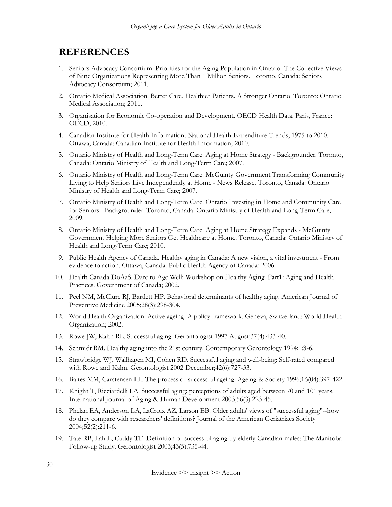# <span id="page-30-0"></span> **REFERENCES**

- 1. Seniors Advocacy Consortium. Priorities for the Aging Population in Ontario: The Collective Views of Nine Organizations Representing More Than 1 Million Seniors. Toronto, Canada: Seniors Advocacy Consortium; 2011.
- 2. Ontario Medical Association. Better Care. Healthier Patients. A Stronger Ontario. Toronto: Ontario Medical Association; 2011.
- 3. Organisation for Economic Co-operation and Development. OECD Health Data. Paris, France: OECD; 2010.
- 4. Canadian Institute for Health Information. National Health Expenditure Trends, 1975 to 2010. Ottawa, Canada: Canadian Institute for Health Information; 2010.
- 5. Ontario Ministry of Health and Long-Term Care. Aging at Home Strategy Backgrounder. Toronto, Canada: Ontario Ministry of Health and Long-Term Care; 2007.
- 6. Ontario Ministry of Health and Long-Term Care. McGuinty Government Transforming Community Living to Help Seniors Live Independently at Home - News Release. Toronto, Canada: Ontario Ministry of Health and Long-Term Care; 2007.
- 7. Ontario Ministry of Health and Long-Term Care. Ontario Investing in Home and Community Care for Seniors - Backgrounder. Toronto, Canada: Ontario Ministry of Health and Long-Term Care; 2009.
- 8. Ontario Ministry of Health and Long-Term Care. Aging at Home Strategy Expands McGuinty Government Helping More Seniors Get Healthcare at Home. Toronto, Canada: Ontario Ministry of Health and Long-Term Care; 2010.
- 9. Public Health Agency of Canada. Healthy aging in Canada: A new vision, a vital investment From evidence to action. Ottawa, Canada: Public Health Agency of Canada; 2006.
- 10. Health Canada DoAaS. Dare to Age Well: Workshop on Healthy Aging. Part1: Aging and Health Practices. Government of Canada; 2002.
- 11. Peel NM, McClure RJ, Bartlett HP. Behavioral determinants of healthy aging. American Journal of Preventive Medicine 2005;28(3):298-304.
- 12. World Health Organization. Active ageing: A policy framework. Geneva, Switzerland: World Health Organization; 2002.
- 13. Rowe JW, Kahn RL. Successful aging. Gerontologist 1997 August;37(4):433-40.
- 14. Schmidt RM. Healthy aging into the 21st century. Contemporary Gerontology 1994;1:3-6.
- 15. Strawbridge WJ, Wallhagen MI, Cohen RD. Successful aging and well-being: Self-rated compared with Rowe and Kahn. Gerontologist 2002 December;42(6):727-33.
- 16. Baltes MM, Carstensen LL. The process of successful ageing. Ageing & Society 1996;16(04):397-422.
- 17. Knight T, Ricciardelli LA. Successful aging: perceptions of adults aged between 70 and 101 years. International Journal of Aging & Human Development 2003;56(3):223-45.
- 18. Phelan EA, Anderson LA, LaCroix AZ, Larson EB. Older adults' views of "successful aging"--how do they compare with researchers' definitions? Journal of the American Geriatriacs Society 2004;52(2):211-6.
- 19. Tate RB, Lah L, Cuddy TE. Definition of successful aging by elderly Canadian males: The Manitoba Follow-up Study. Gerontologist 2003;43(5):735-44.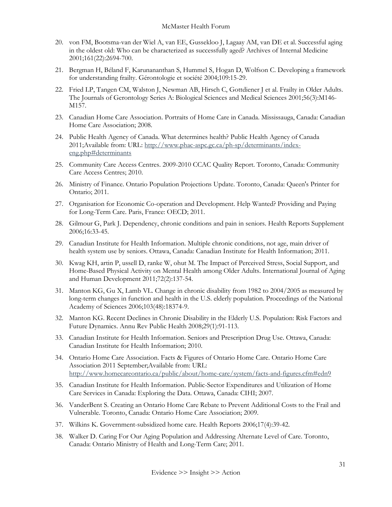- 20. von FM, Bootsma-van der Wiel A, van EE, Gussekloo J, Lagaay AM, van DE et al. Successful aging in the oldest old: Who can be characterized as successfully aged? Archives of Internal Medicine 2001;161(22):2694-700.
- 21. Bergman H, Béland F, Karunananthan S, Hummel S, Hogan D, Wolfson C. Developing a framework for understanding frailty. Gérontologie et société 2004;109:15-29.
- 22. Fried LP, Tangen CM, Walston J, Newman AB, Hirsch C, Gottdiener J et al. Frailty in Older Adults. The Journals of Gerontology Series A: Biological Sciences and Medical Sciences 2001;56(3):M146- M157.
- 23. Canadian Home Care Association. Portraits of Home Care in Canada. Mississauga, Canada: Canadian Home Care Association; 2008.
- 24. Public Health Agency of Canada. What determines health? Public Health Agency of Canada 2011;Available from: URL[: http://www.phac-aspc.gc.ca/ph-sp/determinants/index](http://www.phac-aspc.gc.ca/ph-sp/determinants/index-eng.php#determinants)[eng.php#determinants](http://www.phac-aspc.gc.ca/ph-sp/determinants/index-eng.php#determinants)
- 25. Community Care Access Centres. 2009-2010 CCAC Quality Report. Toronto, Canada: Community Care Access Centres; 2010.
- 26. Ministry of Finance. Ontario Population Projections Update. Toronto, Canada: Queen's Printer for Ontario; 2011.
- 27. Organisation for Economic Co-operation and Development. Help Wanted? Providing and Paying for Long-Term Care. Paris, France: OECD; 2011.
- 28. Gilmour G, Park J. Dependency, chronic conditions and pain in seniors. Health Reports Supplement 2006;16:33-45.
- 29. Canadian Institute for Health Information. Multiple chronic conditions, not age, main driver of health system use by seniors. Ottawa, Canada: Canadian Institute for Health Information; 2011.
- 30. Kwag KH, artin P, ussell D, ranke W, ohut M. The Impact of Perceived Stress, Social Support, and Home-Based Physical Activity on Mental Health among Older Adults. International Journal of Aging and Human Development 2011;72(2):137-54.
- 31. Manton KG, Gu X, Lamb VL. Change in chronic disability from 1982 to 2004/2005 as measured by long-term changes in function and health in the U.S. elderly population. Proceedings of the National Academy of Sciences 2006;103(48):18374-9.
- 32. Manton KG. Recent Declines in Chronic Disability in the Elderly U.S. Population: Risk Factors and Future Dynamics. Annu Rev Public Health 2008;29(1):91-113.
- 33. Canadian Institute for Health Information. Seniors and Prescription Drug Use. Ottawa, Canada: Canadian Institute for Health Information; 2010.
- 34. Ontario Home Care Association. Facts & Figures of Ontario Home Care. Ontario Home Care Association 2011 September;Available from: URL: <http://www.homecareontario.ca/public/about/home-care/system/facts-and-figures.cfm#edn9>
- 35. Canadian Institute for Health Information. Public-Sector Expenditures and Utilization of Home Care Services in Canada: Exploring the Data. Ottawa, Canada: CIHI; 2007.
- 36. VanderBent S. Creating an Ontario Home Care Rebate to Prevent Additional Costs to the Frail and Vulnerable. Toronto, Canada: Ontario Home Care Association; 2009.
- 37. Wilkins K. Government-subsidized home care. Health Reports 2006;17(4):39-42.
- 38. Walker D. Caring For Our Aging Population and Addressing Alternate Level of Care. Toronto, Canada: Ontario Ministry of Health and Long-Term Care; 2011.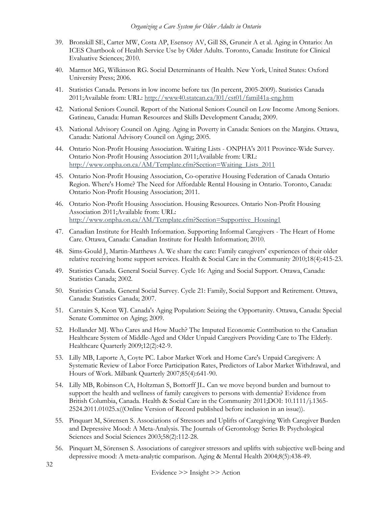- 39. Bronskill SE, Carter MW, Costa AP, Esensoy AV, Gill SS, Gruneir A et al. Aging in Ontario: An ICES Chartbook of Health Service Use by Older Adults. Toronto, Canada: Institute for Clinical Evaluative Sciences; 2010.
- 40. Marmot MG, Wilkinson RG. Social Determinants of Health. New York, United States: Oxford University Press; 2006.
- 41. Statistics Canada. Persons in low income before tax (In percent, 2005-2009). Statistics Canada 2011;Available from: URL[: http://www40.statcan.ca/l01/cst01/famil41a-eng.htm](http://www40.statcan.ca/l01/cst01/famil41a-eng.htm)
- 42. National Seniors Council. Report of the National Seniors Council on Low Income Among Seniors. Gatineau, Canada: Human Resources and Skills Development Canada; 2009.
- 43. National Advisory Council on Aging. Aging in Poverty in Canada: Seniors on the Margins. Ottawa, Canada: National Advisory Council on Aging; 2005.
- 44. Ontario Non-Profit Housing Association. Waiting Lists ONPHA's 2011 Province-Wide Survey. Ontario Non-Profit Housing Association 2011;Available from: URL: [http://www.onpha.on.ca/AM/Template.cfm?Section=Waiting\\_Lists\\_2011](http://www.onpha.on.ca/AM/Template.cfm?Section=Waiting_Lists_2011)
- 45. Ontario Non-Profit Housing Association, Co-operative Housing Federation of Canada Ontario Region. Where's Home? The Need for Affordable Rental Housing in Ontario. Toronto, Canada: Ontario Non-Profit Housing Association; 2011.
- 46. Ontario Non-Profit Housing Association. Housing Resources. Ontario Non-Profit Housing Association 2011;Available from: URL: [http://www.onpha.on.ca/AM/Template.cfm?Section=Supportive\\_Housing1](http://www.onpha.on.ca/AM/Template.cfm?Section=Supportive_Housing1)
- 47. Canadian Institute for Health Information. Supporting Informal Caregivers The Heart of Home Care. Ottawa, Canada: Canadian Institute for Health Information; 2010.
- 48. Sims-Gould J, Martin-Matthews A. We share the care: Family caregivers' experiences of their older relative receiving home support services. Health & Social Care in the Community 2010;18(4):415-23.
- 49. Statistics Canada. General Social Survey. Cycle 16: Aging and Social Support. Ottawa, Canada: Statistics Canada; 2002.
- 50. Statistics Canada. General Social Survey. Cycle 21: Family, Social Support and Retirement. Ottawa, Canada: Statistics Canada; 2007.
- 51. Carstairs S, Keon WJ. Canada's Aging Population: Seizing the Opportunity. Ottawa, Canada: Special Senate Committee on Aging; 2009.
- 52. Hollander MJ. Who Cares and How Much? The Imputed Economic Contribution to the Canadian Healthcare System of Middle-Aged and Older Unpaid Caregivers Providing Care to The Elderly. Healthcare Quarterly 2009;12(2):42-9.
- 53. Lilly MB, Laporte A, Coyte PC. Labor Market Work and Home Care's Unpaid Caregivers: A Systematic Review of Labor Force Participation Rates, Predictors of Labor Market Withdrawal, and Hours of Work. Milbank Quarterly 2007;85(4):641-90.
- 54. Lilly MB, Robinson CA, Holtzman S, Bottorff JL. Can we move beyond burden and burnout to support the health and wellness of family caregivers to persons with dementia? Evidence from British Columbia, Canada. Health & Social Care in the Community 2011;DOI: 10.1111/j.1365- 2524.2011.01025.x((Online Version of Record published before inclusion in an issue)).
- 55. Pinquart M, Sörensen S. Associations of Stressors and Uplifts of Caregiving With Caregiver Burden and Depressive Mood: A Meta-Analysis. The Journals of Gerontology Series B: Psychological Sciences and Social Sciences 2003;58(2):112-28.
- 56. Pinquart M, Sörensen S. Associations of caregiver stressors and uplifts with subjective well-being and depressive mood: A meta-analytic comparison. Aging & Mental Health 2004;8(5):438-49.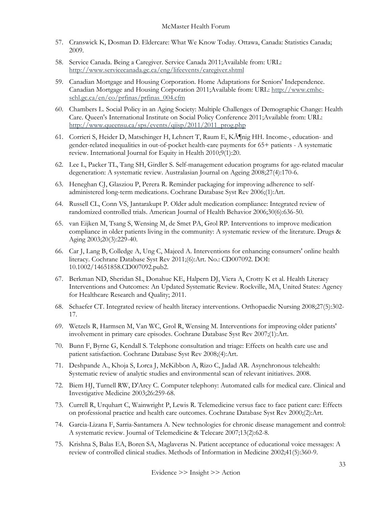- 57. Cranswick K, Dosman D. Eldercare: What We Know Today. Ottawa, Canada: Statistics Canada; 2009.
- 58. Service Canada. Being a Caregiver. Service Canada 2011;Available from: URL: <http://www.servicecanada.gc.ca/eng/lifeevents/caregiver.shtml>
- 59. Canadian Mortgage and Housing Corporation. Home Adaptations for Seniors' Independence. Canadian Mortgage and Housing Corporation 2011;Available from: URL: [http://www.cmhc](http://www.cmhc-schl.gc.ca/en/co/prfinas/prfinas_004.cfm)[schl.gc.ca/en/co/prfinas/prfinas\\_004.cfm](http://www.cmhc-schl.gc.ca/en/co/prfinas/prfinas_004.cfm)
- 60. Chambers L. Social Policy in an Aging Society: Multiple Challenges of Demographic Change: Health Care. Queen's International Institute on Social Policy Conference 2011;Available from: URL: [http://www.queensu.ca/sps/events/qiisp/2011/2011\\_prog.php](http://www.queensu.ca/sps/events/qiisp/2011/2011_prog.php)
- 61. Corrieri S, Heider D, Matschinger H, Lehnert T, Raum E, K $\tilde{A}$ Inig HH. Income-, education- and gender-related inequalities in out-of-pocket health-care payments for 65+ patients - A systematic review. International Journal for Equity in Health 2010;9(1):20.
- 62. Lee L, Packer TL, Tang SH, Girdler S. Self-management education programs for age-related macular degeneration: A systematic review. Australasian Journal on Ageing 2008;27(4):170-6.
- 63. Heneghan CJ, Glasziou P, Perera R. Reminder packaging for improving adherence to selfadministered long-term medications. Cochrane Database Syst Rev 2006;(1):Art.
- 64. Russell CL, Conn VS, Jantarakupt P. Older adult medication compliance: Integrated review of randomized controlled trials. American Journal of Health Behavior 2006;30(6):636-50.
- 65. van Eijken M, Tsang S, Wensing M, de Smet PA, Grol RP. Interventions to improve medication compliance in older patients living in the community: A systematic review of the literature. Drugs & Aging 2003;20(3):229-40.
- 66. Car J, Lang B, Colledge A, Ung C, Majeed A. Interventions for enhancing consumers' online health literacy. Cochrane Database Syst Rev 2011;(6):Art. No.: CD007092. DOI: 10.1002/14651858.CD007092.pub2.
- 67. Berkman ND, Sheridan SL, Donahue KE, Halpern DJ, Viera A, Crotty K et al. Health Literacy Interventions and Outcomes: An Updated Systematic Review. Rockville, MA, United States: Agency for Healthcare Research and Quality; 2011.
- 68. Schaefer CT. Integrated review of health literacy interventions. Orthopaedic Nursing 2008;27(5):302- 17.
- 69. Wetzels R, Harmsen M, Van WC, Grol R, Wensing M. Interventions for improving older patients' involvement in primary care episodes. Cochrane Database Syst Rev 2007;(1):Art.
- 70. Bunn F, Byrne G, Kendall S. Telephone consultation and triage: Effects on health care use and patient satisfaction. Cochrane Database Syst Rev 2008;(4):Art.
- 71. Deshpande A., Khoja S, Lorca J, McKibbon A, Rizo C, Jadad AR. Asynchronous telehealth: Systematic review of analytic studies and environmental scan of relevant initiatives. 2008.
- 72. Biem HJ, Turnell RW, D'Arcy C. Computer telephony: Automated calls for medical care. Clinical and Investigative Medicine 2003;26:259-68.
- 73. Currell R, Urquhart C, Wainwright P, Lewis R. Telemedicine versus face to face patient care: Effects on professional practice and health care outcomes. Cochrane Database Syst Rev 2000;(2):Art.
- 74. Garcia-Lizana F, Sarria-Santamera A. New technologies for chronic disease management and control: A systematic review. Journal of Telemedicine & Telecare 2007;13(2):62-8.
- 75. Krishna S, Balas EA, Boren SA, Maglaveras N. Patient acceptance of educational voice messages: A review of controlled clinical studies. Methods of Information in Medicine 2002;41(5):360-9.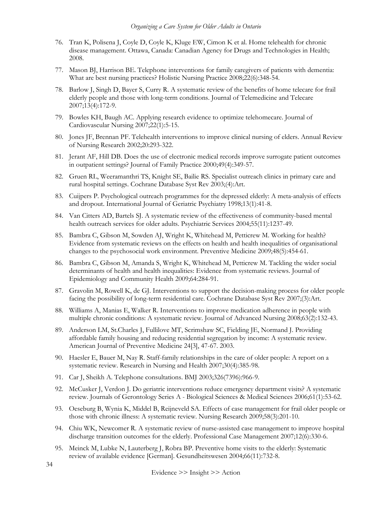- 76. Tran K, Polisena J, Coyle D, Coyle K, Kluge EW, Cimon K et al. Home telehealth for chronic disease management. Ottawa, Canada: Canadian Agency for Drugs and Technologies in Health; 2008.
- 77. Mason BJ, Harrison BE. Telephone interventions for family caregivers of patients with dementia: What are best nursing practices? Holistic Nursing Practice 2008;22(6):348-54.
- 78. Barlow J, Singh D, Bayer S, Curry R. A systematic review of the benefits of home telecare for frail elderly people and those with long-term conditions. Journal of Telemedicine and Telecare 2007;13(4):172-9.
- 79. Bowles KH, Baugh AC. Applying research evidence to optimize telehomecare. Journal of Cardiovascular Nursing 2007;22(1):5-15.
- 80. Jones JF, Brennan PF. Telehealth interventions to improve clinical nursing of elders. Annual Review of Nursing Research 2002;20:293-322.
- 81. Jerant AF, Hill DB. Does the use of electronic medical records improve surrogate patient outcomes in outpatient settings? Journal of Family Practice 2000;49(4):349-57.
- 82. Gruen RL, Weeramanthri TS, Knight SE, Bailie RS. Specialist outreach clinics in primary care and rural hospital settings. Cochrane Database Syst Rev 2003;(4):Art.
- 83. Cuijpers P. Psychological outreach programmes for the depressed elderly: A meta-analysis of effects and dropout. International Journal of Geriatric Psychiatry 1998;13(1):41-8.
- 84. Van Citters AD, Bartels SJ. A systematic review of the effectiveness of community-based mental health outreach services for older adults. Psychiatric Services 2004;55(11):1237-49.
- 85. Bambra C, Gibson M, Sowden AJ, Wright K, Whitehead M, Petticrew M. Working for health? Evidence from systematic reviews on the effects on health and health inequalities of organisational changes to the psychosocial work environment. Preventive Medicine 2009;48(5):454-61.
- 86. Bambra C, Gibson M, Amanda S, Wright K, Whitehead M, Petticrew M. Tackling the wider social determinants of health and health inequalities: Evidence from systematic reviews. Journal of Epidemiology and Community Health 2009;64:284-91.
- 87. Gravolin M, Rowell K, de GJ. Interventions to support the decision-making process for older people facing the possibility of long-term residential care. Cochrane Database Syst Rev 2007;(3):Art.
- 88. Williams A, Manias E, Walker R. Interventions to improve medication adherence in people with multiple chronic conditions: A systematic review. Journal of Advanced Nursing 2008;63(2):132-43.
- 89. Anderson LM, St.Charles J, Fullilove MT, Scrimshaw SC, Fielding JE, Normand J. Providing affordable family housing and reducing residential segregation by income: A systematic review. American Journal of Preventive Medicine 24[3], 47-67. 2003.
- 90. Haesler E, Bauer M, Nay R. Staff-family relationships in the care of older people: A report on a systematic review. Research in Nursing and Health 2007;30(4):385-98.
- 91. Car J, Sheikh A. Telephone consultations. BMJ 2003;326(7396):966-9.
- 92. McCusker J, Verdon J. Do geriatric interventions reduce emergency department visits? A systematic review. Journals of Gerontology Series A - Biological Sciences & Medical Sciences 2006;61(1):53-62.
- 93. Oeseburg B, Wynia K, Middel B, Reijneveld SA. Effects of case management for frail older people or those with chronic illness: A systematic review. Nursing Research 2009;58(3):201-10.
- 94. Chiu WK, Newcomer R. A systematic review of nurse-assisted case management to improve hospital discharge transition outcomes for the elderly. Professional Case Management 2007;12(6):330-6.
- 95. Meinck M, Lubke N, Lauterberg J, Robra BP. Preventive home visits to the elderly: Systematic review of available evidence [German]. Gesundheitswesen 2004;66(11):732-8.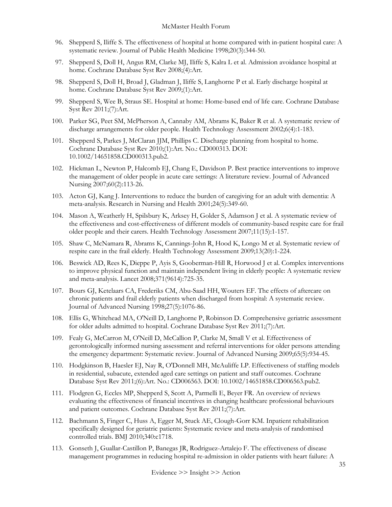- 96. Shepperd S, Iliffe S. The effectiveness of hospital at home compared with in-patient hospital care: A systematic review. Journal of Public Health Medicine 1998;20(3):344-50.
- 97. Shepperd S, Doll H, Angus RM, Clarke MJ, Iliffe S, Kalra L et al. Admission avoidance hospital at home. Cochrane Database Syst Rev 2008;(4):Art.
- 98. Shepperd S, Doll H, Broad J, Gladman J, Iliffe S, Langhorne P et al. Early discharge hospital at home. Cochrane Database Syst Rev 2009;(1):Art.
- 99. Shepperd S, Wee B, Straus SE. Hospital at home: Home-based end of life care. Cochrane Database Syst Rev 2011;(7):Art.
- 100. Parker SG, Peet SM, McPherson A, Cannaby AM, Abrams K, Baker R et al. A systematic review of discharge arrangements for older people. Health Technology Assessment 2002;6(4):1-183.
- 101. Shepperd S, Parkes J, McClaran JJM, Phillips C. Discharge planning from hospital to home. Cochrane Database Syst Rev 2010;(1):Art. No.: CD000313. DOI: 10.1002/14651858.CD000313.pub2.
- 102. Hickman L, Newton P, Halcomb EJ, Chang E, Davidson P. Best practice interventions to improve the management of older people in acute care settings: A literature review. Journal of Advanced Nursing 2007;60(2):113-26.
- 103. Acton GJ, Kang J. Interventions to reduce the burden of caregiving for an adult with dementia: A meta-analysis. Research in Nursing and Health 2001;24(5):349-60.
- 104. Mason A, Weatherly H, Spilsbury K, Arksey H, Golder S, Adamson J et al. A systematic review of the effectiveness and cost-effectiveness of different models of community-based respite care for frail older people and their carers. Health Technology Assessment 2007;11(15):1-157.
- 105. Shaw C, McNamara R, Abrams K, Cannings-John R, Hood K, Longo M et al. Systematic review of respite care in the frail elderly. Health Technology Assessment 2009;13(20):1-224.
- 106. Beswick AD, Rees K, Dieppe P, Ayis S, Gooberman-Hill R, Horwood J et al. Complex interventions to improve physical function and maintain independent living in elderly people: A systematic review and meta-analysis. Lancet 2008;371(9614):725-35.
- 107. Bours GJ, Ketelaars CA, Frederiks CM, Abu-Saad HH, Wouters EF. The effects of aftercare on chronic patients and frail elderly patients when discharged from hospital: A systematic review. Journal of Advanced Nursing 1998;27(5):1076-86.
- 108. Ellis G, Whitehead MA, O'Neill D, Langhorne P, Robinson D. Comprehensive geriatric assessment for older adults admitted to hospital. Cochrane Database Syst Rev 2011;(7):Art.
- 109. Fealy G, McCarron M, O'Neill D, McCallion P, Clarke M, Small V et al. Effectiveness of gerontologically informed nursing assessment and referral interventions for older persons attending the emergency department: Systematic review. Journal of Advanced Nursing 2009;65(5):934-45.
- 110. Hodgkinson B, Haesler EJ, Nay R, O'Donnell MH, McAuliffe LP. Effectiveness of staffing models in residential, subacute, extended aged care settings on patient and staff outcomes. Cochrane Database Syst Rev 2011;(6):Art. No.: CD006563. DOI: 10.1002/14651858.CD006563.pub2.
- 111. Flodgren G, Eccles MP, Shepperd S, Scott A, Parmelli E, Beyer FR. An overview of reviews evaluating the effectiveness of financial incentives in changing healthcare professional behaviours and patient outcomes. Cochrane Database Syst Rev 2011;(7):Art.
- 112. Bachmann S, Finger C, Huss A, Egger M, Stuck AE, Clough-Gorr KM. Inpatient rehabilitation specifically designed for geriatric patients: Systematic review and meta-analysis of randomised controlled trials. BMJ 2010;340:c1718.
- 113. Gonseth J, Guallar-Castillon P, Banegas JR, Rodriguez-Artalejo F. The effectiveness of disease management programmes in reducing hospital re-admission in older patients with heart failure: A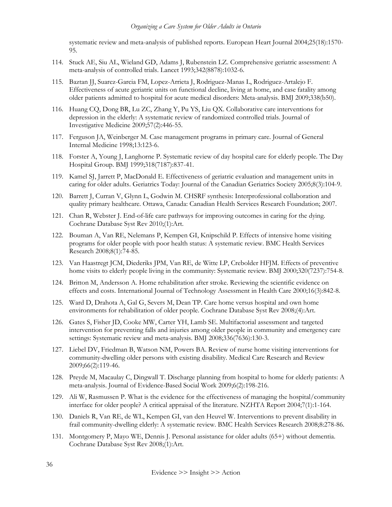systematic review and meta-analysis of published reports. European Heart Journal 2004;25(18):1570- 95.

- 114. Stuck AE, Siu AL, Wieland GD, Adams J, Rubenstein LZ. Comprehensive geriatric assessment: A meta-analysis of controlled trials. Lancet 1993;342(8878):1032-6.
- 115. Baztan JJ, Suarez-Garcia FM, Lopez-Arrieta J, Rodriguez-Manas L, Rodriguez-Artalejo F. Effectiveness of acute geriatric units on functional decline, living at home, and case fatality among older patients admitted to hospital for acute medical disorders: Meta-analysis. BMJ 2009;338(b50).
- 116. Huang CQ, Dong BR, Lu ZC, Zhang Y, Pu YS, Liu QX. Collaborative care interventions for depression in the elderly: A systematic review of randomized controlled trials. Journal of Investigative Medicine 2009;57(2):446-55.
- 117. Ferguson JA, Weinberger M. Case management programs in primary care. Journal of General Internal Medicine 1998;13:123-6.
- 118. Forster A, Young J, Langhorne P. Systematic review of day hospital care for elderly people. The Day Hospital Group. BMJ 1999;318(7187):837-41.
- 119. Kamel SJ, Jarrett P, MacDonald E. Effectiveness of geriatric evaluation and management units in caring for older adults. Geriatrics Today: Journal of the Canadian Geriatrics Society 2005;8(3):104-9.
- 120. Barrett J, Curran V, Glynn L, Godwin M. CHSRF synthesis: Interprofessional collaboration and quality primary healthcare. Ottawa, Canada: Canadian Health Services Research Foundation; 2007.
- 121. Chan R, Webster J. End-of-life care pathways for improving outcomes in caring for the dying. Cochrane Database Syst Rev 2010;(1):Art.
- 122. Bouman A, Van RE, Nelemans P, Kempen GI, Knipschild P. Effects of intensive home visiting programs for older people with poor health status: A systematic review. BMC Health Services Research 2008;8(1):74-85.
- 123. Van Haastregt JCM, Diederiks JPM, Van RE, de Witte LP, Crebolder HFJM. Effects of preventive home visits to elderly people living in the community: Systematic review. BMJ 2000;320(7237):754-8.
- 124. Britton M, Andersson A. Home rehabilitation after stroke. Reviewing the scientific evidence on effects and costs. International Journal of Technology Assessment in Health Care 2000;16(3):842-8.
- 125. Ward D, Drahota A, Gal G, Severs M, Dean TP. Care home versus hospital and own home environments for rehabilitation of older people. Cochrane Database Syst Rev 2008;(4):Art.
- 126. Gates S, Fisher JD, Cooke MW, Carter YH, Lamb SE. Multifactorial assessment and targeted intervention for preventing falls and injuries among older people in community and emergency care settings: Systematic review and meta-analysis. BMJ 2008;336(7636):130-3.
- 127. Liebel DV, Friedman B, Watson NM, Powers BA. Review of nurse home visiting interventions for community-dwelling older persons with existing disability. Medical Care Research and Review 2009;66(2):119-46.
- 128. Preyde M, Macaulay C, Dingwall T. Discharge planning from hospital to home for elderly patients: A meta-analysis. Journal of Evidence-Based Social Work 2009;6(2):198-216.
- 129. Ali W, Rasmussen P. What is the evidence for the effectiveness of managing the hospital/community interface for older people? A critical appraisal of the literature. NZHTA Report 2004;7(1):1-164.
- 130. Daniels R, Van RE, de WL, Kempen GI, van den Heuvel W. Interventions to prevent disability in frail community-dwelling elderly: A systematic review. BMC Health Services Research 2008;8:278-86.
- 131. Montgomery P, Mayo WE, Dennis J. Personal assistance for older adults (65+) without dementia. Cochrane Database Syst Rev 2008;(1):Art.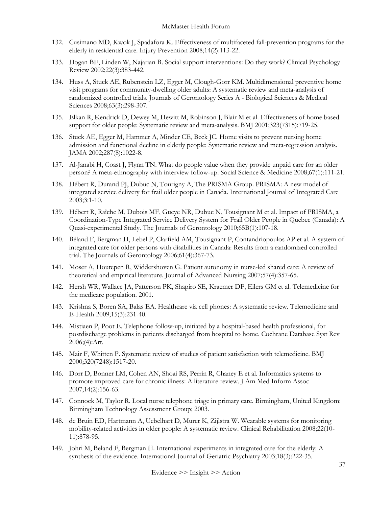- 132. Cusimano MD, Kwok J, Spadafora K. Effectiveness of multifaceted fall-prevention programs for the elderly in residential care. Injury Prevention 2008;14(2):113-22.
- 133. Hogan BE, Linden W, Najarian B. Social support interventions: Do they work? Clinical Psychology Review 2002;22(3):383-442.
- 134. Huss A, Stuck AE, Rubenstein LZ, Egger M, Clough-Gorr KM. Multidimensional preventive home visit programs for community-dwelling older adults: A systematic review and meta-analysis of randomized controlled trials. Journals of Gerontology Series A - Biological Sciences & Medical Sciences 2008;63(3):298-307.
- 135. Elkan R, Kendrick D, Dewey M, Hewitt M, Robinson J, Blair M et al. Effectiveness of home based support for older people: Systematic review and meta-analysis. BMJ 2001;323(7315):719-25.
- 136. Stuck AE, Egger M, Hammer A, Minder CE, Beck JC. Home visits to prevent nursing home admission and functional decline in elderly people: Systematic review and meta-regression analysis. JAMA 2002;287(8):1022-8.
- 137. Al-Janabi H, Coast J, Flynn TN. What do people value when they provide unpaid care for an older person? A meta-ethnography with interview follow-up. Social Science & Medicine 2008;67(1):111-21.
- 138. Hébert R, Durand PJ, Dubuc N, Tourigny A, The PRISMA Group. PRISMA: A new model of integrated service delivery for frail older people in Canada. International Journal of Integrated Care 2003;3:1-10.
- 139. Hébert R, Raîche M, Dubois MF, Gueye NR, Dubuc N, Tousignant M et al. Impact of PRISMA, a Coordination-Type Integrated Service Delivery System for Frail Older People in Quebec (Canada): A Quasi-experimental Study. The Journals of Gerontology 2010;65B(1):107-18.
- 140. Béland F, Bergman H, Lebel P, Clarfield AM, Tousignant P, Contandriopoulos AP et al. A system of integrated care for older persons with disabilities in Canada: Results from a randomized controlled trial. The Journals of Gerontology 2006;61(4):367-73.
- 141. Moser A, Houtepen R, Widdershoven G. Patient autonomy in nurse-led shared care: A review of theoretical and empirical literature. Journal of Advanced Nursing 2007;57(4):357-65.
- 142. Hersh WR, Wallace JA, Patterson PK, Shapiro SE, Kraemer DF, Eilers GM et al. Telemedicine for the medicare population. 2001.
- 143. Krishna S, Boren SA, Balas EA. Healthcare via cell phones: A systematic review. Telemedicine and E-Health 2009;15(3):231-40.
- 144. Mistiaen P, Poot E. Telephone follow-up, initiated by a hospital-based health professional, for postdischarge problems in patients discharged from hospital to home. Cochrane Database Syst Rev 2006;(4):Art.
- 145. Mair F, Whitten P. Systematic review of studies of patient satisfaction with telemedicine. BMJ 2000;320(7248):1517-20.
- 146. Dorr D, Bonner LM, Cohen AN, Shoai RS, Perrin R, Chaney E et al. Informatics systems to promote improved care for chronic illness: A literature review. J Am Med Inform Assoc 2007;14(2):156-63.
- 147. Connock M, Taylor R. Local nurse telephone triage in primary care. Birmingham, United Kingdom: Birmingham Technology Assessment Group; 2003.
- 148. de Bruin ED, Hartmann A, Uebelhart D, Murer K, Zijlstra W. Wearable systems for monitoring mobility-related activities in older people: A systematic review. Clinical Rehabilitation 2008;22(10- 11):878-95.
- 149. Johri M, Beland F, Bergman H. International experiments in integrated care for the elderly: A synthesis of the evidence. International Journal of Geriatric Psychiatry 2003;18(3):222-35.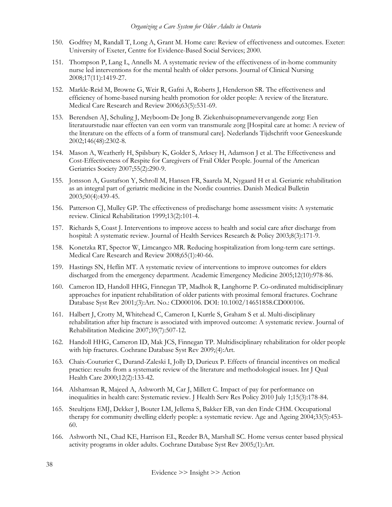- 150. Godfrey M, Randall T, Long A, Grant M. Home care: Review of effectiveness and outcomes. Exeter: University of Exeter, Centre for Evidence-Based Social Services; 2000.
- 151. Thompson P, Lang L, Annells M. A systematic review of the effectiveness of in-home community nurse led interventions for the mental health of older persons. Journal of Clinical Nursing 2008;17(11):1419-27.
- 152. Markle-Reid M, Browne G, Weir R, Gafni A, Roberts J, Henderson SR. The effectiveness and efficiency of home-based nursing health promotion for older people: A review of the literature. Medical Care Research and Review 2006;63(5):531-69.
- 153. Berendsen AJ, Schuling J, Meyboom-De Jong B. Ziekenhuisopnamevervangende zorg: Een literatuurstudie naar effecten van een vorm van transmurale zorg [Hospital care at home: A review of the literature on the effects of a form of transmural care]. Nederlands Tijdschrift voor Geneeskunde 2002;146(48):2302-8.
- 154. Mason A, Weatherly H, Spilsbury K, Golder S, Arksey H, Adamson J et al. The Effectiveness and Cost-Effectiveness of Respite for Caregivers of Frail Older People. Journal of the American Geriatrics Society 2007;55(2):290-9.
- 155. Jonsson A, Gustafson Y, Schroll M, Hansen FR, Saarela M, Nygaard H et al. Geriatric rehabilitation as an integral part of geriatric medicine in the Nordic countries. Danish Medical Bulletin 2003;50(4):439-45.
- 156. Patterson CJ, Mulley GP. The effectiveness of predischarge home assessment visits: A systematic review. Clinical Rehabilitation 1999;13(2):101-4.
- 157. Richards S, Coast J. Interventions to improve access to health and social care after discharge from hospital: A systematic review. Journal of Health Services Research & Policy 2003;8(3):171-9.
- 158. Konetzka RT, Spector W, Limcangco MR. Reducing hospitalization from long-term care settings. Medical Care Research and Review 2008;65(1):40-66.
- 159. Hastings SN, Heflin MT. A systematic review of interventions to improve outcomes for elders discharged from the emergency department. Academic Emergency Medicine 2005;12(10):978-86.
- 160. Cameron ID, Handoll HHG, Finnegan TP, Madhok R, Langhorne P. Co-ordinated multidisciplinary approaches for inpatient rehabilitation of older patients with proximal femoral fractures. Cochrane Database Syst Rev 2001;(3):Art. No.: CD000106. DOI: 10.1002/14651858.CD000106.
- 161. Halbert J, Crotty M, Whitehead C, Cameron I, Kurrle S, Graham S et al. Multi-disciplinary rehabilitation after hip fracture is associated with improved outcome: A systematic review. Journal of Rehabilitation Medicine 2007;39(7):507-12.
- 162. Handoll HHG, Cameron ID, Mak JCS, Finnegan TP. Multidisciplinary rehabilitation for older people with hip fractures. Cochrane Database Syst Rev 2009;(4):Art.
- 163. Chaix-Couturier C, Durand-Zaleski I, Jolly D, Durieux P. Effects of financial incentives on medical practice: results from a systematic review of the literature and methodological issues. Int J Qual Health Care 2000;12(2):133-42.
- 164. Alshamsan R, Majeed A, Ashworth M, Car J, Millett C. Impact of pay for performance on inequalities in health care: Systematic review. J Health Serv Res Policy 2010 July 1;15(3):178-84.
- 165. Steultjens EMJ, Dekker J, Bouter LM, Jellema S, Bakker EB, van den Ende CHM. Occupational therapy for community dwelling elderly people: a systematic review. Age and Ageing 2004;33(5):453- 60.
- 166. Ashworth NL, Chad KE, Harrison EL, Reeder BA, Marshall SC. Home versus center based physical activity programs in older adults. Cochrane Database Syst Rev 2005;(1):Art.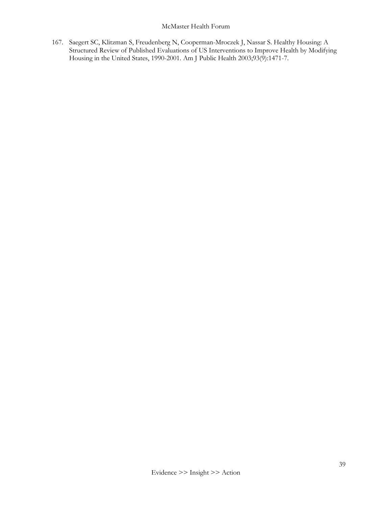167. Saegert SC, Klitzman S, Freudenberg N, Cooperman-Mroczek J, Nassar S. Healthy Housing: A Structured Review of Published Evaluations of US Interventions to Improve Health by Modifying Housing in the United States, 1990-2001. Am J Public Health 2003;93(9):1471-7.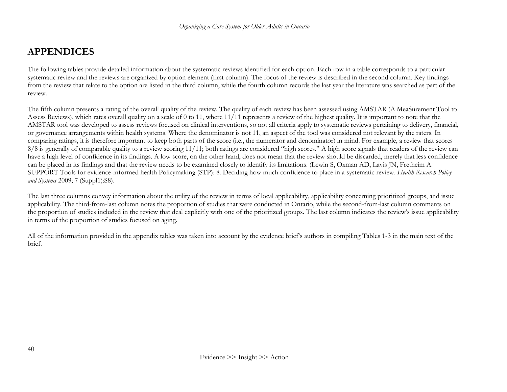# **APPENDICES**

The following tables provide detailed information about the systematic reviews identified for each option. Each row in a table corresponds to a particular systematic review and the reviews are organized by option element (first column). The focus of the review is described in the second column. Key findings from the review that relate to the option are listed in the third column, while the fourth column records the last year the literature was searched as part of the review.

The fifth column presents a rating of the overall quality of the review. The quality of each review has been assessed using AMSTAR (A MeaSurement Tool to Assess Reviews), which rates overall quality on a scale of 0 to 11, where 11/11 represents a review of the highest quality. It is important to note that the AMSTAR tool was developed to assess reviews focused on clinical interventions, so not all criteria apply to systematic reviews pertaining to delivery, financial, or governance arrangements within health systems. Where the denominator is not 11, an aspect of the tool was considered not relevant by the raters. In comparing ratings, it is therefore important to keep both parts of the score (i.e., the numerator and denominator) in mind. For example, a review that scores 8/8 is generally of comparable quality to a review scoring 11/11; both ratings are considered "high scores." A high score signals that readers of the review can have a high level of confidence in its findings. A low score, on the other hand, does not mean that the review should be discarded, merely that less confidence can be placed in its findings and that the review needs to be examined closely to identify its limitations. (Lewin S, Oxman AD, Lavis JN, Fretheim A. SUPPORT Tools for evidence-informed health Policymaking (STP): 8. Deciding how much confidence to place in a systematic review. *Health Research Policy and Systems* 2009; 7 (Suppl1):S8).

The last three columns convey information about the utility of the review in terms of local applicability, applicability concerning prioritized groups, and issue applicability. The third-from-last column notes the proportion of studies that were conducted in Ontario, while the second-from-last column comments on the proportion of studies included in the review that deal explicitly with one of the prioritized groups. The last column indicates the review's issue applicability in terms of the proportion of studies focused on aging.

All of the information provided in the appendix tables was taken into account by the evidence brief's authors in compiling Tables 1-3 in the main text of the brief.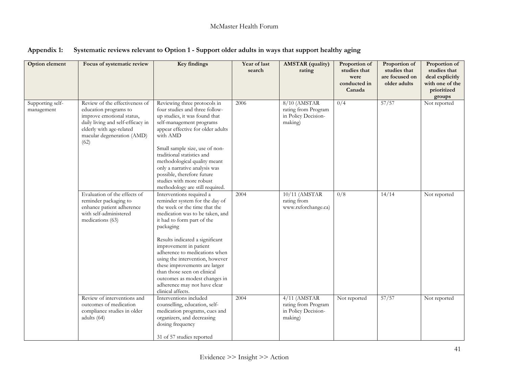| Option element                 | Focus of systematic review                                                                                                                                                                  | <b>Key findings</b>                                                                                                                                                                                                                                                                                                                                                                                                                                              | Year of last<br>search | <b>AMSTAR</b> (quality)<br>rating                                       | Proportion of<br>studies that<br>were<br>conducted in<br>Canada | Proportion of<br>studies that<br>are focused on<br>older adults | Proportion of<br>studies that<br>deal explicitly<br>with one of the<br>prioritized<br>groups |
|--------------------------------|---------------------------------------------------------------------------------------------------------------------------------------------------------------------------------------------|------------------------------------------------------------------------------------------------------------------------------------------------------------------------------------------------------------------------------------------------------------------------------------------------------------------------------------------------------------------------------------------------------------------------------------------------------------------|------------------------|-------------------------------------------------------------------------|-----------------------------------------------------------------|-----------------------------------------------------------------|----------------------------------------------------------------------------------------------|
| Supporting self-<br>management | Review of the effectiveness of<br>education programs to<br>improve emotional status,<br>daily living and self-efficacy in<br>elderly with age-related<br>macular degeneration (AMD)<br>(62) | Reviewing three protocols in<br>four studies and three follow-<br>up studies, it was found that<br>self-management programs<br>appear effective for older adults<br>with AMD<br>Small sample size, use of non-<br>traditional statistics and<br>methodological quality meant<br>only a narrative analysis was<br>possible, therefore future<br>studies with more robust<br>methodology are still required.                                                       | 2006                   | 8/10 (AMSTAR<br>rating from Program<br>in Policy Decision-<br>making)   | 0/4                                                             | 57/57                                                           | Not reported                                                                                 |
|                                | Evaluation of the effects of<br>reminder packaging to<br>enhance patient adherence<br>with self-administered<br>medications (63)                                                            | Interventions required a<br>reminder system for the day of<br>the week or the time that the<br>medication was to be taken, and<br>it had to form part of the<br>packaging<br>Results indicated a significant<br>improvement in patient<br>adherence to medications when<br>using the intervention, however<br>these improvements are larger<br>than those seen on clinical<br>outcomes as modest changes in<br>adherence may not have clear<br>clinical affects. | 2004                   | 10/11 (AMSTAR<br>rating from<br>www.rxforchange.ca)                     | 0/8                                                             | 14/14                                                           | Not reported                                                                                 |
|                                | Review of interventions and<br>outcomes of medication<br>compliance studies in older<br>adults (64)                                                                                         | Interventions included<br>counselling, education, self-<br>medication programs, cues and<br>organizers, and decreasing<br>dosing frequency<br>31 of 57 studies reported                                                                                                                                                                                                                                                                                          | 2004                   | $4/11$ (AMSTAR<br>rating from Program<br>in Policy Decision-<br>making) | Not reported                                                    | 57/57                                                           | Not reported                                                                                 |

| Appendix 1: Systematic reviews relevant to Option 1 - Support older adults in ways that support healthy aging |  |  |  |
|---------------------------------------------------------------------------------------------------------------|--|--|--|
|                                                                                                               |  |  |  |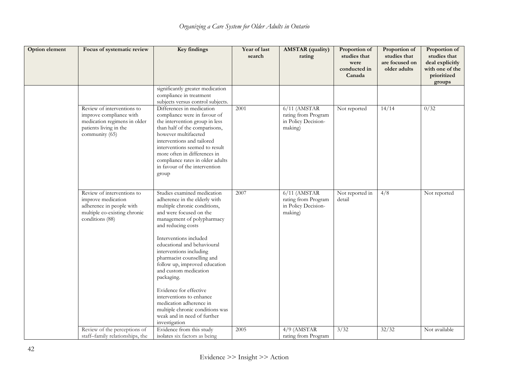| Option element | Focus of systematic review                                                                                                        | <b>Key findings</b>                                                                                                                                                                                                                                                                                                                                                                                                                                                                                                                       | Year of last<br>search | <b>AMSTAR</b> (quality)<br>rating                                       | Proportion of<br>studies that<br>were<br>conducted in<br>Canada | Proportion of<br>studies that<br>are focused on<br>older adults | Proportion of<br>studies that<br>deal explicitly<br>with one of the<br>prioritized<br>groups |
|----------------|-----------------------------------------------------------------------------------------------------------------------------------|-------------------------------------------------------------------------------------------------------------------------------------------------------------------------------------------------------------------------------------------------------------------------------------------------------------------------------------------------------------------------------------------------------------------------------------------------------------------------------------------------------------------------------------------|------------------------|-------------------------------------------------------------------------|-----------------------------------------------------------------|-----------------------------------------------------------------|----------------------------------------------------------------------------------------------|
|                |                                                                                                                                   | significantly greater medication<br>compliance in treatment<br>subjects versus control subjects.                                                                                                                                                                                                                                                                                                                                                                                                                                          |                        |                                                                         |                                                                 |                                                                 |                                                                                              |
|                | Review of interventions to<br>improve compliance with<br>medication regimens in older<br>patients living in the<br>community (65) | Differences in medication<br>compliance were in favour of<br>the intervention group in less<br>than half of the comparisons,<br>however multifaceted<br>interventions and tailored<br>interventions seemed to result<br>more often in differences in<br>compliance rates in older adults<br>in favour of the intervention<br>group                                                                                                                                                                                                        | 2001                   | $6/11$ (AMSTAR<br>rating from Program<br>in Policy Decision-<br>making) | Not reported                                                    | 14/14                                                           | 0/32                                                                                         |
|                | Review of interventions to<br>improve medication<br>adherence in people with<br>multiple co-existing chronic<br>conditions (88)   | Studies examined medication<br>adherence in the elderly with<br>multiple chronic conditions,<br>and were focused on the<br>management of polypharmacy<br>and reducing costs<br>Interventions included<br>educational and behavioural<br>interventions including<br>pharmacist counselling and<br>follow up, improved education<br>and custom medication<br>packaging.<br>Evidence for effective<br>interventions to enhance<br>medication adherence in<br>multiple chronic conditions was<br>weak and in need of further<br>investigation | 2007                   | $6/11$ (AMSTAR<br>rating from Program<br>in Policy Decision-<br>making) | Not reported in<br>detail                                       | 4/8                                                             | Not reported                                                                                 |
|                | Review of the perceptions of<br>staff-family relationships, the                                                                   | Evidence from this study<br>isolates six factors as being                                                                                                                                                                                                                                                                                                                                                                                                                                                                                 | 2005                   | $4/9$ (AMSTAR<br>rating from Program                                    | 3/32                                                            | 32/32                                                           | Not available                                                                                |
|                |                                                                                                                                   |                                                                                                                                                                                                                                                                                                                                                                                                                                                                                                                                           |                        |                                                                         |                                                                 |                                                                 |                                                                                              |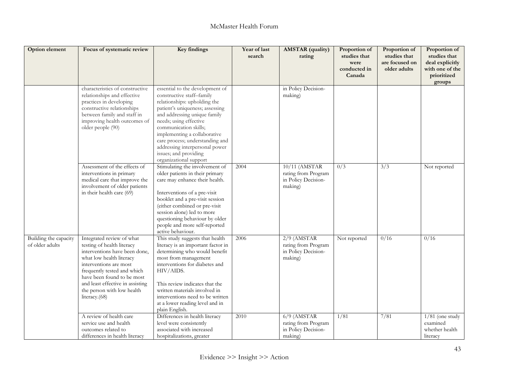| Option element                           | Focus of systematic review                                                                                                                                                                                                                                                                     | Key findings                                                                                                                                                                                                                                                                                                                                                               | Year of last<br>search | <b>AMSTAR</b> (quality)<br>rating                                      | Proportion of<br>studies that<br>were<br>conducted in<br>Canada | Proportion of<br>studies that<br>are focused on<br>older adults | Proportion of<br>studies that<br>deal explicitly<br>with one of the<br>prioritized<br>groups |
|------------------------------------------|------------------------------------------------------------------------------------------------------------------------------------------------------------------------------------------------------------------------------------------------------------------------------------------------|----------------------------------------------------------------------------------------------------------------------------------------------------------------------------------------------------------------------------------------------------------------------------------------------------------------------------------------------------------------------------|------------------------|------------------------------------------------------------------------|-----------------------------------------------------------------|-----------------------------------------------------------------|----------------------------------------------------------------------------------------------|
|                                          | characteristics of constructive<br>relationships and effective<br>practices in developing<br>constructive relationships<br>between family and staff in<br>improving health outcomes of<br>older people (90)                                                                                    | essential to the development of<br>constructive staff-family<br>relationships: upholding the<br>patient's uniqueness; assessing<br>and addressing unique family<br>needs; using effective<br>communication skills;<br>implementing a collaborative<br>care process; understanding and<br>addressing interpersonal power<br>issues; and providing<br>organizational support |                        | in Policy Decision-<br>making)                                         |                                                                 |                                                                 |                                                                                              |
|                                          | Assessment of the effects of<br>interventions in primary<br>medical care that improve the<br>involvement of older patients<br>in their health care (69)                                                                                                                                        | Stimulating the involvement of<br>older patients in their primary<br>care may enhance their health.<br>Interventions of a pre-visit<br>booklet and a pre-visit session<br>(either combined or pre-visit<br>session alone) led to more<br>questioning behaviour by older<br>people and more self-reported<br>active behaviour.                                              | 2004                   | 10/11 (AMSTAR<br>rating from Program<br>in Policy Decision-<br>making) | 0/3                                                             | 3/3                                                             | Not reported                                                                                 |
| Building the capacity<br>of older adults | Integrated review of what<br>testing of health literacy<br>interventions have been done,<br>what low health literacy<br>interventions are most<br>frequently tested and which<br>have been found to be most<br>and least effective in assisting<br>the person with low health<br>literacy.(68) | This study suggests that health<br>literacy is an important factor in<br>determining who would benefit<br>most from management<br>interventions for diabetes and<br>HIV/AIDS.<br>This review indicates that the<br>written materials involved in<br>interventions need to be written<br>at a lower reading level and in<br>plain English.                                  | 2006                   | $2/9$ (AMSTAR<br>rating from Program<br>in Policy Decision-<br>making) | Not reported                                                    | 0/16                                                            | 0/16                                                                                         |
|                                          | A review of health care<br>service use and health<br>outcomes related to<br>differences in health literacy                                                                                                                                                                                     | Differences in health literacy<br>level were consistently<br>associated with increased<br>hospitalizations, greater                                                                                                                                                                                                                                                        | 2010                   | $6/9$ (AMSTAR<br>rating from Program<br>in Policy Decision-<br>making) | 1/81                                                            | 7/81                                                            | $\frac{1}{81}$ (one study<br>examined<br>whether health<br>literacy                          |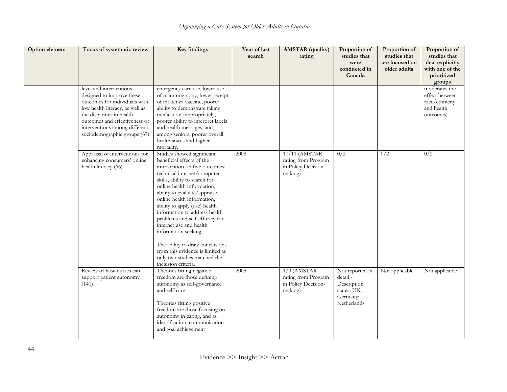| Option element | Focus of systematic review                                                                                                                                                                                                                              | <b>Key findings</b>                                                                                                                                                                                                                                                                                                                                                                                                                                                                                                                        | Year of last<br>search | <b>AMSTAR</b> (quality)<br>rating                                      | Proportion of<br>studies that<br>were<br>conducted in<br>Canada                      | Proportion of<br>studies that<br>are focused on<br>older adults | Proportion of<br>studies that<br>deal explicitly<br>with one of the<br>prioritized<br>groups |
|----------------|---------------------------------------------------------------------------------------------------------------------------------------------------------------------------------------------------------------------------------------------------------|--------------------------------------------------------------------------------------------------------------------------------------------------------------------------------------------------------------------------------------------------------------------------------------------------------------------------------------------------------------------------------------------------------------------------------------------------------------------------------------------------------------------------------------------|------------------------|------------------------------------------------------------------------|--------------------------------------------------------------------------------------|-----------------------------------------------------------------|----------------------------------------------------------------------------------------------|
|                | level and interventions<br>designed to improve these<br>outcomes for individuals with<br>low health literacy, as well as<br>the disparities in health<br>outcomes and effectiveness of<br>interventions among different<br>sociodemographic groups (67) | emergency care use, lower use<br>of mammography, lower receipt<br>of influenza vaccine, poorer<br>ability to demonstrate taking<br>medications appropriately,<br>poorer ability to interpret labels<br>and health messages, and,<br>among seniors, poorer overall<br>health status and higher<br>mortality.                                                                                                                                                                                                                                |                        |                                                                        |                                                                                      |                                                                 | moderates the<br>effect between<br>race/ethnicity<br>and health<br>outcomes)                 |
|                | Appraisal of interventions for<br>enhancing consumers' online<br>health literacy (66)                                                                                                                                                                   | Studies showed significant<br>beneficial effects of the<br>intervention on five outcomes:<br>technical internet/computer<br>skills, ability to search for<br>online health information,<br>ability to evaluate/appraise<br>online health information,<br>ability to apply (use) health<br>information to address health<br>problems and self-efficacy for<br>internet use and health<br>information seeking.<br>The ability to draw conclusions<br>from this evidence is limited as<br>only two studies matched the<br>inclusion criteria. | 2008                   | 10/11 (AMSTAR<br>rating from Program<br>in Policy Decision-<br>making) | 0/2                                                                                  | 0/2                                                             | 0/2                                                                                          |
|                | Review of how nurses can<br>support patient autonomy<br>(141)                                                                                                                                                                                           | Theories fitting negative<br>freedom are those defining<br>autonomy as self-governance<br>and self-care<br>Theories fitting positive<br>freedom are those focusing on<br>autonomy in caring, and as<br>identification, communication<br>and goal achievement                                                                                                                                                                                                                                                                               | 2005                   | $1/9$ (AMSTAR<br>rating from Program<br>in Policy Decision-<br>making) | Not reported in<br>detail -<br>Description<br>states: UK;<br>Germany;<br>Netherlands | Not applicable                                                  | Not applicable                                                                               |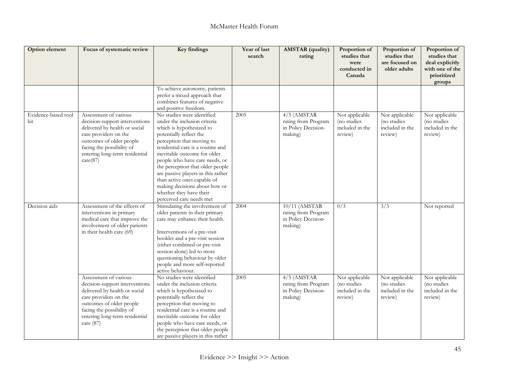| Option element             | Focus of systematic review                                                                                                                                                                                                  | <b>Key findings</b>                                                                                                                                                                                                                                                                                                                                                                                                                                    | Year of last<br>search | <b>AMSTAR</b> (quality)<br>rating                                      | Proportion of<br>studies that<br>were<br>conducted in<br>Canada | Proportion of<br>studies that<br>are focused on<br>older adults | Proportion of<br>studies that<br>deal explicitly<br>with one of the<br>prioritized<br>groups |
|----------------------------|-----------------------------------------------------------------------------------------------------------------------------------------------------------------------------------------------------------------------------|--------------------------------------------------------------------------------------------------------------------------------------------------------------------------------------------------------------------------------------------------------------------------------------------------------------------------------------------------------------------------------------------------------------------------------------------------------|------------------------|------------------------------------------------------------------------|-----------------------------------------------------------------|-----------------------------------------------------------------|----------------------------------------------------------------------------------------------|
|                            |                                                                                                                                                                                                                             | To achieve autonomy, patients<br>prefer a mixed approach that<br>combines features of negative<br>and positive freedom.                                                                                                                                                                                                                                                                                                                                |                        |                                                                        |                                                                 |                                                                 |                                                                                              |
| Evidence-based tool<br>kit | Assessment of various<br>decision-support interventions<br>delivered by health or social<br>care providers on the<br>outcomes of older people<br>facing the possibility of<br>entering long-term residential<br>care(87)    | No studies were identified<br>under the inclusion criteria<br>which is hypothesized to<br>potentially reflect the<br>perception that moving to<br>residential care is a routine and<br>inevitable outcome for older<br>people who have care needs, or<br>the perception that older people<br>are passive players in this rather<br>than active ones capable of<br>making decisions about how or<br>whether they have their<br>perceived care needs met | 2005                   | $4/5$ (AMSTAR<br>rating from Program<br>in Policy Decision-<br>making) | Not applicable<br>(no studies<br>included in the<br>review)     | Not applicable<br>(no studies<br>included in the<br>review)     | Not applicable<br>(no studies<br>included in the<br>review)                                  |
| Decision aids              | Assessment of the effects of<br>interventions in primary<br>medical care that improve the<br>involvement of older patients<br>in their health care (69)                                                                     | Stimulating the involvement of<br>older patients in their primary<br>care may enhance their health.<br>Interventions of a pre-visit<br>booklet and a pre-visit session<br>(either combined or pre-visit<br>session alone) led to more<br>questioning behaviour by older<br>people and more self-reported<br>active behaviour.                                                                                                                          | 2004                   | 10/11 (AMSTAR<br>rating from Program<br>in Policy Decision-<br>making) | 0/3                                                             | $\overline{3}/\overline{3}$                                     | Not reported                                                                                 |
|                            | Assessment of various<br>decision-support interventions<br>delivered by health or social<br>care providers on the<br>outcomes of older people<br>facing the possibility of<br>entering long-term residential<br>care $(87)$ | No studies were identified<br>under the inclusion criteria<br>which is hypothesized to<br>potentially reflect the<br>perception that moving to<br>residential care is a routine and<br>inevitable outcome for older<br>people who have care needs, or<br>the perception that older people<br>are passive players in this rather                                                                                                                        | 2005                   | $4/5$ (AMSTAR<br>rating from Program<br>in Policy Decision-<br>making) | Not applicable<br>(no studies<br>included in the<br>review)     | Not applicable<br>(no studies<br>included in the<br>review)     | Not applicable<br>(no studies<br>included in the<br>review)                                  |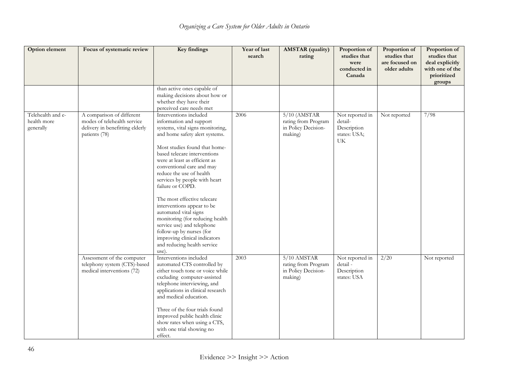| Option element                                | Focus of systematic review                                                                                   | <b>Key findings</b>                                                                                                                                                                                                                                                                                                                                                                                                                                                                                                                                                                                 | Year of last<br>search | <b>AMSTAR</b> (quality)<br>rating                                       | Proportion of<br>studies that<br>were<br>conducted in<br>Canada | Proportion of<br>studies that<br>are focused on<br>older adults | Proportion of<br>studies that<br>deal explicitly<br>with one of the<br>prioritized<br>groups |
|-----------------------------------------------|--------------------------------------------------------------------------------------------------------------|-----------------------------------------------------------------------------------------------------------------------------------------------------------------------------------------------------------------------------------------------------------------------------------------------------------------------------------------------------------------------------------------------------------------------------------------------------------------------------------------------------------------------------------------------------------------------------------------------------|------------------------|-------------------------------------------------------------------------|-----------------------------------------------------------------|-----------------------------------------------------------------|----------------------------------------------------------------------------------------------|
|                                               |                                                                                                              | than active ones capable of<br>making decisions about how or<br>whether they have their<br>perceived care needs met                                                                                                                                                                                                                                                                                                                                                                                                                                                                                 |                        |                                                                         |                                                                 |                                                                 |                                                                                              |
| Telehealth and e-<br>health more<br>generally | A comparison of different<br>modes of telehealth service<br>delivery in benefitting elderly<br>patients (78) | Interventions included<br>information and support<br>systems, vital signs monitoring,<br>and home safety alert systems.<br>Most studies found that home-<br>based telecare interventions<br>were at least as efficient as<br>conventional care and may<br>reduce the use of health<br>services by people with heart<br>failure or COPD.<br>The most effective telecare<br>interventions appear to be<br>automated vital signs<br>monitoring (for reducing health<br>service use) and telephone<br>follow-up by nurses (for<br>improving clinical indicators<br>and reducing health service<br>use). | 2006                   | $5/10$ (AMSTAR<br>rating from Program<br>in Policy Decision-<br>making) | Not reported in<br>detail-<br>Description<br>states: USA;<br>UK | Not reported                                                    | 7/98                                                                                         |
|                                               | Assessment of the computer<br>telephony system (CTS)-based<br>medical interventions (72)                     | Interventions included<br>automated CTS controlled by<br>either touch tone or voice while<br>excluding computer-assisted<br>telephone interviewing, and<br>applications in clinical research<br>and medical education.<br>Three of the four trials found<br>improved public health clinic<br>show rates when using a CTS,<br>with one trial showing no<br>effect.                                                                                                                                                                                                                                   | 2003                   | 5/10 AMSTAR<br>rating from Program<br>in Policy Decision-<br>making)    | Not reported in<br>detail -<br>Description<br>states: USA       | 2/20                                                            | Not reported                                                                                 |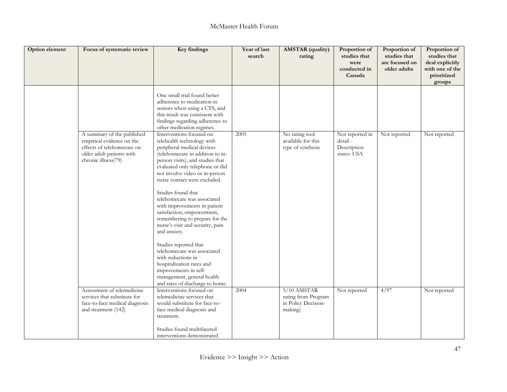| Option element | Focus of systematic review                                                                                                                | <b>Key findings</b>                                                                                                                                                                                                                                                                                                                                                                                                                                                                                                                                                                                                                                                             | Year of last<br>search | <b>AMSTAR</b> (quality)<br>rating                                      | Proportion of<br>studies that<br>were<br>conducted in<br>Canada | Proportion of<br>studies that<br>are focused on<br>older adults | Proportion of<br>studies that<br>deal explicitly<br>with one of the<br>prioritized<br>groups |
|----------------|-------------------------------------------------------------------------------------------------------------------------------------------|---------------------------------------------------------------------------------------------------------------------------------------------------------------------------------------------------------------------------------------------------------------------------------------------------------------------------------------------------------------------------------------------------------------------------------------------------------------------------------------------------------------------------------------------------------------------------------------------------------------------------------------------------------------------------------|------------------------|------------------------------------------------------------------------|-----------------------------------------------------------------|-----------------------------------------------------------------|----------------------------------------------------------------------------------------------|
|                |                                                                                                                                           | One small trial found better<br>adherence to medication in<br>seniors when using a CTS, and<br>this result was consistent with<br>findings regarding adherence to<br>other medication regimes.                                                                                                                                                                                                                                                                                                                                                                                                                                                                                  |                        |                                                                        |                                                                 |                                                                 |                                                                                              |
|                | A summary of the published<br>empirical evidence on the<br>effects of telehomecare on<br>older adult patients with<br>chronic illness(79) | Interventions focused on<br>telehealth technology with<br>peripheral medical devices<br>(telehomecare in addition to in-<br>person visits), and studies that<br>evaluated only telephone or did<br>not involve video or in-person<br>nurse contact were excluded.<br>Studies found that<br>telehomecare was associated<br>with improvements in patient<br>satisfaction, empowerment,<br>remembering to prepare for the<br>nurse's visit and security, pain<br>and anxiety.<br>Studies reported that<br>telehomecare was associated<br>with reductions in<br>hospitalization rates and<br>improvements in self-<br>management, general health<br>and rates of discharge to home. | 2005                   | No rating tool<br>available for this<br>type of synthesis              | Not reported in<br>detail -<br>Description<br>states: USA       | Not reported                                                    | Not reported                                                                                 |
|                | Assessment of telemedicine<br>services that substitute for<br>face-to-face medical diagnosis<br>and treatment (142)                       | Interventions focused on<br>telemedicine services that<br>would substitute for face-to-<br>face medical diagnosis and<br>treatment.<br>Studies found multifaceted<br>interventions demonstrated                                                                                                                                                                                                                                                                                                                                                                                                                                                                                 | 2004                   | $5/10$ AMSTAR<br>rating from Program<br>in Policy Decision-<br>making) | Not reported                                                    | 4/97                                                            | Not reported                                                                                 |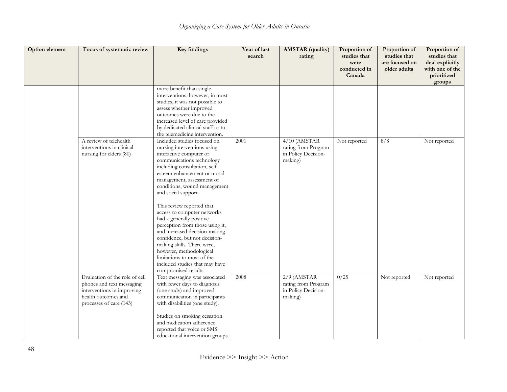| <b>Option element</b> | Focus of systematic review                                                                                                                  | <b>Key findings</b>                                                                                                                                                                                                                                                                                                                                                                                                                                                                                                                                                                                                 | Year of last<br>search | <b>AMSTAR</b> (quality)<br>rating                                       | Proportion of<br>studies that<br>were<br>conducted in<br>Canada | Proportion of<br>studies that<br>are focused on<br>older adults | Proportion of<br>studies that<br>deal explicitly<br>with one of the<br>prioritized<br>groups |
|-----------------------|---------------------------------------------------------------------------------------------------------------------------------------------|---------------------------------------------------------------------------------------------------------------------------------------------------------------------------------------------------------------------------------------------------------------------------------------------------------------------------------------------------------------------------------------------------------------------------------------------------------------------------------------------------------------------------------------------------------------------------------------------------------------------|------------------------|-------------------------------------------------------------------------|-----------------------------------------------------------------|-----------------------------------------------------------------|----------------------------------------------------------------------------------------------|
|                       |                                                                                                                                             | more benefit than single<br>interventions, however, in most<br>studies, it was not possible to<br>assess whether improved<br>outcomes were due to the<br>increased level of care provided<br>by dedicated clinical staff or to<br>the telemedicine intervention.                                                                                                                                                                                                                                                                                                                                                    |                        |                                                                         |                                                                 |                                                                 |                                                                                              |
|                       | A review of telehealth<br>interventions in clinical<br>nursing for elders (80)                                                              | Included studies focused on<br>nursing interventions using<br>interactive computer or<br>communications technology<br>including consultation, self-<br>esteem enhancement or mood<br>management, assessment of<br>conditions, wound management<br>and social support.<br>This review reported that<br>access to computer networks<br>had a generally positive<br>perception from those using it,<br>and increased decision-making<br>confidence, but not decision-<br>making skills. There were,<br>however, methodological<br>limitations to most of the<br>included studies that may have<br>compromised results. | 2001                   | $4/10$ (AMSTAR<br>rating from Program<br>in Policy Decision-<br>making) | Not reported                                                    | 8/8                                                             | Not reported                                                                                 |
|                       | Evaluation of the role of cell<br>phones and text messaging<br>interventions in improving<br>health outcomes and<br>processes of care (143) | Text messaging was associated<br>with fewer days to diagnosis<br>(one study) and improved<br>communication in participants<br>with disabilities (one study).<br>Studies on smoking cessation<br>and medication adherence<br>reported that voice or SMS<br>educational intervention groups                                                                                                                                                                                                                                                                                                                           | 2008                   | $2/9$ (AMSTAR<br>rating from Program<br>in Policy Decision-<br>making)  | 0/25                                                            | Not reported                                                    | Not reported                                                                                 |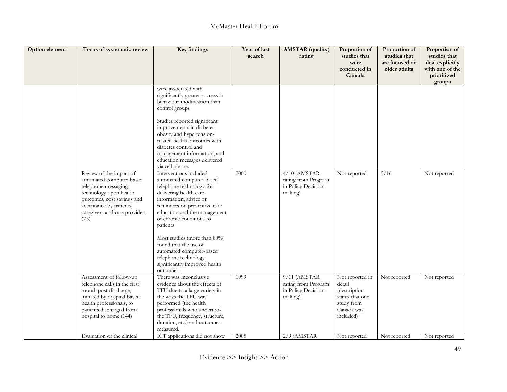| Option element | Focus of systematic review                                                                                                                                                                             | Key findings                                                                                                                                                                                                                                             | Year of last<br>search | <b>AMSTAR</b> (quality)<br>rating                                       | Proportion of<br>studies that<br>were<br>conducted in<br>Canada                                                | Proportion of<br>studies that<br>are focused on<br>older adults | Proportion of<br>studies that<br>deal explicitly<br>with one of the<br>prioritized<br>groups |
|----------------|--------------------------------------------------------------------------------------------------------------------------------------------------------------------------------------------------------|----------------------------------------------------------------------------------------------------------------------------------------------------------------------------------------------------------------------------------------------------------|------------------------|-------------------------------------------------------------------------|----------------------------------------------------------------------------------------------------------------|-----------------------------------------------------------------|----------------------------------------------------------------------------------------------|
|                |                                                                                                                                                                                                        | were associated with<br>significantly greater success in<br>behaviour modification than<br>control groups                                                                                                                                                |                        |                                                                         |                                                                                                                |                                                                 |                                                                                              |
|                |                                                                                                                                                                                                        | Studies reported significant<br>improvements in diabetes,<br>obesity and hypertension-<br>related health outcomes with<br>diabetes control and<br>management information, and<br>education messages delivered<br>via cell phone.                         |                        |                                                                         |                                                                                                                |                                                                 |                                                                                              |
|                | Review of the impact of<br>automated computer-based<br>telephone messaging<br>technology upon health<br>outcomes, cost savings and<br>acceptance by patients,<br>caregivers and care providers<br>(75) | Interventions included<br>automated computer-based<br>telephone technology for<br>delivering health care<br>information, advice or<br>reminders on preventive care<br>education and the management<br>of chronic conditions to<br>patients               | 2000                   | $4/10$ (AMSTAR<br>rating from Program<br>in Policy Decision-<br>making) | Not reported                                                                                                   | 5/16                                                            | Not reported                                                                                 |
|                |                                                                                                                                                                                                        | Most studies (more than $80\%$ )<br>found that the use of<br>automated computer-based<br>telephone technology<br>significantly improved health<br>outcomes.                                                                                              |                        |                                                                         |                                                                                                                |                                                                 |                                                                                              |
|                | Assessment of follow-up<br>telephone calls in the first<br>month post discharge,<br>initiated by hospital-based<br>health professionals, to<br>patients discharged from<br>hospital to home (144)      | There was inconclusive.<br>evidence about the effects of<br>TFU due to a large variety in<br>the ways the TFU was<br>performed (the health<br>professionals who undertook<br>the TFU, frequency, structure,<br>duration, etc.) and outcomes<br>measured. | 1999                   | $9/11$ (AMSTAR<br>rating from Program<br>in Policy Decision-<br>making) | Not reported in<br>detail<br><i>(description</i> )<br>states that one<br>study from<br>Canada was<br>included) | Not reported                                                    | Not reported                                                                                 |
|                | Evaluation of the clinical                                                                                                                                                                             | ICT applications did not show                                                                                                                                                                                                                            | 2005                   | $2/9$ (AMSTAR                                                           | Not reported                                                                                                   | Not reported                                                    | Not reported                                                                                 |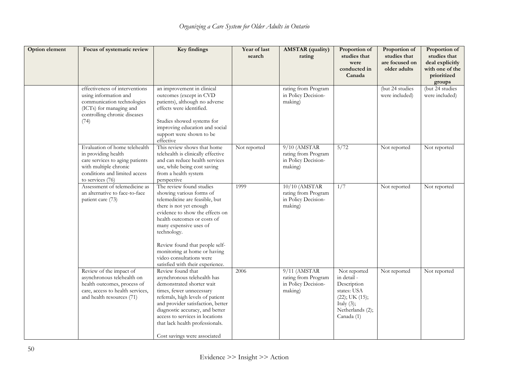| Option element | Focus of systematic review                                                                                                                                            | <b>Key findings</b>                                                                                                                                                                                                                                                                                                          | Year of last<br>search | <b>AMSTAR</b> (quality)<br>rating                                        | Proportion of<br>studies that<br>were<br>conducted in<br>Canada                                                                      | Proportion of<br>studies that<br>are focused on<br>older adults | Proportion of<br>studies that<br>deal explicitly<br>with one of the<br>prioritized<br>groups |
|----------------|-----------------------------------------------------------------------------------------------------------------------------------------------------------------------|------------------------------------------------------------------------------------------------------------------------------------------------------------------------------------------------------------------------------------------------------------------------------------------------------------------------------|------------------------|--------------------------------------------------------------------------|--------------------------------------------------------------------------------------------------------------------------------------|-----------------------------------------------------------------|----------------------------------------------------------------------------------------------|
|                | effectiveness of interventions<br>using information and<br>communication technologies<br>(ICTs) for managing and<br>controlling chronic diseases<br>(74)              | an improvement in clinical<br>outcomes (except in CVD<br>patients), although no adverse<br>effects were identified.<br>Studies showed systems for<br>improving education and social<br>support were shown to be<br>effective                                                                                                 |                        | rating from Program<br>in Policy Decision-<br>making)                    |                                                                                                                                      | $(but 24$ studies<br>were included)                             | (but 24 studies<br>were included)                                                            |
|                | Evaluation of home telehealth<br>in providing health<br>care services to aging patients<br>with multiple chronic<br>conditions and limited access<br>to services (76) | This review shows that home<br>telehealth is clinically effective<br>and can reduce health services<br>use, while being cost saving<br>from a health system<br>perspective                                                                                                                                                   | Not reported           | $9/10$ (AMSTAR<br>rating from Program<br>in Policy Decision-<br>making)  | 5/72                                                                                                                                 | Not reported                                                    | Not reported                                                                                 |
|                | Assessment of telemedicine as<br>an alternative to face-to-face<br>patient care (73)                                                                                  | The review found studies<br>showing various forms of<br>telemedicine are feasible, but<br>there is not yet enough<br>evidence to show the effects on<br>health outcomes or costs of<br>many expensive uses of<br>technology.                                                                                                 | 1999                   | $10/10$ (AMSTAR<br>rating from Program<br>in Policy Decision-<br>making) | $\overline{1/7}$                                                                                                                     | Not reported                                                    | Not reported                                                                                 |
|                |                                                                                                                                                                       | Review found that people self-<br>monitoring at home or having<br>video consultations were<br>satisfied with their experience.                                                                                                                                                                                               |                        |                                                                          |                                                                                                                                      |                                                                 |                                                                                              |
|                | Review of the impact of<br>asynchronous telehealth on<br>health outcomes, process of<br>care, access to health services,<br>and health resources (71)                 | Review found that<br>asynchronous telehealth has<br>demonstrated shorter wait<br>times, fewer unnecessary<br>referrals, high levels of patient<br>and provider satisfaction, better<br>diagnostic accuracy, and better<br>access to services in locations<br>that lack health professionals.<br>Cost savings were associated | 2006                   | $9/11$ (AMSTAR<br>rating from Program<br>in Policy Decision-<br>making)  | Not reported<br>in detail -<br>Description<br>states: USA<br>$(22)$ ; UK $(15)$ ;<br>Italy $(3)$ ;<br>Netherlands (2);<br>Canada (1) | Not reported                                                    | Not reported                                                                                 |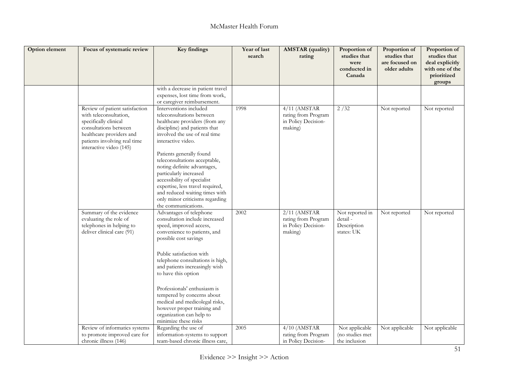| Option element | Focus of systematic review                                                                                                                                                                        | <b>Key findings</b>                                                                                                                                                                                                                                                                                                                                                                                                                                                | Year of last<br>search | <b>AMSTAR</b> (quality)<br>rating                                       | Proportion of<br>studies that<br>were<br>conducted in<br>Canada | Proportion of<br>studies that<br>are focused on<br>older adults | Proportion of<br>studies that<br>deal explicitly<br>with one of the<br>prioritized<br>groups |
|----------------|---------------------------------------------------------------------------------------------------------------------------------------------------------------------------------------------------|--------------------------------------------------------------------------------------------------------------------------------------------------------------------------------------------------------------------------------------------------------------------------------------------------------------------------------------------------------------------------------------------------------------------------------------------------------------------|------------------------|-------------------------------------------------------------------------|-----------------------------------------------------------------|-----------------------------------------------------------------|----------------------------------------------------------------------------------------------|
|                |                                                                                                                                                                                                   | with a decrease in patient travel<br>expenses, lost time from work,<br>or caregiver reimbursement.                                                                                                                                                                                                                                                                                                                                                                 |                        |                                                                         |                                                                 |                                                                 |                                                                                              |
|                | Review of patient satisfaction<br>with teleconsultation,<br>specifically clinical<br>consultations between<br>healthcare providers and<br>patients involving real time<br>interactive video (145) | Interventions included<br>teleconsultations between<br>healthcare providers (from any<br>discipline) and patients that<br>involved the use of real time<br>interactive video.<br>Patients generally found<br>teleconsultations acceptable,<br>noting definite advantages,<br>particularly increased<br>accessibility of specialist<br>expertise, less travel required,<br>and reduced waiting times with<br>only minor criticisms regarding<br>the communications. | 1998                   | $4/11$ (AMSTAR<br>rating from Program<br>in Policy Decision-<br>making) | 2/32                                                            | Not reported                                                    | Not reported                                                                                 |
|                | Summary of the evidence<br>evaluating the role of<br>telephones in helping to<br>deliver clinical care (91)                                                                                       | Advantages of telephone<br>consultation include increased<br>speed, improved access,<br>convenience to patients, and<br>possible cost savings<br>Public satisfaction with<br>telephone consultations is high,<br>and patients increasingly wish<br>to have this option<br>Professionals' enthusiasm is<br>tempered by concerns about<br>medical and medicolegal risks,<br>however proper training and<br>organization can help to<br>minimize these risks          | 2002                   | $2/11$ (AMSTAR<br>rating from Program<br>in Policy Decision-<br>making) | Not reported in<br>detail -<br>Description<br>states: UK        | Not reported                                                    | Not reported                                                                                 |
|                | Review of informatics systems<br>to promote improved care for<br>chronic illness (146)                                                                                                            | Regarding the use of<br>information-systems to support<br>team-based chronic illness care,                                                                                                                                                                                                                                                                                                                                                                         | 2005                   | $4/10$ (AMSTAR<br>rating from Program<br>in Policy Decision-            | Not applicable<br>(no studies met<br>the inclusion              | Not applicable                                                  | Not applicable                                                                               |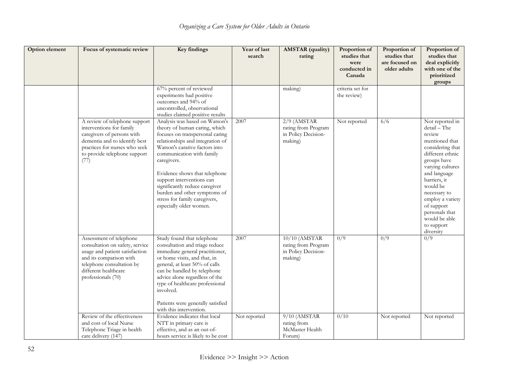| Option element | Focus of systematic review                                                                                                                                                                         | <b>Key findings</b>                                                                                                                                                                                                                                                                                                                                                                                              | Year of last<br>search | <b>AMSTAR</b> (quality)<br>rating                                        | Proportion of<br>studies that<br>were<br>conducted in<br>Canada | Proportion of<br>studies that<br>are focused on<br>older adults | Proportion of<br>studies that<br>deal explicitly<br>with one of the<br>prioritized<br>groups                                                                                                                                                                                                       |
|----------------|----------------------------------------------------------------------------------------------------------------------------------------------------------------------------------------------------|------------------------------------------------------------------------------------------------------------------------------------------------------------------------------------------------------------------------------------------------------------------------------------------------------------------------------------------------------------------------------------------------------------------|------------------------|--------------------------------------------------------------------------|-----------------------------------------------------------------|-----------------------------------------------------------------|----------------------------------------------------------------------------------------------------------------------------------------------------------------------------------------------------------------------------------------------------------------------------------------------------|
|                |                                                                                                                                                                                                    | 67% percent of reviewed<br>experiments had positive<br>outcomes and 94% of<br>uncontrolled, observational<br>studies claimed positive results                                                                                                                                                                                                                                                                    |                        | making)                                                                  | criteria set for<br>the review)                                 |                                                                 |                                                                                                                                                                                                                                                                                                    |
|                | A review of telephone support<br>interventions for family<br>caregivers of persons with<br>dementia and to identify best<br>practices for nurses who seek<br>to provide telephone support<br>(77)  | Analysis was based on Watson's<br>theory of human caring, which<br>focuses on transpersonal caring<br>relationships and integration of<br>Watson's carative factors into<br>communication with family<br>caregivers.<br>Evidence shows that telephone<br>support interventions can<br>significantly reduce caregiver<br>burden and other symptoms of<br>stress for family caregivers,<br>especially older women. | 2007                   | $2/9$ (AMSTAR<br>rating from Program<br>in Policy Decision-<br>making)   | Not reported                                                    | 6/6                                                             | Not reported in<br>detail - The<br>review<br>mentioned that<br>considering that<br>different ethnic<br>groups have<br>varying cultures<br>and language<br>barriers, it<br>would be<br>necessary to<br>employ a variety<br>of support<br>personals that<br>would be able<br>to support<br>diversity |
|                | Assessment of telephone<br>consultation on safety, service<br>usage and patient satisfaction<br>and its comparison with<br>telephone consultation by<br>different healthcare<br>professionals (70) | Study found that telephone<br>consultation and triage reduce<br>immediate general practitioner,<br>or home visits, and that, in<br>general, at least 50% of calls<br>can be handled by telephone<br>advice alone regardless of the<br>type of healthcare professional<br>involved.<br>Patients were generally satisfied<br>with this intervention.                                                               | 2007                   | $10/10$ (AMSTAR<br>rating from Program<br>in Policy Decision-<br>making) | 0/9                                                             | 0/9                                                             | 0/9                                                                                                                                                                                                                                                                                                |
|                | Review of the effectiveness<br>and cost of local Nurse<br>Telephone Triage in health<br>care delivery (147)                                                                                        | Evidence indicates that local<br>NTT in primary care is<br>effective, and as an out-of-<br>hours service is likely to be cost                                                                                                                                                                                                                                                                                    | Not reported           | 9/10 (AMSTAR<br>rating from<br>McMaster Health<br>Forum)                 | 0/10                                                            | Not reported                                                    | Not reported                                                                                                                                                                                                                                                                                       |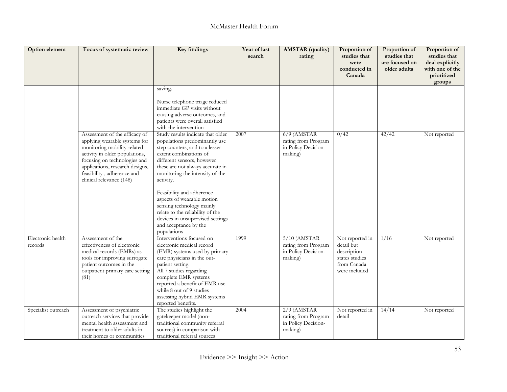| Option element               | Focus of systematic review                                                                                                                                                                                                                                   | <b>Key findings</b>                                                                                                                                                                                                                                                                                                                                                                                                                                      | Year of last<br>search | <b>AMSTAR</b> (quality)<br>rating                                       | Proportion of<br>studies that<br>were<br>conducted in<br>Canada                                | Proportion of<br>studies that<br>are focused on<br>older adults | Proportion of<br>studies that<br>deal explicitly<br>with one of the<br>prioritized<br>groups |
|------------------------------|--------------------------------------------------------------------------------------------------------------------------------------------------------------------------------------------------------------------------------------------------------------|----------------------------------------------------------------------------------------------------------------------------------------------------------------------------------------------------------------------------------------------------------------------------------------------------------------------------------------------------------------------------------------------------------------------------------------------------------|------------------------|-------------------------------------------------------------------------|------------------------------------------------------------------------------------------------|-----------------------------------------------------------------|----------------------------------------------------------------------------------------------|
|                              |                                                                                                                                                                                                                                                              | saving.<br>Nurse telephone triage reduced<br>immediate GP visits without<br>causing adverse outcomes, and<br>patients were overall satisfied<br>with the intervention                                                                                                                                                                                                                                                                                    |                        |                                                                         |                                                                                                |                                                                 |                                                                                              |
|                              | Assessment of the efficacy of<br>applying wearable systems for<br>monitoring mobility-related<br>activity in older populations,<br>focusing on technologies and<br>applications, research designs,<br>feasibility, adherence and<br>clinical relevance (148) | Study results indicate that older<br>populations predominantly use<br>step counters, and to a lesser<br>extent combinations of<br>different sensors, however<br>these are not always accurate in<br>monitoring the intensity of the<br>activity.<br>Feasibility and adherence<br>aspects of wearable motion<br>sensing technology mainly<br>relate to the reliability of the<br>devices in unsupervised settings<br>and acceptance by the<br>populations | 2007                   | $6/9$ (AMSTAR<br>rating from Program<br>in Policy Decision-<br>making)  | 0/42                                                                                           | 42/42                                                           | Not reported                                                                                 |
| Electronic health<br>records | Assessment of the<br>effectiveness of electronic<br>medical records (EMRs) as<br>tools for improving surrogate<br>patient outcomes in the<br>outpatient primary care setting<br>(81)                                                                         | Interventions focused on<br>electronic medical record<br>(EMR) systems used by primary<br>care physicians in the out-<br>patient setting.<br>All 7 studies regarding<br>complete EMR systems<br>reported a benefit of EMR use<br>while 8 out of 9 studies<br>assessing hybrid EMR systems<br>reported benefits.                                                                                                                                          | 1999                   | $5/10$ (AMSTAR<br>rating from Program<br>in Policy Decision-<br>making) | Not reported in<br>detail but<br>description<br>states studies<br>from Canada<br>were included | 1/16                                                            | Not reported                                                                                 |
| Specialist outreach          | Assessment of psychiatric<br>outreach services that provide<br>mental health assessment and<br>treatment to older adults in<br>their homes or communities                                                                                                    | The studies highlight the<br>gatekeeper model (non-<br>traditional community referral<br>sources) in comparison with<br>traditional referral sources                                                                                                                                                                                                                                                                                                     | 2004                   | $2/9$ (AMSTAR<br>rating from Program<br>in Policy Decision-<br>making)  | Not reported in<br>detail                                                                      | 14/14                                                           | Not reported                                                                                 |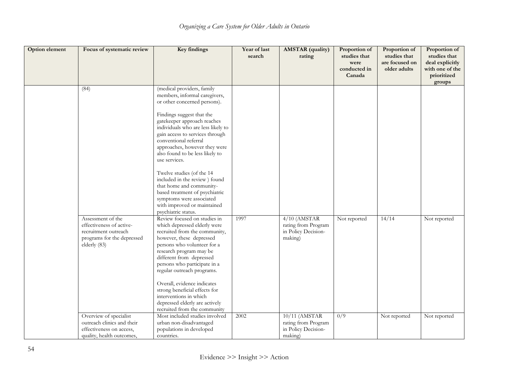| <b>Option element</b> | Focus of systematic review                                                                                          | Key findings                                                                                                                                                                                                                                                                                                                                                                                                                              | Year of last<br>search | <b>AMSTAR</b> (quality)<br>rating                                       | Proportion of<br>studies that<br>were<br>conducted in | Proportion of<br>studies that<br>are focused on<br>older adults | Proportion of<br>studies that<br>deal explicitly<br>with one of the |
|-----------------------|---------------------------------------------------------------------------------------------------------------------|-------------------------------------------------------------------------------------------------------------------------------------------------------------------------------------------------------------------------------------------------------------------------------------------------------------------------------------------------------------------------------------------------------------------------------------------|------------------------|-------------------------------------------------------------------------|-------------------------------------------------------|-----------------------------------------------------------------|---------------------------------------------------------------------|
|                       |                                                                                                                     |                                                                                                                                                                                                                                                                                                                                                                                                                                           |                        |                                                                         | Canada                                                |                                                                 | prioritized<br>groups                                               |
|                       | (84)                                                                                                                | (medical providers, family<br>members, informal caregivers,<br>or other concerned persons).<br>Findings suggest that the<br>gatekeeper approach reaches<br>individuals who are less likely to<br>gain access to services through<br>conventional referral<br>approaches, however they were<br>also found to be less likely to<br>use services.<br>Twelve studies (of the 14                                                               |                        |                                                                         |                                                       |                                                                 |                                                                     |
|                       |                                                                                                                     | included in the review) found<br>that home and community-<br>based treatment of psychiatric<br>symptoms were associated<br>with improved or maintained<br>psychiatric status.                                                                                                                                                                                                                                                             |                        |                                                                         |                                                       |                                                                 |                                                                     |
|                       | Assessment of the<br>effectiveness of active-<br>recruitment outreach<br>programs for the depressed<br>elderly (83) | Review focused on studies in<br>which depressed elderly were<br>recruited from the community,<br>however, these depressed<br>persons who volunteer for a<br>research program may be<br>different from depressed<br>persons who participate in a<br>regular outreach programs.<br>Overall, evidence indicates<br>strong beneficial effects for<br>interventions in which<br>depressed elderly are actively<br>recruited from the community | 1997                   | $4/10$ (AMSTAR<br>rating from Program<br>in Policy Decision-<br>making) | Not reported                                          | 14/14                                                           | Not reported                                                        |
|                       | Overview of specialist<br>outreach clinics and their<br>effectiveness on access,<br>quality, health outcomes,       | Most included studies involved<br>urban non-disadvantaged<br>populations in developed<br>countries.                                                                                                                                                                                                                                                                                                                                       | 2002                   | 10/11 (AMSTAR<br>rating from Program<br>in Policy Decision-<br>making)  | 0/9                                                   | Not reported                                                    | Not reported                                                        |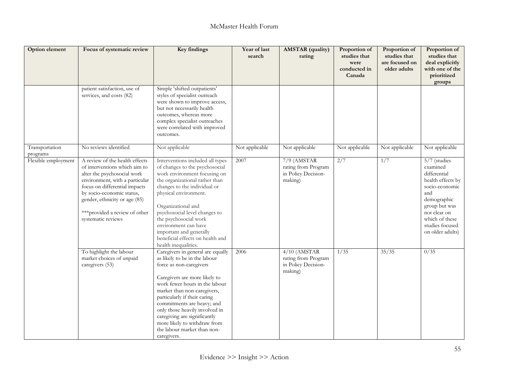| Option element             | Focus of systematic review                                                                                                                                                                                                                                                              | <b>Key findings</b>                                                                                                                                                                                                                                                                                                                                                                                           | Year of last<br>search | <b>AMSTAR</b> (quality)<br>rating                                       | Proportion of<br>studies that<br>were<br>conducted in<br>Canada | Proportion of<br>studies that<br>are focused on<br>older adults | Proportion of<br>studies that<br>deal explicitly<br>with one of the<br>prioritized<br>groups                                                                                                    |
|----------------------------|-----------------------------------------------------------------------------------------------------------------------------------------------------------------------------------------------------------------------------------------------------------------------------------------|---------------------------------------------------------------------------------------------------------------------------------------------------------------------------------------------------------------------------------------------------------------------------------------------------------------------------------------------------------------------------------------------------------------|------------------------|-------------------------------------------------------------------------|-----------------------------------------------------------------|-----------------------------------------------------------------|-------------------------------------------------------------------------------------------------------------------------------------------------------------------------------------------------|
|                            | patient satisfaction, use of<br>services, and costs (82)                                                                                                                                                                                                                                | Simple 'shifted outpatients'<br>styles of specialist outreach<br>were shown to improve access,<br>but not necessarily health<br>outcomes, whereas more<br>complex specialist outreaches<br>were correlated with improved<br>outcomes.                                                                                                                                                                         |                        |                                                                         |                                                                 |                                                                 |                                                                                                                                                                                                 |
| Transportation<br>programs | No reviews identified                                                                                                                                                                                                                                                                   | Not applicable                                                                                                                                                                                                                                                                                                                                                                                                | Not applicable         | Not applicable                                                          | Not applicable                                                  | Not applicable                                                  | Not applicable                                                                                                                                                                                  |
| Flexible employment        | A review of the health effects<br>of interventions which aim to<br>alter the psychosocial work<br>environment, with a particular<br>focus on differential impacts<br>by socio-economic status,<br>gender, ethnicity or age (85)<br>*** provided a review of other<br>systematic reviews | Interventions included all types<br>of changes to the psychosocial<br>work environment focusing on<br>the organizational rather than<br>changes to the individual or<br>physical environment.<br>Organizational and<br>psychosocial level changes to<br>the psychosocial work<br>environment can have<br>important and generally<br>beneficial effects on health and<br>health inequalities.                  | 2007                   | $7/9$ (AMSTAR<br>rating from Program<br>in Policy Decision-<br>making)  | 2/7                                                             | $\overline{1/7}$                                                | 5/7 (studies<br>examined<br>differential<br>health effects by<br>socio-economic<br>and<br>demographic<br>group but was<br>not clear on<br>which of these<br>studies focused<br>on older adults) |
|                            | To highlight the labour<br>market choices of unpaid<br>caregivers (53)                                                                                                                                                                                                                  | Caregivers in general are equally<br>as likely to be in the labour<br>force as non-caregivers<br>Caregivers are more likely to<br>work fewer hours in the labour<br>market than non-caregivers,<br>particularly if their caring<br>commitments are heavy; and<br>only those heavily involved in<br>caregiving are significantly<br>more likely to withdraw from<br>the labour market than non-<br>caregivers. | 2006                   | $4/10$ (AMSTAR<br>rating from Program<br>in Policy Decision-<br>making) | 1/35                                                            | 35/35                                                           | 0/35                                                                                                                                                                                            |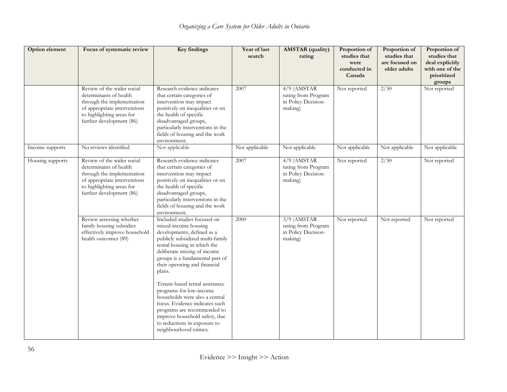| Option element   | Focus of systematic review                                                                                                                                                  | <b>Key findings</b>                                                                                                                                                                                                                                                                                                                                                                                                                                                                                                         | Year of last<br>search | <b>AMSTAR</b> (quality)<br>rating                                      | Proportion of<br>studies that<br>were<br>conducted in<br>Canada | Proportion of<br>studies that<br>are focused on<br>older adults | Proportion of<br>studies that<br>deal explicitly<br>with one of the<br>prioritized<br>groups |
|------------------|-----------------------------------------------------------------------------------------------------------------------------------------------------------------------------|-----------------------------------------------------------------------------------------------------------------------------------------------------------------------------------------------------------------------------------------------------------------------------------------------------------------------------------------------------------------------------------------------------------------------------------------------------------------------------------------------------------------------------|------------------------|------------------------------------------------------------------------|-----------------------------------------------------------------|-----------------------------------------------------------------|----------------------------------------------------------------------------------------------|
|                  | Review of the wider social<br>determinants of health<br>through the implementation<br>of appropriate interventions<br>to highlighting areas for<br>further development (86) | Research evidence indicates<br>that certain categories of<br>intervention may impact<br>positively on inequalities or on<br>the health of specific<br>disadvantaged groups,<br>particularly interventions in the<br>fields of housing and the work<br>environment.                                                                                                                                                                                                                                                          | 2007                   | $4/9$ (AMSTAR<br>rating from Program<br>in Policy Decision-<br>making) | Not reported                                                    | $\sqrt{2/30}$                                                   | Not reported                                                                                 |
| Income supports  | No reviews identified                                                                                                                                                       | Not applicable                                                                                                                                                                                                                                                                                                                                                                                                                                                                                                              | Not applicable         | Not applicable                                                         | Not applicable                                                  | Not applicable                                                  | Not applicable                                                                               |
| Housing supports | Review of the wider social<br>determinants of health<br>through the implementation<br>of appropriate interventions<br>to highlighting areas for<br>further development (86) | Research evidence indicates<br>that certain categories of<br>intervention may impact<br>positively on inequalities or on<br>the health of specific<br>disadvantaged groups,<br>particularly interventions in the<br>fields of housing and the work<br>environment.                                                                                                                                                                                                                                                          | 2007                   | $4/9$ (AMSTAR<br>rating from Program<br>in Policy Decision-<br>making) | Not reported                                                    | 2/30                                                            | Not reported                                                                                 |
|                  | Review assessing whether<br>family housing subsidies<br>effectively improve household<br>health outcomes (89)                                                               | Included studies focused on<br>mixed-income housing<br>developments, defined as a<br>publicly subsidized multi-family<br>rental housing in which the<br>deliberate mixing of income<br>groups is a fundamental part of<br>their operating and financial<br>plans.<br>Tenant-based rental assistance<br>programs for low-income<br>households were also a central<br>focus. Evidence indicates such<br>programs are recommended to<br>improve household safety, due<br>to reductions in exposure to<br>neighbourhood crimes. | 2000                   | $3/9$ (AMSTAR<br>rating from Program<br>in Policy Decision-<br>making) | Not reported                                                    | Not reported                                                    | Not reported                                                                                 |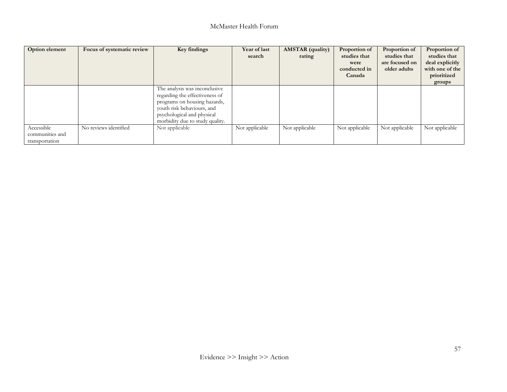| Option element                                  | Focus of systematic review | Key findings                                                                                                                                                                                   | Year of last<br>search | <b>AMSTAR</b> (quality)<br>rating | Proportion of<br>studies that<br>were<br>conducted in<br>Canada | Proportion of<br>studies that<br>are focused on<br>older adults | Proportion of<br>studies that<br>deal explicitly<br>with one of the<br>prioritized<br>groups |
|-------------------------------------------------|----------------------------|------------------------------------------------------------------------------------------------------------------------------------------------------------------------------------------------|------------------------|-----------------------------------|-----------------------------------------------------------------|-----------------------------------------------------------------|----------------------------------------------------------------------------------------------|
|                                                 |                            | The analysis was inconclusive<br>regarding the effectiveness of<br>programs on housing hazards,<br>youth risk behaviours, and<br>psychological and physical<br>morbidity due to study quality. |                        |                                   |                                                                 |                                                                 |                                                                                              |
| Accessible<br>communities and<br>transportation | No reviews identified      | Not applicable                                                                                                                                                                                 | Not applicable         | Not applicable                    | Not applicable                                                  | Not applicable                                                  | Not applicable                                                                               |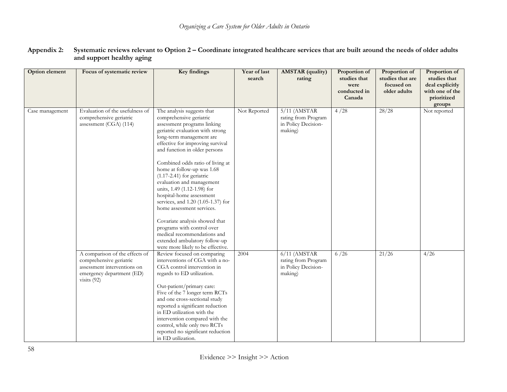| <b>Option</b> element | Focus of systematic review                                                                                                             | Key findings                                                                                                                                                                                                                                                                                                                                                                                                                                                                                                                                                                                                                                               | Year of last<br>search | <b>AMSTAR</b> (quality)<br>rating                                       | Proportion of<br>studies that<br>were<br>conducted in<br>Canada | Proportion of<br>studies that are<br>focused on<br>older adults | Proportion of<br>studies that<br>deal explicitly<br>with one of the<br>prioritized<br>groups |
|-----------------------|----------------------------------------------------------------------------------------------------------------------------------------|------------------------------------------------------------------------------------------------------------------------------------------------------------------------------------------------------------------------------------------------------------------------------------------------------------------------------------------------------------------------------------------------------------------------------------------------------------------------------------------------------------------------------------------------------------------------------------------------------------------------------------------------------------|------------------------|-------------------------------------------------------------------------|-----------------------------------------------------------------|-----------------------------------------------------------------|----------------------------------------------------------------------------------------------|
| Case management       | Evaluation of the usefulness of<br>comprehensive geriatric<br>assessment (CGA) (114)                                                   | The analysis suggests that<br>comprehensive geriatric<br>assessment programs linking<br>geriatric evaluation with strong<br>long-term management are<br>effective for improving survival<br>and function in older persons<br>Combined odds ratio of living at<br>home at follow-up was 1.68<br>$(1.17-2.41)$ for geriatric<br>evaluation and management<br>units, 1.49 (1.12-1.98) for<br>hospital-home assessment<br>services, and 1.20 (1.05-1.37) for<br>home assessment services.<br>Covariate analysis showed that<br>programs with control over<br>medical recommendations and<br>extended ambulatory follow-up<br>were more likely to be effective. | Not Reported           | $5/11$ (AMSTAR<br>rating from Program<br>in Policy Decision-<br>making) | 4/28                                                            | 28/28                                                           | Not reported                                                                                 |
|                       | A comparison of the effects of<br>comprehensive geriatric<br>assessment interventions on<br>emergency department (ED)<br>visits $(92)$ | Review focused on comparing<br>interventions of CGA with a no-<br>CGA control intervention in<br>regards to ED utilization.<br>Out-patient/primary care:<br>Five of the 7 longer term RCTs<br>and one cross-sectional study<br>reported a significant reduction<br>in ED utilization with the<br>intervention compared with the<br>control, while only two RCTs<br>reported no significant reduction<br>in ED utilization.                                                                                                                                                                                                                                 | 2004                   | $6/11$ (AMSTAR<br>rating from Program<br>in Policy Decision-<br>making) | 6/26                                                            | 21/26                                                           | 4/26                                                                                         |

#### **Appendix 2: Systematic reviews relevant to Option 2 – Coordinate integrated healthcare services that are built around the needs of older adults and support healthy aging**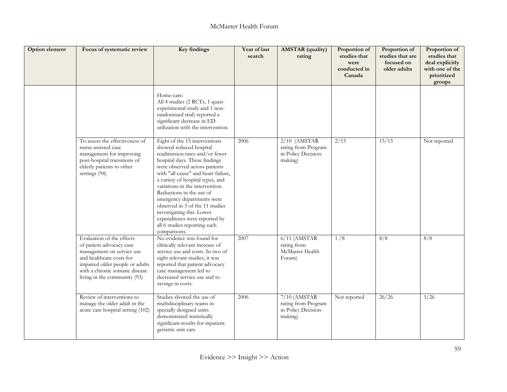| Option element | Focus of systematic review                                                                                                                                                                                          | Key findings                                                                                                                                                                                                                                                                                                                                                                                                                                                                          | Year of last<br>search | <b>AMSTAR</b> (quality)<br>rating                                       | Proportion of<br>studies that<br>were<br>conducted in<br>Canada | Proportion of<br>studies that are<br>focused on<br>older adults | Proportion of<br>studies that<br>deal explicitly<br>with one of the<br>prioritized<br>groups |
|----------------|---------------------------------------------------------------------------------------------------------------------------------------------------------------------------------------------------------------------|---------------------------------------------------------------------------------------------------------------------------------------------------------------------------------------------------------------------------------------------------------------------------------------------------------------------------------------------------------------------------------------------------------------------------------------------------------------------------------------|------------------------|-------------------------------------------------------------------------|-----------------------------------------------------------------|-----------------------------------------------------------------|----------------------------------------------------------------------------------------------|
|                |                                                                                                                                                                                                                     | Home-care:<br>All 4 studies (2 RCTs, 1 quasi-<br>experimental study and 1 non-<br>randomized trial) reported a<br>significant decrease in ED<br>utilization with the intervention.                                                                                                                                                                                                                                                                                                    |                        |                                                                         |                                                                 |                                                                 |                                                                                              |
|                | To assess the effectiveness of<br>nurse-assisted case<br>management for improving<br>post-hospital transitions of<br>elderly patients to other<br>settings (94)                                                     | Eight of the 15 interventions<br>showed reduced hospital<br>readmission rates and/or fewer<br>hospital days. These findings<br>were observed across patients<br>with "all cause" and heart failure,<br>a variety of hospital types, and<br>variations in the intervention.<br>Reductions in the use of<br>emergency departments were<br>observed in 3 of the 11 studies<br>investigating this. Lower<br>expenditures were reported by<br>all 6 studies reporting such<br>comparisons. | 2006                   | $2/10$ (AMSTAR<br>rating from Program<br>in Policy Decision-<br>making) | 2/15                                                            | 15/15                                                           | Not reported                                                                                 |
|                | Evaluation of the effects<br>of patient advocacy case<br>management on service use<br>and healthcare costs for<br>impaired older people or adults<br>with a chronic somatic disease<br>living in the community (93) | No evidence was found for<br>clinically relevant increase of<br>service use and costs. In two of<br>eight relevant studies, it was<br>reported that patient advocacy<br>case management led to<br>decreased service use and to<br>savings in costs.                                                                                                                                                                                                                                   | 2007                   | $6/11$ (AMSTAR<br>rating from<br>McMaster Health<br>Forum)              | 1/8                                                             | 8/8                                                             | $\overline{8/8}$                                                                             |
|                | Review of interventions to<br>manage the older adult in the<br>acute care hospital setting (102)                                                                                                                    | Studies showed the use of<br>multidisciplinary teams in<br>specially designed units<br>demonstrated statistically<br>significant results for inpatient<br>geriatric unit care                                                                                                                                                                                                                                                                                                         | 2006                   | $7/10$ (AMSTAR<br>rating from Program<br>in Policy Decision-<br>making) | Not reported                                                    | 26/26                                                           | 3/26                                                                                         |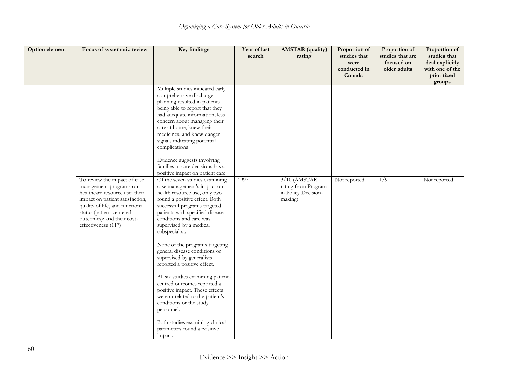| Option element | Focus of systematic review                                                                                                                                                                                                                      | Key findings                                                                                                                                                                                                                                                                                                                                                                                                                                                                                                                                                                                                                                                       | Year of last<br>search | <b>AMSTAR</b> (quality)<br>rating                                       | Proportion of<br>studies that<br>were<br>conducted in<br>Canada | Proportion of<br>studies that are<br>focused on<br>older adults | Proportion of<br>studies that<br>deal explicitly<br>with one of the<br>prioritized<br>groups |
|----------------|-------------------------------------------------------------------------------------------------------------------------------------------------------------------------------------------------------------------------------------------------|--------------------------------------------------------------------------------------------------------------------------------------------------------------------------------------------------------------------------------------------------------------------------------------------------------------------------------------------------------------------------------------------------------------------------------------------------------------------------------------------------------------------------------------------------------------------------------------------------------------------------------------------------------------------|------------------------|-------------------------------------------------------------------------|-----------------------------------------------------------------|-----------------------------------------------------------------|----------------------------------------------------------------------------------------------|
|                |                                                                                                                                                                                                                                                 | Multiple studies indicated early<br>comprehensive discharge<br>planning resulted in patients<br>being able to report that they<br>had adequate information, less<br>concern about managing their<br>care at home, knew their<br>medicines, and knew danger<br>signals indicating potential<br>complications<br>Evidence suggests involving<br>families in care decisions has a                                                                                                                                                                                                                                                                                     |                        |                                                                         |                                                                 |                                                                 |                                                                                              |
|                | To review the impact of case<br>management programs on<br>healthcare resource use; their<br>impact on patient satisfaction,<br>quality of life, and functional<br>status (patient-centered<br>outcomes); and their cost-<br>effectiveness (117) | positive impact on patient care<br>Of the seven studies examining<br>case management's impact on<br>health resource use, only two<br>found a positive effect. Both<br>successful programs targeted<br>patients with specified disease<br>conditions and care was<br>supervised by a medical<br>subspecialist.<br>None of the programs targeting<br>general disease conditions or<br>supervised by generalists<br>reported a positive effect.<br>All six studies examining patient-<br>centred outcomes reported a<br>positive impact. These effects<br>were unrelated to the patient's<br>conditions or the study<br>personnel.<br>Both studies examining clinical | 1997                   | $3/10$ (AMSTAR<br>rating from Program<br>in Policy Decision-<br>making) | Not reported                                                    | 1/9                                                             | Not reported                                                                                 |
|                |                                                                                                                                                                                                                                                 | parameters found a positive<br>impact.                                                                                                                                                                                                                                                                                                                                                                                                                                                                                                                                                                                                                             |                        |                                                                         |                                                                 |                                                                 |                                                                                              |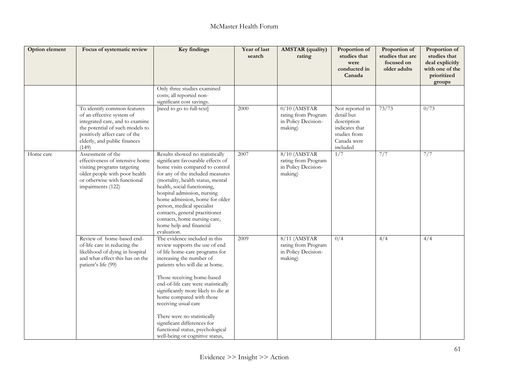| Option element | Focus of systematic review                                                                                                                                                                               | Key findings                                                                                                                                                                                                                                                                                                                                                                                                                                                         | Year of last<br>search | <b>AMSTAR</b> (quality)<br>rating                                       | Proportion of<br>studies that<br>were<br>conducted in<br>Canada                                           | Proportion of<br>studies that are<br>focused on<br>older adults | Proportion of<br>studies that<br>deal explicitly<br>with one of the<br>prioritized<br>groups |
|----------------|----------------------------------------------------------------------------------------------------------------------------------------------------------------------------------------------------------|----------------------------------------------------------------------------------------------------------------------------------------------------------------------------------------------------------------------------------------------------------------------------------------------------------------------------------------------------------------------------------------------------------------------------------------------------------------------|------------------------|-------------------------------------------------------------------------|-----------------------------------------------------------------------------------------------------------|-----------------------------------------------------------------|----------------------------------------------------------------------------------------------|
|                |                                                                                                                                                                                                          | Only three studies examined<br>costs; all reported non-<br>significant cost savings.                                                                                                                                                                                                                                                                                                                                                                                 |                        |                                                                         |                                                                                                           |                                                                 |                                                                                              |
|                | To identify common features<br>of an effective system of<br>integrated care, and to examine<br>the potential of such models to<br>positively affect care of the<br>elderly, and public finances<br>(149) | [need to go to full-text]                                                                                                                                                                                                                                                                                                                                                                                                                                            | 2000                   | $0/10$ (AMSTAR<br>rating from Program<br>in Policy Decision-<br>making) | Not reported in<br>detail but<br>description<br>indicates that<br>studies from<br>Canada were<br>included | 73/73                                                           | 0/73                                                                                         |
| Home care      | Assessment of the<br>effectiveness of intensive home<br>visiting programs targeting<br>older people with poor health<br>or otherwise with functional<br>impairments (122)                                | Results showed no statistically<br>significant favourable effects of<br>home visits compared to control<br>for any of the included measures<br>(mortality, health status, mental<br>health, social functioning,<br>hospital admission, nursing<br>home admission, home for older<br>person, medical specialist<br>contacts, general practitioner<br>contacts, home nursing care,<br>home help and financial<br>evaluation.                                           | 2007                   | $8/10$ (AMSTAR<br>rating from Program<br>in Policy Decision-<br>making) | 1/7                                                                                                       | 7/7                                                             | 7/7                                                                                          |
|                | Review of home-based end-<br>of-life care in reducing the<br>likelihood of dying in hospital<br>and what effect this has on the<br>patient's life (99)                                                   | The evidence included in this<br>review supports the use of end<br>of life home-care programs for<br>increasing the number of<br>patients who will die at home.<br>Those receiving home-based<br>end-of-life care were statistically<br>significantly more likely to die at<br>home compared with those<br>receiving usual care<br>There were no statistically<br>significant differences for<br>functional status, psychological<br>well-being or cognitive status, | 2009                   | $8/11$ (AMSTAR<br>rating from Program<br>in Policy Decision-<br>making) | 0/4                                                                                                       | 4/4                                                             | 4/4                                                                                          |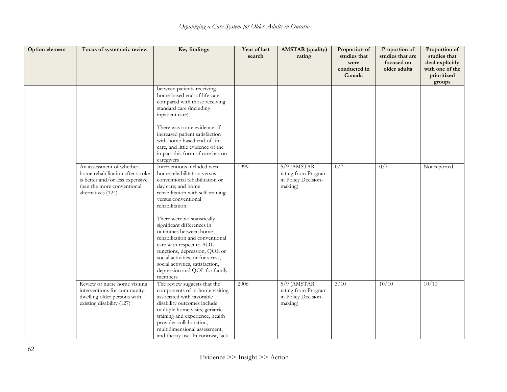| Option element | Focus of systematic review                                                                                                                          | Key findings                                                                                                                                                                                                                                                                                                                                                                                                                                                                                                  | Year of last<br>search | <b>AMSTAR</b> (quality)<br>rating                                      | Proportion of<br>studies that<br>were<br>conducted in<br>Canada | Proportion of<br>studies that are<br>focused on<br>older adults | Proportion of<br>studies that<br>deal explicitly<br>with one of the<br>prioritized<br>groups |
|----------------|-----------------------------------------------------------------------------------------------------------------------------------------------------|---------------------------------------------------------------------------------------------------------------------------------------------------------------------------------------------------------------------------------------------------------------------------------------------------------------------------------------------------------------------------------------------------------------------------------------------------------------------------------------------------------------|------------------------|------------------------------------------------------------------------|-----------------------------------------------------------------|-----------------------------------------------------------------|----------------------------------------------------------------------------------------------|
|                |                                                                                                                                                     | between patients receiving<br>home-based end-of-life care<br>compared with those receiving<br>standard care (including<br>inpatient care).<br>There was some evidence of<br>increased patient satisfaction<br>with home-based end-of-life<br>care, and little evidence of the<br>impact this form of care has on<br>caregivers                                                                                                                                                                                |                        |                                                                        |                                                                 |                                                                 |                                                                                              |
|                | An assessment of whether<br>home rehabilitation after stroke<br>is better and/or less expensive<br>than the more conventional<br>alternatives (124) | Interventions included were:<br>home rehabilitation versus<br>conventional rehabilitation or<br>day care; and home<br>rehabilitation with self-training<br>versus conventional<br>rehabilitation.<br>There were no statistically-<br>significant differences in<br>outcomes between home<br>rehabilitation and conventional<br>care with respect to ADL<br>functions, depression, QOL or<br>social activities, or for stress,<br>social activities, satisfaction,<br>depression and QOL for family<br>members | 1999                   | $5/9$ (AMSTAR<br>rating from Program<br>in Policy Decision-<br>making) | 0/7                                                             | 0/7                                                             | Not reported                                                                                 |
|                | Review of nurse home visiting<br>interventions for community-<br>dwelling older persons with<br>existing disability (127)                           | The review suggests that the<br>components of in-home visiting<br>associated with favorable<br>disability outcomes include<br>multiple home visits, geriatric<br>training and experience, health<br>provider collaboration,<br>multidimensional assessment,<br>and theory use. In contrast, lack                                                                                                                                                                                                              | 2006                   | $5/9$ (AMSTAR<br>rating from Program<br>in Policy Decision-<br>making) | 3/10                                                            | 10/10                                                           | 10/10                                                                                        |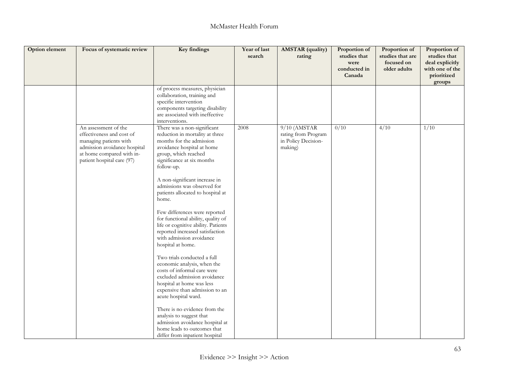| <b>Option element</b> | Focus of systematic review                                                                                                                                             | Key findings                                                                                                                                                                                                                                                                                                                                                                                                                                                                                                                                                                                                                                                                                                                                                                                                                     | Year of last<br>search | <b>AMSTAR</b> (quality)<br>rating                                       | Proportion of<br>studies that<br>were<br>conducted in<br>Canada | Proportion of<br>studies that are<br>focused on<br>older adults | Proportion of<br>studies that<br>deal explicitly<br>with one of the<br>prioritized<br>groups |
|-----------------------|------------------------------------------------------------------------------------------------------------------------------------------------------------------------|----------------------------------------------------------------------------------------------------------------------------------------------------------------------------------------------------------------------------------------------------------------------------------------------------------------------------------------------------------------------------------------------------------------------------------------------------------------------------------------------------------------------------------------------------------------------------------------------------------------------------------------------------------------------------------------------------------------------------------------------------------------------------------------------------------------------------------|------------------------|-------------------------------------------------------------------------|-----------------------------------------------------------------|-----------------------------------------------------------------|----------------------------------------------------------------------------------------------|
|                       |                                                                                                                                                                        | of process measures, physician<br>collaboration, training and<br>specific intervention<br>components targeting disability<br>are associated with ineffective<br>interventions.                                                                                                                                                                                                                                                                                                                                                                                                                                                                                                                                                                                                                                                   |                        |                                                                         |                                                                 |                                                                 |                                                                                              |
|                       | An assessment of the<br>effectiveness and cost of<br>managing patients with<br>admission avoidance hospital<br>at home compared with in-<br>patient hospital care (97) | There was a non-significant<br>reduction in mortality at three<br>months for the admission<br>avoidance hospital at home<br>group, which reached<br>significance at six months<br>follow-up.<br>A non-significant increase in<br>admissions was observed for<br>patients allocated to hospital at<br>home.<br>Few differences were reported<br>for functional ability, quality of<br>life or cognitive ability. Patients<br>reported increased satisfaction<br>with admission avoidance<br>hospital at home.<br>Two trials conducted a full<br>economic analysis, when the<br>costs of informal care were<br>excluded admission avoidance<br>hospital at home was less<br>expensive than admission to an<br>acute hospital ward.<br>There is no evidence from the<br>analysis to suggest that<br>admission avoidance hospital at | 2008                   | $9/10$ (AMSTAR<br>rating from Program<br>in Policy Decision-<br>making) | 0/10                                                            | 4/10                                                            | 1/10                                                                                         |
|                       |                                                                                                                                                                        | home leads to outcomes that<br>differ from inpatient hospital                                                                                                                                                                                                                                                                                                                                                                                                                                                                                                                                                                                                                                                                                                                                                                    |                        |                                                                         |                                                                 |                                                                 |                                                                                              |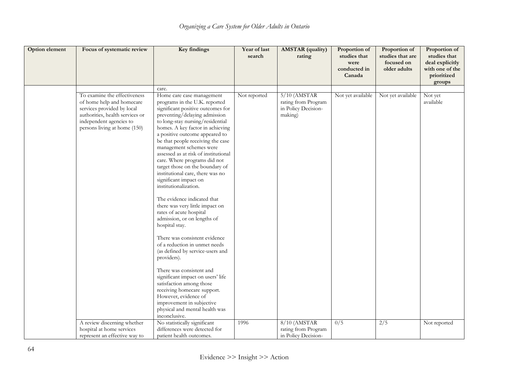| Option element | Focus of systematic review                                                                                                                                                            | Key findings                                                                                                                                                                                                                                                                                                                                                                                                                                                                                                                                                                                                                                                                                                                                                                                                                                                                                                                                                                                      | Year of last<br>search | <b>AMSTAR</b> (quality)<br>rating                                       | Proportion of<br>studies that<br>were<br>conducted in | Proportion of<br>studies that are<br>focused on<br>older adults | Proportion of<br>studies that<br>deal explicitly<br>with one of the |
|----------------|---------------------------------------------------------------------------------------------------------------------------------------------------------------------------------------|---------------------------------------------------------------------------------------------------------------------------------------------------------------------------------------------------------------------------------------------------------------------------------------------------------------------------------------------------------------------------------------------------------------------------------------------------------------------------------------------------------------------------------------------------------------------------------------------------------------------------------------------------------------------------------------------------------------------------------------------------------------------------------------------------------------------------------------------------------------------------------------------------------------------------------------------------------------------------------------------------|------------------------|-------------------------------------------------------------------------|-------------------------------------------------------|-----------------------------------------------------------------|---------------------------------------------------------------------|
|                |                                                                                                                                                                                       |                                                                                                                                                                                                                                                                                                                                                                                                                                                                                                                                                                                                                                                                                                                                                                                                                                                                                                                                                                                                   |                        |                                                                         | Canada                                                |                                                                 | prioritized<br>groups                                               |
|                |                                                                                                                                                                                       | care.                                                                                                                                                                                                                                                                                                                                                                                                                                                                                                                                                                                                                                                                                                                                                                                                                                                                                                                                                                                             |                        |                                                                         |                                                       |                                                                 |                                                                     |
|                | To examine the effectiveness<br>of home help and homecare<br>services provided by local<br>authorities, health services or<br>independent agencies to<br>persons living at home (150) | Home care case management<br>programs in the U.K. reported<br>significant positive outcomes for<br>preventing/delaying admission<br>to long-stay nursing/residential<br>homes. A key factor in achieving<br>a positive outcome appeared to<br>be that people receiving the case<br>management schemes were<br>assessed as at risk of institutional<br>care. Where programs did not<br>target those on the boundary of<br>institutional care, there was no<br>significant impact on<br>institutionalization.<br>The evidence indicated that<br>there was very little impact on<br>rates of acute hospital<br>admission, or on lengths of<br>hospital stay.<br>There was consistent evidence<br>of a reduction in unmet needs<br>(as defined by service-users and<br>providers).<br>There was consistent and<br>significant impact on users' life<br>satisfaction among those<br>receiving homecare support.<br>However, evidence of<br>improvement in subjective<br>physical and mental health was | Not reported           | $5/10$ (AMSTAR<br>rating from Program<br>in Policy Decision-<br>making) | Not yet available                                     | Not yet available                                               | Not yet<br>available                                                |
|                | A review discerning whether                                                                                                                                                           | inconclusive.<br>No statistically significant                                                                                                                                                                                                                                                                                                                                                                                                                                                                                                                                                                                                                                                                                                                                                                                                                                                                                                                                                     | 1996                   | $8/10$ (AMSTAR                                                          | 0/5                                                   | 2/5                                                             | Not reported                                                        |
|                | hospital at home services<br>represent an effective way to                                                                                                                            | differences were detected for<br>patient health outcomes.                                                                                                                                                                                                                                                                                                                                                                                                                                                                                                                                                                                                                                                                                                                                                                                                                                                                                                                                         |                        | rating from Program<br>in Policy Decision-                              |                                                       |                                                                 |                                                                     |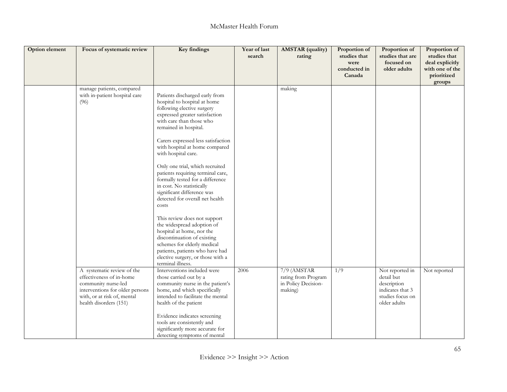| Option element | Focus of systematic review                                                                                                                                                | Key findings                                                                                                                                                                                                                                                                                                                                                                                                                                                                                                                                                                                                                                                                                                                                                | Year of last<br>search | <b>AMSTAR</b> (quality)<br>rating                                      | Proportion of<br>studies that<br>were<br>conducted in | Proportion of<br>studies that are<br>focused on<br>older adults                                      | Proportion of<br>studies that<br>deal explicitly<br>with one of the |
|----------------|---------------------------------------------------------------------------------------------------------------------------------------------------------------------------|-------------------------------------------------------------------------------------------------------------------------------------------------------------------------------------------------------------------------------------------------------------------------------------------------------------------------------------------------------------------------------------------------------------------------------------------------------------------------------------------------------------------------------------------------------------------------------------------------------------------------------------------------------------------------------------------------------------------------------------------------------------|------------------------|------------------------------------------------------------------------|-------------------------------------------------------|------------------------------------------------------------------------------------------------------|---------------------------------------------------------------------|
|                |                                                                                                                                                                           |                                                                                                                                                                                                                                                                                                                                                                                                                                                                                                                                                                                                                                                                                                                                                             |                        |                                                                        | Canada                                                |                                                                                                      | prioritized<br>groups                                               |
|                | manage patients, compared<br>with in-patient hospital care<br>(96)                                                                                                        | Patients discharged early from<br>hospital to hospital at home<br>following elective surgery<br>expressed greater satisfaction<br>with care than those who<br>remained in hospital.<br>Carers expressed less satisfaction<br>with hospital at home compared<br>with hospital care.<br>Only one trial, which recruited<br>patients requiring terminal care,<br>formally tested for a difference<br>in cost. No statistically<br>significant difference was<br>detected for overall net health<br>costs<br>This review does not support<br>the widespread adoption of<br>hospital at home, nor the<br>discontinuation of existing<br>schemes for elderly medical<br>patients, patients who have had<br>elective surgery, or those with a<br>terminal illness. |                        | making                                                                 |                                                       |                                                                                                      |                                                                     |
|                | A systematic review of the<br>effectiveness of in-home<br>community nurse-led<br>interventions for older persons<br>with, or at risk of, mental<br>health disorders (151) | Interventions included were<br>those carried out by a<br>community nurse in the patient's<br>home, and which specifically<br>intended to facilitate the mental<br>health of the patient<br>Evidence indicates screening<br>tools are consistently and<br>significantly more accurate for<br>detecting symptoms of mental                                                                                                                                                                                                                                                                                                                                                                                                                                    | 2006                   | $7/9$ (AMSTAR<br>rating from Program<br>in Policy Decision-<br>making) | 1/9                                                   | Not reported in<br>detail but<br>description<br>indicates that 3<br>studies focus on<br>older adults | Not reported                                                        |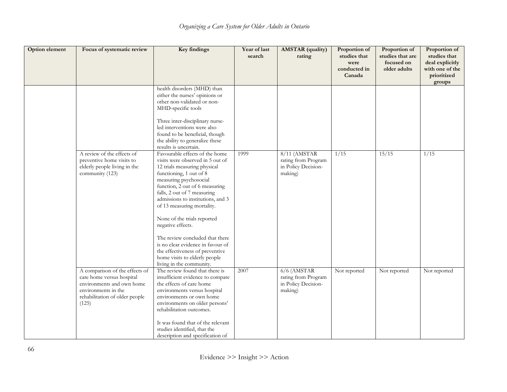| Option element | Focus of systematic review                                                                                                                                 | Key findings                                                                                                                                                                                                                                                                                                                                                                                                                                                                                                            | Year of last<br>search | <b>AMSTAR</b> (quality)<br>rating                                      | Proportion of<br>studies that<br>were<br>conducted in<br>Canada | Proportion of<br>studies that are<br>focused on<br>older adults | Proportion of<br>studies that<br>deal explicitly<br>with one of the<br>prioritized<br>groups |
|----------------|------------------------------------------------------------------------------------------------------------------------------------------------------------|-------------------------------------------------------------------------------------------------------------------------------------------------------------------------------------------------------------------------------------------------------------------------------------------------------------------------------------------------------------------------------------------------------------------------------------------------------------------------------------------------------------------------|------------------------|------------------------------------------------------------------------|-----------------------------------------------------------------|-----------------------------------------------------------------|----------------------------------------------------------------------------------------------|
|                |                                                                                                                                                            | health disorders (MHD) than<br>either the nurses' opinions or<br>other non-validated or non-<br>MHD-specific tools                                                                                                                                                                                                                                                                                                                                                                                                      |                        |                                                                        |                                                                 |                                                                 |                                                                                              |
|                |                                                                                                                                                            | Three inter-disciplinary nurse-<br>led interventions were also<br>found to be beneficial, though<br>the ability to generalize these<br>results is uncertain.                                                                                                                                                                                                                                                                                                                                                            |                        |                                                                        |                                                                 |                                                                 |                                                                                              |
|                | A review of the effects of<br>preventive home visits to<br>elderly people living in the<br>community (123)                                                 | Favourable effects of the home<br>visits were observed in 5 out of<br>12 trials measuring physical<br>functioning, 1 out of 8<br>measuring psychosocial<br>function, 2 out of 6 measuring<br>falls, 2 out of 7 measuring<br>admissions to institutions, and 3<br>of 13 measuring mortality.<br>None of the trials reported<br>negative effects.<br>The review concluded that there<br>is no clear evidence in favour of<br>the effectiveness of preventive<br>home visits to elderly people<br>living in the community. | 1999                   | 8/11 (AMSTAR<br>rating from Program<br>in Policy Decision-<br>making)  | 1/15                                                            | 15/15                                                           | 1/15                                                                                         |
|                | A comparison of the effects of<br>care home versus hospital<br>environments and own home<br>environments in the<br>rehabilitation of older people<br>(125) | The review found that there is<br>insufficient evidence to compare<br>the effects of care home<br>environments versus hospital<br>environments or own home<br>environments on older persons'<br>rehabilitation outcomes.<br>It was found that of the relevant<br>studies identified, that the<br>description and specification of                                                                                                                                                                                       | 2007                   | $6/6$ (AMSTAR<br>rating from Program<br>in Policy Decision-<br>making) | Not reported                                                    | Not reported                                                    | Not reported                                                                                 |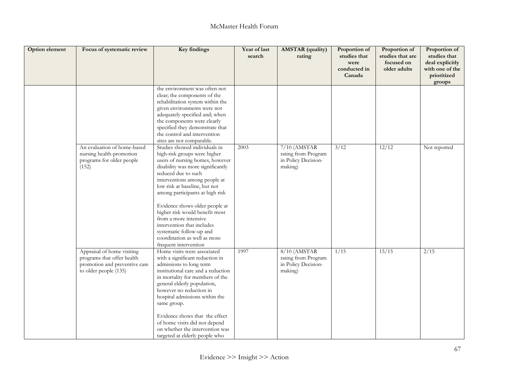| Option element | Focus of systematic review                                                                                         | Key findings                                                                                                                                                                                                                                                                                                                                                                                                                                                                      | Year of last<br>search | <b>AMSTAR</b> (quality)<br>rating                                       | Proportion of<br>studies that<br>were<br>conducted in<br>Canada | Proportion of<br>studies that are<br>focused on<br>older adults | Proportion of<br>studies that<br>deal explicitly<br>with one of the<br>prioritized<br>groups |
|----------------|--------------------------------------------------------------------------------------------------------------------|-----------------------------------------------------------------------------------------------------------------------------------------------------------------------------------------------------------------------------------------------------------------------------------------------------------------------------------------------------------------------------------------------------------------------------------------------------------------------------------|------------------------|-------------------------------------------------------------------------|-----------------------------------------------------------------|-----------------------------------------------------------------|----------------------------------------------------------------------------------------------|
|                |                                                                                                                    | the environment was often not<br>clear; the components of the<br>rehabilitation system within the<br>given environments were not<br>adequately specified and; when<br>the components were clearly<br>specified they demonstrate that<br>the control and intervention<br>sites are not comparable.                                                                                                                                                                                 |                        |                                                                         |                                                                 |                                                                 |                                                                                              |
|                | An evaluation of home-based<br>nursing health-promotion<br>programs for older people<br>(152)                      | Studies showed individuals in<br>high-risk groups were higher<br>users of nursing homes, however<br>disability was more significantly<br>reduced due to such<br>interventions among people at<br>low risk at baseline, but not<br>among participants at high risk<br>Evidence shows older people at<br>higher risk would benefit most<br>from a more intensive<br>intervention that includes<br>systematic follow-up and<br>coordination as well as more<br>frequent intervention | 2003                   | $7/10$ (AMSTAR<br>rating from Program<br>in Policy Decision-<br>making) | 3/12                                                            | 12/12                                                           | Not reported                                                                                 |
|                | Appraisal of home visiting<br>programs that offer health<br>promotion and preventive care<br>to older people (135) | Home visits were associated<br>with a significant reduction in<br>admissions to long term<br>institutional care and a reduction<br>in mortality for members of the<br>general elderly population,<br>however no reduction in<br>hospital admissions within the<br>same group.<br>Evidence shows that the effect<br>of home visits did not depend<br>on whether the intervention was<br>targeted at elderly people who                                                             | 1997                   | $8/10$ (AMSTAR<br>rating from Program<br>in Policy Decision-<br>making) | 1/15                                                            | 15/15                                                           | $\sqrt{2/15}$                                                                                |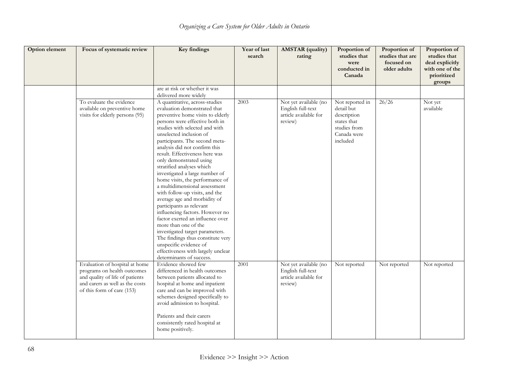| Option element | Focus of systematic review                                                                                                                                        | <b>Key findings</b>                                                                                                                                                                                                                                                                                                                                                                                                                                                                                                                                                                                                                                                                                                                                                                                                                    | Year of last<br>search | <b>AMSTAR</b> (quality)<br>rating                                              | Proportion of<br>studies that<br>were<br>conducted in<br>Canada                                        | Proportion of<br>studies that are<br>focused on<br>older adults | Proportion of<br>studies that<br>deal explicitly<br>with one of the<br>prioritized<br>groups |
|----------------|-------------------------------------------------------------------------------------------------------------------------------------------------------------------|----------------------------------------------------------------------------------------------------------------------------------------------------------------------------------------------------------------------------------------------------------------------------------------------------------------------------------------------------------------------------------------------------------------------------------------------------------------------------------------------------------------------------------------------------------------------------------------------------------------------------------------------------------------------------------------------------------------------------------------------------------------------------------------------------------------------------------------|------------------------|--------------------------------------------------------------------------------|--------------------------------------------------------------------------------------------------------|-----------------------------------------------------------------|----------------------------------------------------------------------------------------------|
|                |                                                                                                                                                                   | are at risk or whether it was<br>delivered more widely                                                                                                                                                                                                                                                                                                                                                                                                                                                                                                                                                                                                                                                                                                                                                                                 |                        |                                                                                |                                                                                                        |                                                                 |                                                                                              |
|                | To evaluate the evidence<br>available on preventive home<br>visits for elderly persons (95)                                                                       | A quantitative, across-studies<br>evaluation demonstrated that<br>preventive home visits to elderly<br>persons were effective both in<br>studies with selected and with<br>unselected inclusion of<br>participants. The second meta-<br>analysis did not confirm this<br>result. Effectiveness here was<br>only demonstrated using<br>stratified analyses which<br>investigated a large number of<br>home visits, the performance of<br>a multidimensional assessment<br>with follow-up visits, and the<br>average age and morbidity of<br>participants as relevant<br>influencing factors. However no<br>factor exerted an influence over<br>more than one of the<br>investigated target parameters.<br>The findings thus constitute very<br>unspecific evidence of<br>effectiveness with largely unclear<br>determinants of success. | 2003                   | Not yet available (no<br>English full-text<br>article available for<br>review) | Not reported in<br>detail but<br>description<br>states that<br>studies from<br>Canada were<br>included | 26/26                                                           | Not yet<br>available                                                                         |
|                | Evaluation of hospital at home<br>programs on health outcomes<br>and quality of life of patients<br>and carers as well as the costs<br>of this form of care (153) | Evidence showed few<br>differenced in health outcomes<br>between patients allocated to<br>hospital at home and inpatient<br>care and can be improved with<br>schemes designed specifically to<br>avoid admission to hospital.<br>Patients and their carers<br>consistently rated hospital at<br>home positively.                                                                                                                                                                                                                                                                                                                                                                                                                                                                                                                       | 2001                   | Not yet available (no<br>English full-text<br>article available for<br>review) | Not reported                                                                                           | Not reported                                                    | Not reported                                                                                 |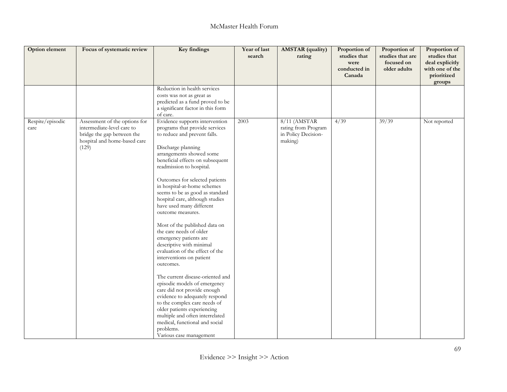| Option element           | Focus of systematic review                                                                                                         | Key findings                                                                                                                                                                                                                                                                                                                                                                                                                                                                                                                                                                                                                                                                                                                                                                                                                                                                                                              | Year of last<br>search | <b>AMSTAR</b> (quality)<br>rating                                     | Proportion of<br>studies that<br>were<br>conducted in<br>Canada | Proportion of<br>studies that are<br>focused on<br>older adults | Proportion of<br>studies that<br>deal explicitly<br>with one of the<br>prioritized<br>groups |
|--------------------------|------------------------------------------------------------------------------------------------------------------------------------|---------------------------------------------------------------------------------------------------------------------------------------------------------------------------------------------------------------------------------------------------------------------------------------------------------------------------------------------------------------------------------------------------------------------------------------------------------------------------------------------------------------------------------------------------------------------------------------------------------------------------------------------------------------------------------------------------------------------------------------------------------------------------------------------------------------------------------------------------------------------------------------------------------------------------|------------------------|-----------------------------------------------------------------------|-----------------------------------------------------------------|-----------------------------------------------------------------|----------------------------------------------------------------------------------------------|
|                          |                                                                                                                                    | Reduction in health services<br>costs was not as great as<br>predicted as a fund proved to be<br>a significant factor in this form<br>of care.                                                                                                                                                                                                                                                                                                                                                                                                                                                                                                                                                                                                                                                                                                                                                                            |                        |                                                                       |                                                                 |                                                                 |                                                                                              |
| Respite/episodic<br>care | Assessment of the options for<br>intermediate-level care to<br>bridge the gap between the<br>hospital and home-based care<br>(129) | Evidence supports intervention<br>programs that provide services<br>to reduce and prevent falls.<br>Discharge planning<br>arrangements showed some<br>beneficial effects on subsequent<br>readmission to hospital.<br>Outcomes for selected patients<br>in hospital-at-home schemes<br>seems to be as good as standard<br>hospital care, although studies<br>have used many different<br>outcome measures.<br>Most of the published data on<br>the care needs of older<br>emergency patients are<br>descriptive with minimal<br>evaluation of the effect of the<br>interventions on patient<br>outcomes.<br>The current disease-oriented and<br>episodic models of emergency<br>care did not provide enough<br>evidence to adequately respond<br>to the complex care needs of<br>older patients experiencing<br>multiple and often interrelated<br>medical, functional and social<br>problems.<br>Various case management | 2003                   | 8/11 (AMSTAR<br>rating from Program<br>in Policy Decision-<br>making) | 4/39                                                            | 39/39                                                           | Not reported                                                                                 |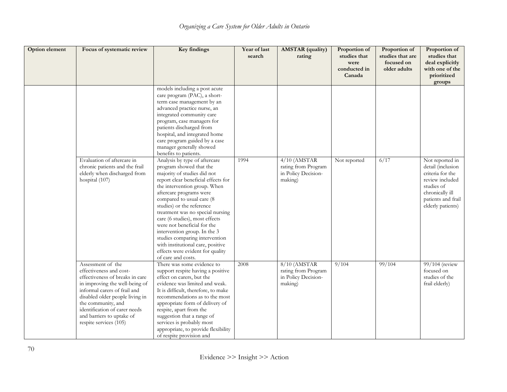| Option element | Focus of systematic review                                                                                                                                                                                                                                                                         | <b>Key findings</b>                                                                                                                                                                                                                                                                                                                                                                                                                                                                                                       | Year of last<br>search | <b>AMSTAR</b> (quality)<br>rating                                                  | Proportion of<br>studies that<br>were<br>conducted in<br>Canada | Proportion of<br>studies that are<br>focused on<br>older adults | Proportion of<br>studies that<br>deal explicitly<br>with one of the<br>prioritized<br>groups                                                            |
|----------------|----------------------------------------------------------------------------------------------------------------------------------------------------------------------------------------------------------------------------------------------------------------------------------------------------|---------------------------------------------------------------------------------------------------------------------------------------------------------------------------------------------------------------------------------------------------------------------------------------------------------------------------------------------------------------------------------------------------------------------------------------------------------------------------------------------------------------------------|------------------------|------------------------------------------------------------------------------------|-----------------------------------------------------------------|-----------------------------------------------------------------|---------------------------------------------------------------------------------------------------------------------------------------------------------|
|                |                                                                                                                                                                                                                                                                                                    | models including a post acute<br>care program (PAC), a short-<br>term case management by an<br>advanced practice nurse, an<br>integrated community care<br>program, case managers for<br>patients discharged from<br>hospital, and integrated home<br>care program guided by a case<br>manager generally showed<br>benefits to patients.                                                                                                                                                                                  |                        |                                                                                    |                                                                 |                                                                 |                                                                                                                                                         |
|                | Evaluation of aftercare in<br>chronic patients and the frail<br>elderly when discharged from<br>hospital (107)                                                                                                                                                                                     | Analysis by type of aftercare<br>program showed that the<br>majority of studies did not<br>report clear beneficial effects for<br>the intervention group. When<br>aftercare programs were<br>compared to usual care (8<br>studies) or the reference<br>treatment was no special nursing<br>care (6 studies), most effects<br>were not beneficial for the<br>intervention group. In the 3<br>studies comparing intervention<br>with institutional care, positive<br>effects were evident for quality<br>of care and costs. | 1994                   | $4/10$ (AMSTAR<br>rating from Program<br>in Policy Decision-<br>making)            | Not reported                                                    | 6/17                                                            | Not reported in<br>detail (inclusion<br>criteria for the<br>review included<br>studies of<br>chronically ill<br>patients and frail<br>elderly patients) |
|                | Assessment of the<br>effectiveness and cost-<br>effectiveness of breaks in care<br>in improving the well-being of<br>informal carers of frail and<br>disabled older people living in<br>the community, and<br>identification of carer needs<br>and barriers to uptake of<br>respite services (105) | There was some evidence to<br>support respite having a positive<br>effect on carers, but the<br>evidence was limited and weak.<br>It is difficult, therefore, to make<br>recommendations as to the most<br>appropriate form of delivery of<br>respite, apart from the<br>suggestion that a range of<br>services is probably most<br>appropriate, to provide flexibility<br>of respite provision and                                                                                                                       | 2008                   | $8/\overline{10}$ (AMSTAR<br>rating from Program<br>in Policy Decision-<br>making) | 9/104                                                           | 99/104                                                          | 99/104 (review<br>focused on<br>studies of the<br>frail elderly)                                                                                        |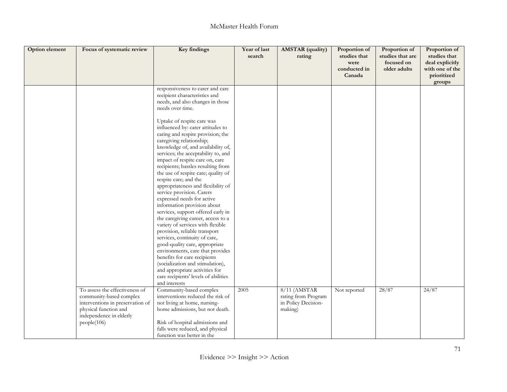| <b>Option element</b> | Focus of systematic review                                                                                      | Key findings                                                                                                                                                                                                                                                                                                                                                                                                                                                                                                                                                                                                                                                                                                                                                                                                                                                                                  | Year of last<br>search | <b>AMSTAR</b> (quality)<br>rating                     | Proportion of<br>studies that<br>were<br>conducted in | Proportion of<br>studies that are<br>focused on<br>older adults | Proportion of<br>studies that<br>deal explicitly<br>with one of the |
|-----------------------|-----------------------------------------------------------------------------------------------------------------|-----------------------------------------------------------------------------------------------------------------------------------------------------------------------------------------------------------------------------------------------------------------------------------------------------------------------------------------------------------------------------------------------------------------------------------------------------------------------------------------------------------------------------------------------------------------------------------------------------------------------------------------------------------------------------------------------------------------------------------------------------------------------------------------------------------------------------------------------------------------------------------------------|------------------------|-------------------------------------------------------|-------------------------------------------------------|-----------------------------------------------------------------|---------------------------------------------------------------------|
|                       |                                                                                                                 |                                                                                                                                                                                                                                                                                                                                                                                                                                                                                                                                                                                                                                                                                                                                                                                                                                                                                               |                        |                                                       | Canada                                                |                                                                 | prioritized<br>groups                                               |
|                       |                                                                                                                 | responsiveness to carer and care<br>recipient characteristics and<br>needs, and also changes in those<br>needs over time.                                                                                                                                                                                                                                                                                                                                                                                                                                                                                                                                                                                                                                                                                                                                                                     |                        |                                                       |                                                       |                                                                 |                                                                     |
|                       |                                                                                                                 | Uptake of respite care was<br>influenced by: carer attitudes to<br>caring and respite provision; the<br>caregiving relationship;<br>knowledge of, and availability of,<br>services; the acceptability to, and<br>impact of respite care on, care<br>recipients; hassles resulting from<br>the use of respite care; quality of<br>respite care; and the<br>appropriateness and flexibility of<br>service provision. Carers<br>expressed needs for active<br>information provision about<br>services, support offered early in<br>the caregiving career, access to a<br>variety of services with flexible<br>provision, reliable transport<br>services, continuity of care,<br>good-quality care, appropriate<br>environments, care that provides<br>benefits for care recipients<br>(socialization and stimulation),<br>and appropriate activities for<br>care recipients' levels of abilities |                        |                                                       |                                                       |                                                                 |                                                                     |
|                       | To assess the effectiveness of                                                                                  | and interests<br>Community-based complex                                                                                                                                                                                                                                                                                                                                                                                                                                                                                                                                                                                                                                                                                                                                                                                                                                                      | 2005                   | $8/11$ (AMSTAR                                        | Not reported                                          | 28/87                                                           | 24/87                                                               |
|                       | community-based complex<br>interventions in preservation of<br>physical function and<br>independence in elderly | interventions reduced the risk of<br>not living at home, nursing-<br>home admissions, but not death.                                                                                                                                                                                                                                                                                                                                                                                                                                                                                                                                                                                                                                                                                                                                                                                          |                        | rating from Program<br>in Policy Decision-<br>making) |                                                       |                                                                 |                                                                     |
|                       | people(106)                                                                                                     | Risk of hospital admissions and<br>falls were reduced, and physical<br>function was better in the                                                                                                                                                                                                                                                                                                                                                                                                                                                                                                                                                                                                                                                                                                                                                                                             |                        |                                                       |                                                       |                                                                 |                                                                     |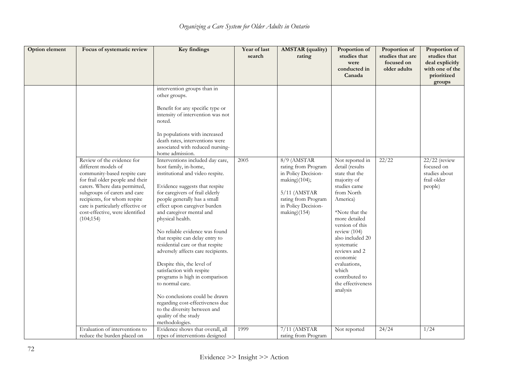| Option element | Focus of systematic review                                                                                                                                                                                                                                                    | Key findings                                                                                                                                                                                                                                                                                                                                                                                                                                                                                                                                                                                                                                                 | Year of last<br>search | <b>AMSTAR</b> (quality)<br>rating                                                                                                           | Proportion of<br>studies that<br>were<br>conducted in<br>Canada                                                                                                                                                                                                                                             | Proportion of<br>studies that are<br>focused on<br>older adults | Proportion of<br>studies that<br>deal explicitly<br>with one of the<br>prioritized<br>groups |
|----------------|-------------------------------------------------------------------------------------------------------------------------------------------------------------------------------------------------------------------------------------------------------------------------------|--------------------------------------------------------------------------------------------------------------------------------------------------------------------------------------------------------------------------------------------------------------------------------------------------------------------------------------------------------------------------------------------------------------------------------------------------------------------------------------------------------------------------------------------------------------------------------------------------------------------------------------------------------------|------------------------|---------------------------------------------------------------------------------------------------------------------------------------------|-------------------------------------------------------------------------------------------------------------------------------------------------------------------------------------------------------------------------------------------------------------------------------------------------------------|-----------------------------------------------------------------|----------------------------------------------------------------------------------------------|
|                | Review of the evidence for                                                                                                                                                                                                                                                    | intervention groups than in<br>other groups.<br>Benefit for any specific type or<br>intensity of intervention was not<br>noted.<br>In populations with increased<br>death rates, interventions were<br>associated with reduced nursing-<br>home admission.<br>Interventions included day care,                                                                                                                                                                                                                                                                                                                                                               | 2005                   | $8/9$ (AMSTAR                                                                                                                               | Not reported in                                                                                                                                                                                                                                                                                             | 22/22                                                           | $22/22$ (review                                                                              |
|                | different models of<br>community-based respite care<br>for frail older people and their<br>carers. Where data permitted,<br>subgroups of carers and care<br>recipients, for whom respite<br>care is particularly effective or<br>cost-effective, were identified<br>(104;154) | host family, in-home,<br>institutional and video respite.<br>Evidence suggests that respite<br>for caregivers of frail elderly<br>people generally has a small<br>effect upon caregiver burden<br>and caregiver mental and<br>physical health.<br>No reliable evidence was found<br>that respite can delay entry to<br>residential care or that respite<br>adversely affects care recipients.<br>Despite this, the level of<br>satisfaction with respite<br>programs is high in comparison<br>to normal care.<br>No conclusions could be drawn<br>regarding cost-effectiveness due<br>to the diversity between and<br>quality of the study<br>methodologies. |                        | rating from Program<br>in Policy Decision-<br>making)(104);<br>$5/11$ (AMSTAR<br>rating from Program<br>in Policy Decision-<br>making)(154) | detail (results<br>state that the<br>majority of<br>studies came<br>from North<br>America)<br>*Note that the<br>more detailed<br>version of this<br>review (104)<br>also included 20<br>systematic<br>reviews and 2<br>economic<br>evaluations,<br>which<br>contributed to<br>the effectiveness<br>analysis |                                                                 | focused on<br>studies about<br>frail older<br>people)                                        |
|                | Evaluation of interventions to<br>reduce the burden placed on                                                                                                                                                                                                                 | Evidence shows that overall, all<br>types of interventions designed                                                                                                                                                                                                                                                                                                                                                                                                                                                                                                                                                                                          | 1999                   | $7/11$ (AMSTAR<br>rating from Program                                                                                                       | Not reported                                                                                                                                                                                                                                                                                                | 24/24                                                           | 1/24                                                                                         |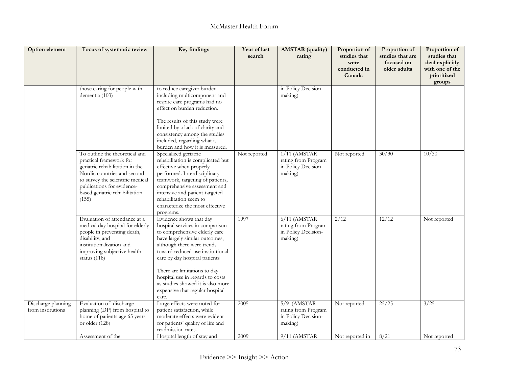| <b>Option element</b>                   | Focus of systematic review                                                                                                                                                                                                                | Key findings                                                                                                                                                                                                                                                                                                                                                                          | Year of last<br>search | <b>AMSTAR</b> (quality)<br>rating                                       | Proportion of<br>studies that<br>were<br>conducted in<br>Canada | Proportion of<br>studies that are<br>focused on<br>older adults | Proportion of<br>studies that<br>deal explicitly<br>with one of the<br>prioritized<br>groups |
|-----------------------------------------|-------------------------------------------------------------------------------------------------------------------------------------------------------------------------------------------------------------------------------------------|---------------------------------------------------------------------------------------------------------------------------------------------------------------------------------------------------------------------------------------------------------------------------------------------------------------------------------------------------------------------------------------|------------------------|-------------------------------------------------------------------------|-----------------------------------------------------------------|-----------------------------------------------------------------|----------------------------------------------------------------------------------------------|
|                                         | those caring for people with<br>dementia (103)                                                                                                                                                                                            | to reduce caregiver burden<br>including multicomponent and<br>respite care programs had no<br>effect on burden reduction.<br>The results of this study were<br>limited by a lack of clarity and<br>consistency among the studies<br>included, regarding what is<br>burden and how it is measured.                                                                                     |                        | in Policy Decision-<br>making)                                          |                                                                 |                                                                 |                                                                                              |
|                                         | To outline the theoretical and<br>practical framework for<br>geriatric rehabilitation in the<br>Nordic countries and second,<br>to survey the scientific medical<br>publications for evidence-<br>based geriatric rehabilitation<br>(155) | Specialized geriatric<br>rehabilitation is complicated but<br>effective when properly<br>performed. Interdisciplinary<br>teamwork, targeting of patients,<br>comprehensive assessment and<br>intensive and patient-targeted<br>rehabilitation seem to<br>characterize the most effective<br>programs.                                                                                 | Not reported           | $1/11$ (AMSTAR<br>rating from Program<br>in Policy Decision-<br>making) | Not reported                                                    | 30/30                                                           | 10/30                                                                                        |
|                                         | Evaluation of attendance at a<br>medical day hospital for elderly<br>people in preventing death,<br>disability, and<br>institutionalization and<br>improving subjective health<br>status (118)                                            | Evidence shows that day<br>hospital services in comparison<br>to comprehensive elderly care<br>have largely similar outcomes,<br>although there were trends<br>toward reduced use institutional<br>care by day hospital patients<br>There are limitations to day<br>hospital use in regards to costs<br>as studies showed it is also more<br>expensive that regular hospital<br>care. | 1997                   | $6/11$ (AMSTAR<br>rating from Program<br>in Policy Decision-<br>making) | 2/12                                                            | 12/12                                                           | Not reported                                                                                 |
| Discharge planning<br>from institutions | Evaluation of discharge<br>planning (DP) from hospital to<br>home of patients age 65 years<br>or older $(128)$                                                                                                                            | Large effects were noted for<br>patient satisfaction, while<br>moderate effects were evident<br>for patients' quality of life and<br>readmission rates.                                                                                                                                                                                                                               | 2005                   | $5/9$ (AMSTAR<br>rating from Program<br>in Policy Decision-<br>making)  | Not reported                                                    | 25/25                                                           | 3/25                                                                                         |
|                                         | Assessment of the                                                                                                                                                                                                                         | Hospital length of stay and                                                                                                                                                                                                                                                                                                                                                           | 2009                   | $9/11$ (AMSTAR                                                          | Not reported in                                                 | 8/21                                                            | Not reported                                                                                 |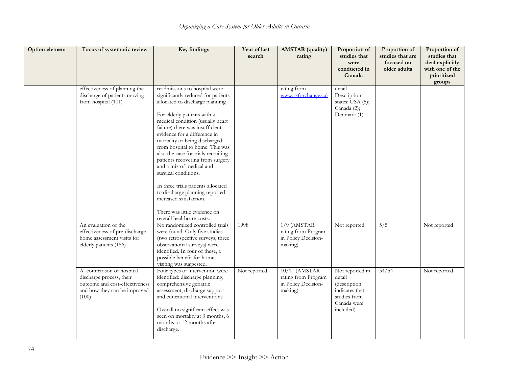| Option element | Focus of systematic review                                                                                                      | Key findings                                                                                                                                                                                                                                                                                                                                                                                                                                                                                                                                                                                                    | Year of last<br>search | <b>AMSTAR</b> (quality)<br>rating                                      | Proportion of<br>studies that<br>were<br>conducted in<br>Canada                                         | Proportion of<br>studies that are<br>focused on<br>older adults | Proportion of<br>studies that<br>deal explicitly<br>with one of the<br>prioritized<br>groups |
|----------------|---------------------------------------------------------------------------------------------------------------------------------|-----------------------------------------------------------------------------------------------------------------------------------------------------------------------------------------------------------------------------------------------------------------------------------------------------------------------------------------------------------------------------------------------------------------------------------------------------------------------------------------------------------------------------------------------------------------------------------------------------------------|------------------------|------------------------------------------------------------------------|---------------------------------------------------------------------------------------------------------|-----------------------------------------------------------------|----------------------------------------------------------------------------------------------|
|                | effectiveness of planning the<br>discharge of patients moving<br>from hospital (101)                                            | readmissions to hospital were<br>significantly reduced for patients<br>allocated to discharge planning<br>For elderly patients with a<br>medical condition (usually heart<br>failure) there was insufficient<br>evidence for a difference in<br>mortality or being discharged<br>from hospital to home. This was<br>also the case for trials recruiting<br>patients recovering from surgery<br>and a mix of medical and<br>surgical conditions.<br>In three trials patients allocated<br>to discharge planning reported<br>increased satisfaction.<br>There was little evidence on<br>overall healthcare costs. |                        | rating from<br>www.rxforchange.ca)                                     | detail-<br>Description<br>states: USA (5);<br>Canada (2);<br>Denmark (1)                                |                                                                 |                                                                                              |
|                | An evaluation of the<br>effectiveness of pre-discharge<br>home assessment visits for<br>elderly patients (156)                  | No randomized controlled trials<br>were found. Only five studies<br>(two retrospective surveys, three<br>observational surveys) were<br>identified. In four of these, a<br>possible benefit for home<br>visiting was suggested.                                                                                                                                                                                                                                                                                                                                                                                 | 1998                   | $1/9$ (AMSTAR<br>rating from Program<br>in Policy Decision-<br>making) | Not reported                                                                                            | $\overline{5/5}$                                                | Not reported                                                                                 |
|                | A comparison of hospital<br>discharge process, their<br>outcome and cost-effectiveness<br>and how they can be improved<br>(100) | Four types of intervention were<br>identified: discharge planning,<br>comprehensive geriatric<br>assessment, discharge support<br>and educational interventions<br>Overall no significant effect was<br>seen on mortality at 3 months, 6<br>months or 12 months after<br>discharge.                                                                                                                                                                                                                                                                                                                             | Not reported           | 10/11 (AMSTAR<br>rating from Program<br>in Policy Decision-<br>making) | Not reported in<br>detail<br>(description<br>indicates that<br>studies from<br>Canada were<br>included) | 54/54                                                           | Not reported                                                                                 |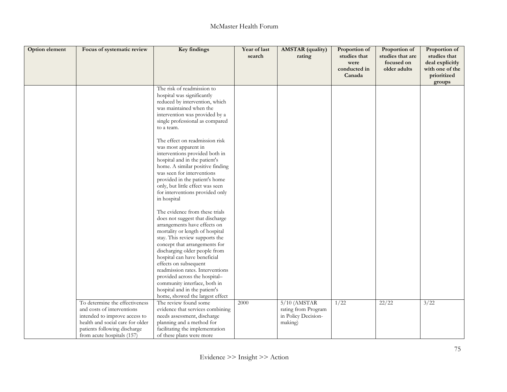| Option element | Focus of systematic review                                                                                                                                                                      | Key findings                                                                                                                                                                                                                                                                                                                                                                                                                                                                                                                                                                                                                                                                                                                                                                                                                                                                                              | Year of last<br>search | <b>AMSTAR</b> (quality)<br>rating                                       | Proportion of<br>studies that<br>were<br>conducted in | Proportion of<br>studies that are<br>focused on<br>older adults | Proportion of<br>studies that<br>deal explicitly<br>with one of the |
|----------------|-------------------------------------------------------------------------------------------------------------------------------------------------------------------------------------------------|-----------------------------------------------------------------------------------------------------------------------------------------------------------------------------------------------------------------------------------------------------------------------------------------------------------------------------------------------------------------------------------------------------------------------------------------------------------------------------------------------------------------------------------------------------------------------------------------------------------------------------------------------------------------------------------------------------------------------------------------------------------------------------------------------------------------------------------------------------------------------------------------------------------|------------------------|-------------------------------------------------------------------------|-------------------------------------------------------|-----------------------------------------------------------------|---------------------------------------------------------------------|
|                |                                                                                                                                                                                                 |                                                                                                                                                                                                                                                                                                                                                                                                                                                                                                                                                                                                                                                                                                                                                                                                                                                                                                           |                        |                                                                         | Canada                                                |                                                                 | prioritized<br>groups                                               |
|                |                                                                                                                                                                                                 | The risk of readmission to<br>hospital was significantly<br>reduced by intervention, which<br>was maintained when the<br>intervention was provided by a<br>single professional as compared<br>to a team.<br>The effect on readmission risk<br>was most apparent in<br>interventions provided both in<br>hospital and in the patient's<br>home. A similar positive finding<br>was seen for interventions<br>provided in the patient's home<br>only, but little effect was seen<br>for interventions provided only<br>in hospital<br>The evidence from these trials<br>does not suggest that discharge<br>arrangements have effects on<br>mortality or length of hospital<br>stay. This review supports the<br>concept that arrangements for<br>discharging older people from<br>hospital can have beneficial<br>effects on subsequent<br>readmission rates. Interventions<br>provided across the hospital- |                        |                                                                         |                                                       |                                                                 |                                                                     |
|                |                                                                                                                                                                                                 | community interface, both in<br>hospital and in the patient's<br>home, showed the largest effect                                                                                                                                                                                                                                                                                                                                                                                                                                                                                                                                                                                                                                                                                                                                                                                                          |                        |                                                                         |                                                       |                                                                 |                                                                     |
|                | To determine the effectiveness<br>and costs of interventions<br>intended to improve access to<br>health and social care for older<br>patients following discharge<br>from acute hospitals (157) | The review found some<br>evidence that services combining<br>needs assessment, discharge<br>planning and a method for<br>facilitating the implementation<br>of these plans were more                                                                                                                                                                                                                                                                                                                                                                                                                                                                                                                                                                                                                                                                                                                      | 2000                   | $5/10$ (AMSTAR<br>rating from Program<br>in Policy Decision-<br>making) | 1/22                                                  | 22/22                                                           | 3/22                                                                |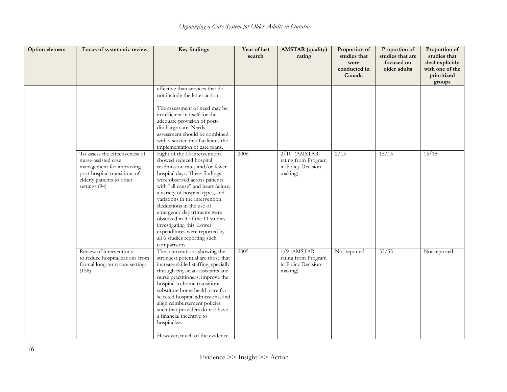| Option element | Focus of systematic review                                                                                                                                      | <b>Key findings</b>                                                                                                                                                                                                                                                                                                                                                                                                                                                                   | Year of last<br>search | <b>AMSTAR</b> (quality)<br>rating                                       | Proportion of<br>studies that<br>were<br>conducted in<br>Canada | Proportion of<br>studies that are<br>focused on<br>older adults | Proportion of<br>studies that<br>deal explicitly<br>with one of the<br>prioritized<br>groups |
|----------------|-----------------------------------------------------------------------------------------------------------------------------------------------------------------|---------------------------------------------------------------------------------------------------------------------------------------------------------------------------------------------------------------------------------------------------------------------------------------------------------------------------------------------------------------------------------------------------------------------------------------------------------------------------------------|------------------------|-------------------------------------------------------------------------|-----------------------------------------------------------------|-----------------------------------------------------------------|----------------------------------------------------------------------------------------------|
|                |                                                                                                                                                                 | effective than services that do<br>not include the latter action.<br>The assessment of need may be<br>insufficient in itself for the<br>adequate provision of post-<br>discharge care. Needs<br>assessment should be combined<br>with a service that facilitates the<br>implementation of care plans.                                                                                                                                                                                 |                        |                                                                         |                                                                 |                                                                 |                                                                                              |
|                | To assess the effectiveness of<br>nurse-assisted case<br>management for improving<br>post-hospital transitions of<br>elderly patients to other<br>settings (94) | Eight of the 15 interventions<br>showed reduced hospital<br>readmission rates and/or fewer<br>hospital days. These findings<br>were observed across patients<br>with "all cause" and heart failure,<br>a variety of hospital types, and<br>variations in the intervention.<br>Reductions in the use of<br>emergency departments were<br>observed in 3 of the 11 studies<br>investigating this. Lower<br>expenditures were reported by<br>all 6 studies reporting such<br>comparisons. | 2006                   | $2/10$ (AMSTAR<br>rating from Program<br>in Policy Decision-<br>making) | $\frac{2}{15}$                                                  | 15/15                                                           | 15/15                                                                                        |
|                | Review of interventions<br>to reduce hospitalizations from<br>formal long-term care settings<br>(158)                                                           | The interventions showing the<br>strongest potential are those that<br>increase skilled staffing, specially<br>through physician assistants and<br>nurse practitioners; improve the<br>hospital-to-home transition;<br>substitute home health care for<br>selected hospital admissions; and<br>align reimbursement policies<br>such that providers do not have<br>a financial incentive to<br>hospitalize.<br>However, much of the evidence                                           | 2005                   | $1/9$ (AMSTAR<br>rating from Program<br>in Policy Decision-<br>making)  | Not reported                                                    | 55/55                                                           | Not reported                                                                                 |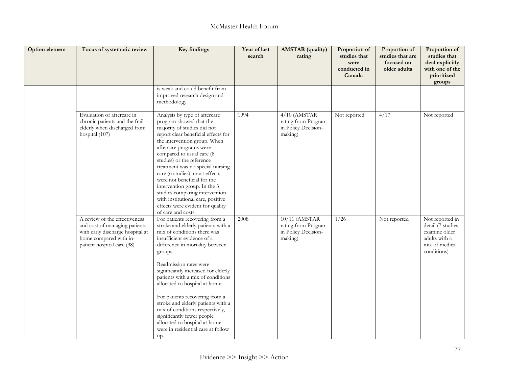| Option element | Focus of systematic review                                                                                                                                 | Key findings                                                                                                                                                                                                                                                                                                                                                                                                                                                                                                                                   | Year of last<br>search | <b>AMSTAR</b> (quality)<br>rating                                       | Proportion of<br>studies that<br>were<br>conducted in<br>Canada | Proportion of<br>studies that are<br>focused on<br>older adults | Proportion of<br>studies that<br>deal explicitly<br>with one of the<br>prioritized<br>groups            |
|----------------|------------------------------------------------------------------------------------------------------------------------------------------------------------|------------------------------------------------------------------------------------------------------------------------------------------------------------------------------------------------------------------------------------------------------------------------------------------------------------------------------------------------------------------------------------------------------------------------------------------------------------------------------------------------------------------------------------------------|------------------------|-------------------------------------------------------------------------|-----------------------------------------------------------------|-----------------------------------------------------------------|---------------------------------------------------------------------------------------------------------|
|                |                                                                                                                                                            | is weak and could benefit from<br>improved research design and<br>methodology.                                                                                                                                                                                                                                                                                                                                                                                                                                                                 |                        |                                                                         |                                                                 |                                                                 |                                                                                                         |
|                | Evaluation of aftercare in<br>chronic patients and the frail<br>elderly when discharged from<br>hospital (107)                                             | Analysis by type of aftercare<br>program showed that the<br>majority of studies did not<br>report clear beneficial effects for<br>the intervention group. When<br>aftercare programs were<br>compared to usual care (8<br>studies) or the reference<br>treatment was no special nursing<br>care (6 studies), most effects<br>were not beneficial for the<br>intervention group. In the 3<br>studies comparing intervention<br>with institutional care, positive<br>effects were evident for quality<br>of care and costs.                      | 1994                   | $4/10$ (AMSTAR<br>rating from Program<br>in Policy Decision-<br>making) | Not reported                                                    | 4/17                                                            | Not reported                                                                                            |
|                | A review of the effectiveness<br>and cost of managing patients<br>with early discharge hospital at<br>home compared with in-<br>patient hospital care (98) | For patients recovering from a<br>stroke and elderly patients with a<br>mix of conditions there was<br>insufficient evidence of a<br>difference in mortality between<br>groups.<br>Readmission rates were<br>significantly increased for elderly<br>patients with a mix of conditions<br>allocated to hospital at home.<br>For patients recovering from a<br>stroke and elderly patients with a<br>mix of conditions respectively,<br>significantly fewer people<br>allocated to hospital at home<br>were in residential care at follow<br>up. | 2008                   | 10/11 (AMSTAR<br>rating from Program<br>in Policy Decision-<br>making)  | 1/26                                                            | Not reported                                                    | Not reported in<br>detail (7 studies<br>examine older<br>adults with a<br>mix of medical<br>conditions) |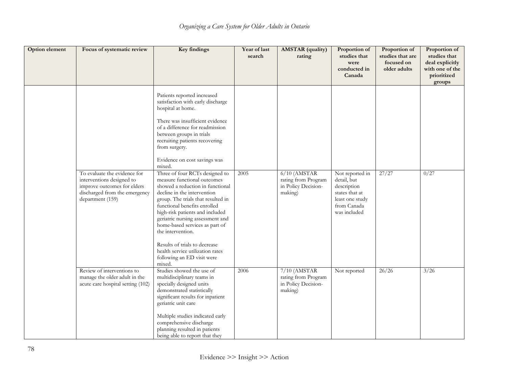| <b>Option element</b> | Focus of systematic review                                                                                                                    | Key findings                                                                                                                                                                                                                                                                                                                                                                                                                                      | Year of last<br>search | <b>AMSTAR</b> (quality)<br>rating                                       | Proportion of<br>studies that<br>were<br>conducted in<br>Canada                                                   | Proportion of<br>studies that are<br>focused on<br>older adults | Proportion of<br>studies that<br>deal explicitly<br>with one of the<br>prioritized<br>groups |
|-----------------------|-----------------------------------------------------------------------------------------------------------------------------------------------|---------------------------------------------------------------------------------------------------------------------------------------------------------------------------------------------------------------------------------------------------------------------------------------------------------------------------------------------------------------------------------------------------------------------------------------------------|------------------------|-------------------------------------------------------------------------|-------------------------------------------------------------------------------------------------------------------|-----------------------------------------------------------------|----------------------------------------------------------------------------------------------|
|                       |                                                                                                                                               | Patients reported increased<br>satisfaction with early discharge<br>hospital at home.<br>There was insufficient evidence<br>of a difference for readmission<br>between groups in trials<br>recruiting patients recovering<br>from surgery.<br>Evidence on cost savings was<br>mixed.                                                                                                                                                              |                        |                                                                         |                                                                                                                   |                                                                 |                                                                                              |
|                       | To evaluate the evidence for<br>interventions designed to<br>improve outcomes for elders<br>discharged from the emergency<br>department (159) | Three of four RCTs designed to<br>measure functional outcomes<br>showed a reduction in functional<br>decline in the intervention<br>group. The trials that resulted in<br>functional benefits enrolled<br>high-risk patients and included<br>geriatric nursing assessment and<br>home-based services as part of<br>the intervention.<br>Results of trials to decrease<br>health service utilization rates<br>following an ED visit were<br>mixed. | 2005                   | $6/10$ (AMSTAR<br>rating from Program<br>in Policy Decision-<br>making) | Not reported in<br>detail, but<br>description<br>states that at<br>least one study<br>from Canada<br>was included | 27/27                                                           | 0/27                                                                                         |
|                       | Review of interventions to<br>manage the older adult in the<br>acute care hospital setting (102)                                              | Studies showed the use of<br>multidisciplinary teams in<br>specially designed units<br>demonstrated statistically<br>significant results for inpatient<br>geriatric unit care<br>Multiple studies indicated early<br>comprehensive discharge<br>planning resulted in patients<br>being able to report that they                                                                                                                                   | 2006                   | $7/10$ (AMSTAR<br>rating from Program<br>in Policy Decision-<br>making) | Not reported                                                                                                      | 26/26                                                           | 3/26                                                                                         |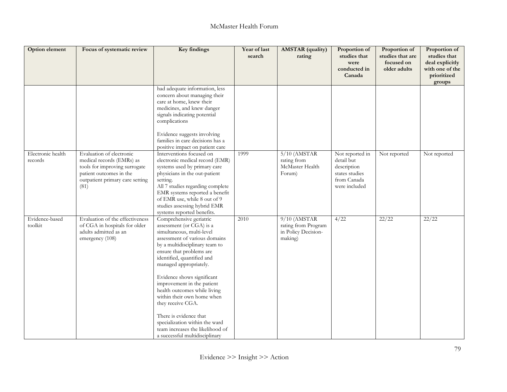| Option element               | Focus of systematic review                                                                                                                                   | Key findings                                                                                                                                                                                                                                                                                                                                                                                                                                                                                                             | Year of last<br>search | <b>AMSTAR</b> (quality)<br>rating                                       | Proportion of<br>studies that<br>were<br>conducted in<br>Canada                                | Proportion of<br>studies that are<br>focused on<br>older adults | Proportion of<br>studies that<br>deal explicitly<br>with one of the<br>prioritized<br>groups |
|------------------------------|--------------------------------------------------------------------------------------------------------------------------------------------------------------|--------------------------------------------------------------------------------------------------------------------------------------------------------------------------------------------------------------------------------------------------------------------------------------------------------------------------------------------------------------------------------------------------------------------------------------------------------------------------------------------------------------------------|------------------------|-------------------------------------------------------------------------|------------------------------------------------------------------------------------------------|-----------------------------------------------------------------|----------------------------------------------------------------------------------------------|
|                              |                                                                                                                                                              | had adequate information, less<br>concern about managing their<br>care at home, knew their<br>medicines, and knew danger<br>signals indicating potential<br>complications<br>Evidence suggests involving<br>families in care decisions has a<br>positive impact on patient care                                                                                                                                                                                                                                          |                        |                                                                         |                                                                                                |                                                                 |                                                                                              |
| Electronic health<br>records | Evaluation of electronic<br>medical records (EMRs) as<br>tools for improving surrogate<br>patient outcomes in the<br>outpatient primary care setting<br>(81) | Interventions focused on<br>electronic medical record (EMR)<br>systems used by primary care<br>physicians in the out-patient<br>setting.<br>All 7 studies regarding complete<br>EMR systems reported a benefit<br>of EMR use, while 8 out of 9<br>studies assessing hybrid EMR<br>systems reported benefits.                                                                                                                                                                                                             | 1999                   | $5/10$ (AMSTAR<br>rating from<br>McMaster Health<br>Forum)              | Not reported in<br>detail but<br>description<br>states studies<br>from Canada<br>were included | Not reported                                                    | Not reported                                                                                 |
| Evidence-based<br>toolkit    | Evaluation of the effectiveness<br>of CGA in hospitals for older<br>adults admitted as an<br>emergency (108)                                                 | Comprehensive geriatric<br>assessment (or CGA) is a<br>simultaneous, multi-level<br>assessment of various domains<br>by a multidisciplinary team to<br>ensure that problems are<br>identified, quantified and<br>managed appropriately.<br>Evidence shows significant<br>improvement in the patient<br>health outcomes while living<br>within their own home when<br>they receive CGA.<br>There is evidence that<br>specialization within the ward<br>team increases the likelihood of<br>a successful multidisciplinary | 2010                   | $9/10$ (AMSTAR<br>rating from Program<br>in Policy Decision-<br>making) | 4/22                                                                                           | 22/22                                                           | 22/22                                                                                        |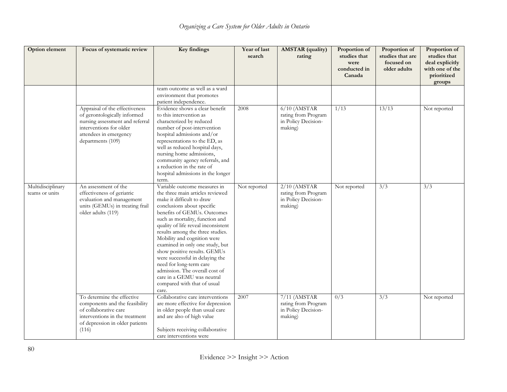| Option element                      | Focus of systematic review                                                                                                                                                  | Key findings                                                                                                                                                                                                                                                                                                                                                                                                                                                                                                                                     | Year of last<br>search | <b>AMSTAR</b> (quality)<br>rating                                       | Proportion of<br>studies that<br>were<br>conducted in<br>Canada | Proportion of<br>studies that are<br>focused on<br>older adults | Proportion of<br>studies that<br>deal explicitly<br>with one of the<br>prioritized<br>groups |
|-------------------------------------|-----------------------------------------------------------------------------------------------------------------------------------------------------------------------------|--------------------------------------------------------------------------------------------------------------------------------------------------------------------------------------------------------------------------------------------------------------------------------------------------------------------------------------------------------------------------------------------------------------------------------------------------------------------------------------------------------------------------------------------------|------------------------|-------------------------------------------------------------------------|-----------------------------------------------------------------|-----------------------------------------------------------------|----------------------------------------------------------------------------------------------|
|                                     |                                                                                                                                                                             | team outcome as well as a ward<br>environment that promotes<br>patient independence.                                                                                                                                                                                                                                                                                                                                                                                                                                                             |                        |                                                                         |                                                                 |                                                                 |                                                                                              |
|                                     | Appraisal of the effectiveness<br>of gerontologically informed<br>nursing assessment and referral<br>interventions for older<br>attendees in emergency<br>departments (109) | Evidence shows a clear benefit<br>to this intervention as<br>characterized by reduced<br>number of post-intervention<br>hospital admissions and/or<br>representations to the ED, as<br>well as reduced hospital days,<br>nursing home admissions,<br>community agency referrals, and<br>a reduction in the rate of<br>hospital admissions in the longer<br>term.                                                                                                                                                                                 | 2008                   | $6/10$ (AMSTAR<br>rating from Program<br>in Policy Decision-<br>making) | 1/13                                                            | 13/13                                                           | Not reported                                                                                 |
| Multidisciplinary<br>teams or units | An assessment of the<br>effectiveness of geriatric<br>evaluation and management<br>units (GEMUs) in treating frail<br>older adults (119)                                    | Variable outcome measures in<br>the three main articles reviewed<br>make it difficult to draw<br>conclusions about specific<br>benefits of GEMUs. Outcomes<br>such as mortality, function and<br>quality of life reveal inconsistent<br>results among the three studies.<br>Mobility and cognition were<br>examined in only one study, but<br>show positive results. GEMUs<br>were successful in delaying the<br>need for long-term care<br>admission. The overall cost of<br>care in a GEMU was neutral<br>compared with that of usual<br>care. | Not reported           | $2/10$ (AMSTAR<br>rating from Program<br>in Policy Decision-<br>making) | Not reported                                                    | $\overline{3}/\overline{3}$                                     | 3/3                                                                                          |
|                                     | To determine the effective<br>components and the feasibility<br>of collaborative care<br>interventions in the treatment<br>of depression in older patients<br>(116)         | Collaborative care interventions<br>are more effective for depression<br>in older people than usual care<br>and are also of high value<br>Subjects receiving collaborative<br>care interventions were                                                                                                                                                                                                                                                                                                                                            | 2007                   | 7/11 (AMSTAR<br>rating from Program<br>in Policy Decision-<br>making)   | 0/3                                                             | $\overline{3}/\overline{3}$                                     | Not reported                                                                                 |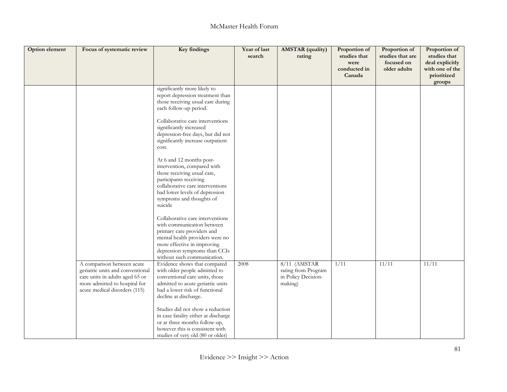| Option element | Focus of systematic review                                                                                                                                          | Key findings                                                                                                                                                                                                                   | Year of last<br>search | <b>AMSTAR</b> (quality)<br>rating                                       | Proportion of<br>studies that<br>were<br>conducted in<br>Canada | Proportion of<br>studies that are<br>focused on<br>older adults | Proportion of<br>studies that<br>deal explicitly<br>with one of the<br>prioritized<br>groups |
|----------------|---------------------------------------------------------------------------------------------------------------------------------------------------------------------|--------------------------------------------------------------------------------------------------------------------------------------------------------------------------------------------------------------------------------|------------------------|-------------------------------------------------------------------------|-----------------------------------------------------------------|-----------------------------------------------------------------|----------------------------------------------------------------------------------------------|
|                |                                                                                                                                                                     | significantly more likely to<br>report depression treatment than<br>those receiving usual care during<br>each follow-up period.                                                                                                |                        |                                                                         |                                                                 |                                                                 |                                                                                              |
|                |                                                                                                                                                                     | Collaborative care interventions<br>significantly increased<br>depression-free days, but did not<br>significantly increase outpatient<br>cost.                                                                                 |                        |                                                                         |                                                                 |                                                                 |                                                                                              |
|                |                                                                                                                                                                     | At 6 and 12 months post-<br>intervention, compared with<br>those receiving usual care,<br>participants receiving<br>collaborative care interventions<br>had lower levels of depression<br>symptoms and thoughts of<br>suicide  |                        |                                                                         |                                                                 |                                                                 |                                                                                              |
|                |                                                                                                                                                                     | Collaborative care interventions<br>with communication between<br>primary care providers and<br>mental health providers were no<br>more effective in improving<br>depression symptoms than CCIs<br>without such communication. |                        |                                                                         |                                                                 |                                                                 |                                                                                              |
|                | A comparison between acute<br>geriatric units and conventional<br>care units in adults aged 65 or<br>more admitted to hospital for<br>acute medical disorders (115) | Evidence shows that compared<br>with older people admitted to<br>conventional care units, those<br>admitted to acute genatric units<br>had a lower risk of functional<br>decline at discharge.                                 | 2008                   | $8/11$ (AMSTAR<br>rating from Program<br>in Policy Decision-<br>making) | 1/11                                                            | 11/11                                                           | 11/11                                                                                        |
|                |                                                                                                                                                                     | Studies did not show a reduction<br>in case fatality either at discharge<br>or at three months follow-up,<br>however this is consistent with<br>studies of very old (80 or older)                                              |                        |                                                                         |                                                                 |                                                                 |                                                                                              |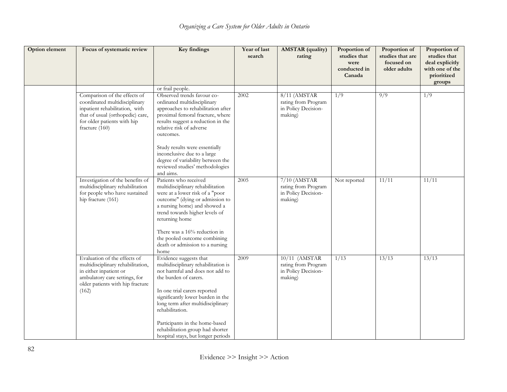| Option element | Focus of systematic review                                                                                                                                                           | Key findings                                                                                                                                                                                                                                           | Year of last<br>search | <b>AMSTAR</b> (quality)<br>rating                                       | Proportion of<br>studies that<br>were<br>conducted in<br>Canada | Proportion of<br>studies that are<br>focused on<br>older adults | Proportion of<br>studies that<br>deal explicitly<br>with one of the<br>prioritized<br>groups |
|----------------|--------------------------------------------------------------------------------------------------------------------------------------------------------------------------------------|--------------------------------------------------------------------------------------------------------------------------------------------------------------------------------------------------------------------------------------------------------|------------------------|-------------------------------------------------------------------------|-----------------------------------------------------------------|-----------------------------------------------------------------|----------------------------------------------------------------------------------------------|
|                |                                                                                                                                                                                      | or frail people.                                                                                                                                                                                                                                       |                        |                                                                         | 1/9                                                             | $\overline{9/9}$                                                | 1/9                                                                                          |
|                | Comparison of the effects of<br>coordinated multidisciplinary<br>inpatient rehabilitation, with<br>that of usual (orthopedic) care,<br>for older patients with hip<br>fracture (160) | Observed trends favour co-<br>ordinated multidisciplinary<br>approaches to rehabilitation after<br>proximal femoral fracture, where<br>results suggest a reduction in the<br>relative risk of adverse<br>outcomes.                                     | 2002                   | 8/11 (AMSTAR<br>rating from Program<br>in Policy Decision-<br>making)   |                                                                 |                                                                 |                                                                                              |
|                |                                                                                                                                                                                      | Study results were essentially<br>inconclusive due to a large<br>degree of variability between the<br>reviewed studies' methodologies<br>and aims.                                                                                                     |                        |                                                                         |                                                                 |                                                                 |                                                                                              |
|                | Investigation of the benefits of<br>multidisciplinary rehabilitation<br>for people who have sustained<br>hip fracture (161)                                                          | Patients who received<br>multidisciplinary rehabilitation<br>were at a lower risk of a "poor<br>outcome" (dying or admission to<br>a nursing home) and showed a<br>trend towards higher levels of<br>returning home                                    | 2005                   | $7/10$ (AMSTAR<br>rating from Program<br>in Policy Decision-<br>making) | Not reported                                                    | 11/11                                                           | 11/11                                                                                        |
|                |                                                                                                                                                                                      | There was a 16% reduction in<br>the pooled outcome combining<br>death or admission to a nursing<br>home                                                                                                                                                |                        |                                                                         |                                                                 |                                                                 |                                                                                              |
|                | Evaluation of the effects of<br>multidisciplinary rehabilitation,<br>in either inpatient or<br>ambulatory care settings, for<br>older patients with hip fracture<br>(162)            | Evidence suggests that<br>multidisciplinary rehabilitation is<br>not harmful and does not add to<br>the burden of carers.<br>In one trial carers reported<br>significantly lower burden in the<br>long term after multidisciplinary<br>rehabilitation. | 2009                   | 10/11 (AMSTAR<br>rating from Program<br>in Policy Decision-<br>making)  | 1/13                                                            | 13/13                                                           | 13/13                                                                                        |
|                |                                                                                                                                                                                      | Participants in the home-based<br>rehabilitation group had shorter<br>hospital stays, but longer periods                                                                                                                                               |                        |                                                                         |                                                                 |                                                                 |                                                                                              |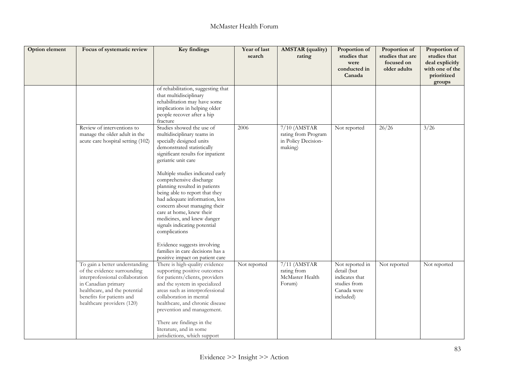| Option element | Focus of systematic review                                                                                                                                                                                          | Key findings                                                                                                                                                                                                                                                                                                                                                                                                                                                                                                                                                    | Year of last<br>search | <b>AMSTAR</b> (quality)<br>rating                                       | Proportion of<br>studies that<br>were<br>conducted in<br>Canada                              | Proportion of<br>studies that are<br>focused on<br>older adults | Proportion of<br>studies that<br>deal explicitly<br>with one of the<br>prioritized<br>groups |
|----------------|---------------------------------------------------------------------------------------------------------------------------------------------------------------------------------------------------------------------|-----------------------------------------------------------------------------------------------------------------------------------------------------------------------------------------------------------------------------------------------------------------------------------------------------------------------------------------------------------------------------------------------------------------------------------------------------------------------------------------------------------------------------------------------------------------|------------------------|-------------------------------------------------------------------------|----------------------------------------------------------------------------------------------|-----------------------------------------------------------------|----------------------------------------------------------------------------------------------|
|                |                                                                                                                                                                                                                     | of rehabilitation, suggesting that<br>that multidisciplinary<br>rehabilitation may have some<br>implications in helping older<br>people recover after a hip<br>fracture                                                                                                                                                                                                                                                                                                                                                                                         |                        |                                                                         |                                                                                              |                                                                 |                                                                                              |
|                | Review of interventions to<br>manage the older adult in the<br>acute care hospital setting (102)                                                                                                                    | Studies showed the use of<br>multidisciplinary teams in<br>specially designed units<br>demonstrated statistically<br>significant results for inpatient<br>geriatric unit care<br>Multiple studies indicated early<br>comprehensive discharge<br>planning resulted in patients<br>being able to report that they<br>had adequate information, less<br>concern about managing their<br>care at home, knew their<br>medicines, and knew danger<br>signals indicating potential<br>complications<br>Evidence suggests involving<br>families in care decisions has a | 2006                   | $7/10$ (AMSTAR<br>rating from Program<br>in Policy Decision-<br>making) | Not reported                                                                                 | 26/26                                                           | 3/26                                                                                         |
|                | To gain a better understanding<br>of the evidence surrounding<br>interprofessional collaboration<br>in Canadian primary<br>healthcare, and the potential<br>benefits for patients and<br>healthcare providers (120) | positive impact on patient care<br>There is high-quality evidence<br>supporting positive outcomes<br>for patients/clients, providers<br>and the system in specialized<br>areas such as interprofessional<br>collaboration in mental<br>healthcare, and chronic disease<br>prevention and management.<br>There are findings in the<br>literature, and in some<br>jurisdictions, which support                                                                                                                                                                    | Not reported           | $7/11$ (AMSTAR<br>rating from<br>McMaster Health<br>Forum)              | Not reported in<br>detail (but<br>indicates that<br>studies from<br>Canada were<br>included) | Not reported                                                    | Not reported                                                                                 |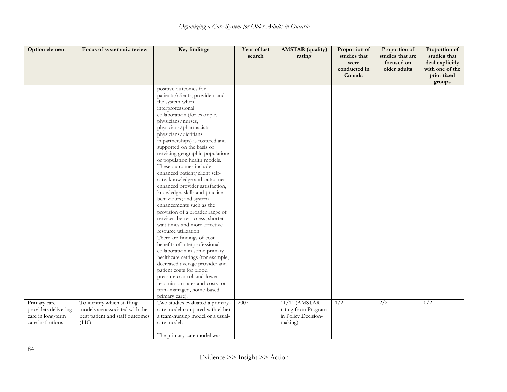| Option element                                                                 | Focus of systematic review                                                                               | Key findings                                                                                                                                                                                                                                                                                                                                                                                                                                                                                                                                                                                                                                                                                                                                                                                                                                                                                                                                                                                                             | Year of last<br>search | <b>AMSTAR</b> (quality)<br>rating                                      | Proportion of<br>studies that<br>were<br>conducted in | Proportion of<br>studies that are<br>focused on<br>older adults | Proportion of<br>studies that<br>deal explicitly<br>with one of the |
|--------------------------------------------------------------------------------|----------------------------------------------------------------------------------------------------------|--------------------------------------------------------------------------------------------------------------------------------------------------------------------------------------------------------------------------------------------------------------------------------------------------------------------------------------------------------------------------------------------------------------------------------------------------------------------------------------------------------------------------------------------------------------------------------------------------------------------------------------------------------------------------------------------------------------------------------------------------------------------------------------------------------------------------------------------------------------------------------------------------------------------------------------------------------------------------------------------------------------------------|------------------------|------------------------------------------------------------------------|-------------------------------------------------------|-----------------------------------------------------------------|---------------------------------------------------------------------|
|                                                                                |                                                                                                          |                                                                                                                                                                                                                                                                                                                                                                                                                                                                                                                                                                                                                                                                                                                                                                                                                                                                                                                                                                                                                          |                        |                                                                        | Canada                                                |                                                                 | prioritized<br>groups                                               |
|                                                                                |                                                                                                          | positive outcomes for<br>patients/clients, providers and<br>the system when<br>interprofessional<br>collaboration (for example,<br>physicians/nurses,<br>physicians/pharmacists,<br>physicians/dietitians<br>in partnerships) is fostered and<br>supported on the basis of<br>servicing geographic populations<br>or population health models.<br>These outcomes include<br>enhanced patient/client self-<br>care, knowledge and outcomes;<br>enhanced provider satisfaction,<br>knowledge, skills and practice<br>behaviours; and system<br>enhancements such as the<br>provision of a broader range of<br>services, better access, shorter<br>wait times and more effective<br>resource utilization.<br>There are findings of cost<br>benefits of interprofessional<br>collaboration in some primary<br>healthcare settings (for example,<br>decreased average provider and<br>patient costs for blood<br>pressure control, and lower<br>readmission rates and costs for<br>team-managed, home-based<br>primary care). |                        |                                                                        |                                                       |                                                                 |                                                                     |
| Primary care<br>providers delivering<br>care in long-term<br>care institutions | To identify which staffing<br>models are associated with the<br>best patient and staff outcomes<br>(110) | Two studies evaluated a primary-<br>care model compared with either<br>a team-nursing model or a usual-<br>care model.<br>The primary-care model was                                                                                                                                                                                                                                                                                                                                                                                                                                                                                                                                                                                                                                                                                                                                                                                                                                                                     | 2007                   | 11/11 (AMSTAR<br>rating from Program<br>in Policy Decision-<br>making) | $\overline{1/2}$                                      | $\overline{2/2}$                                                | 0/2                                                                 |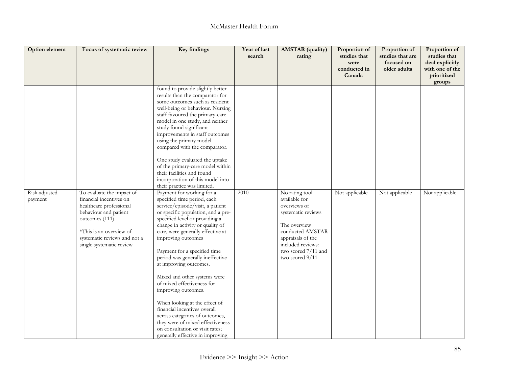| Option element           | Focus of systematic review                                                                                                                                                                                        | Key findings                                                                                                                                                                                                                                                                                                                                                                                                                                                                                                                                                                                                                                                         | Year of last<br>search | <b>AMSTAR</b> (quality)<br>rating                                                                                                                                                             | Proportion of<br>studies that<br>were<br>conducted in<br>Canada | Proportion of<br>studies that are<br>focused on<br>older adults | Proportion of<br>studies that<br>deal explicitly<br>with one of the<br>prioritized<br>groups |
|--------------------------|-------------------------------------------------------------------------------------------------------------------------------------------------------------------------------------------------------------------|----------------------------------------------------------------------------------------------------------------------------------------------------------------------------------------------------------------------------------------------------------------------------------------------------------------------------------------------------------------------------------------------------------------------------------------------------------------------------------------------------------------------------------------------------------------------------------------------------------------------------------------------------------------------|------------------------|-----------------------------------------------------------------------------------------------------------------------------------------------------------------------------------------------|-----------------------------------------------------------------|-----------------------------------------------------------------|----------------------------------------------------------------------------------------------|
|                          |                                                                                                                                                                                                                   | found to provide slightly better<br>results than the comparator for<br>some outcomes such as resident<br>well-being or behaviour. Nursing<br>staff favoured the primary-care<br>model in one study, and neither<br>study found significant<br>improvements in staff outcomes<br>using the primary model<br>compared with the comparator.<br>One study evaluated the uptake<br>of the primary-care model within<br>their facilities and found<br>incorporation of this model into<br>their practice was limited.                                                                                                                                                      |                        |                                                                                                                                                                                               |                                                                 |                                                                 |                                                                                              |
| Risk-adjusted<br>payment | To evaluate the impact of<br>financial incentives on<br>healthcare professional<br>behaviour and patient<br>outcomes (111)<br>*This is an overview of<br>systematic reviews and not a<br>single systematic review | Payment for working for a<br>specified time period, each<br>service/episode/visit, a patient<br>or specific population, and a pre-<br>specified level or providing a<br>change in activity or quality of<br>care, were generally effective at<br>improving outcomes<br>Payment for a specified time<br>period was generally ineffective<br>at improving outcomes.<br>Mixed and other systems were<br>of mixed effectiveness for<br>improving outcomes.<br>When looking at the effect of<br>financial incentives overall<br>across categories of outcomes,<br>they were of mixed effectiveness<br>on consultation or visit rates;<br>generally effective in improving | 2010                   | No rating tool<br>available for<br>overviews of<br>systematic reviews<br>The overview<br>conducted AMSTAR<br>appraisals of the<br>included reviews:<br>two scored 7/11 and<br>two scored 9/11 | Not applicable                                                  | Not applicable                                                  | Not applicable                                                                               |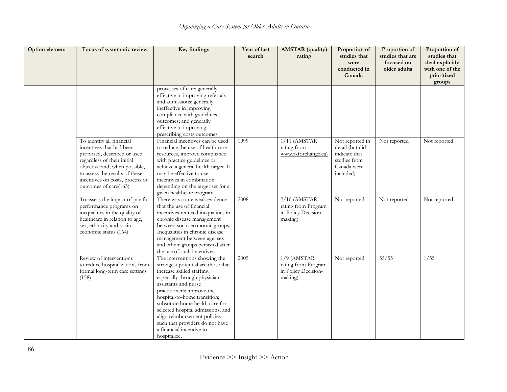| Option element | Focus of systematic review                                                                                                                                                                                                                         | Key findings                                                                                                                                                                                                                                                                                                                                                                                                   | Year of last<br>search | <b>AMSTAR</b> (quality)<br>rating                                       | Proportion of<br>studies that<br>were<br>conducted in<br>Canada                                 | Proportion of<br>studies that are<br>focused on<br>older adults | Proportion of<br>studies that<br>deal explicitly<br>with one of the<br>prioritized<br>groups |
|----------------|----------------------------------------------------------------------------------------------------------------------------------------------------------------------------------------------------------------------------------------------------|----------------------------------------------------------------------------------------------------------------------------------------------------------------------------------------------------------------------------------------------------------------------------------------------------------------------------------------------------------------------------------------------------------------|------------------------|-------------------------------------------------------------------------|-------------------------------------------------------------------------------------------------|-----------------------------------------------------------------|----------------------------------------------------------------------------------------------|
|                |                                                                                                                                                                                                                                                    | processes of care; generally<br>effective in improving referrals<br>and admissions; generally<br>ineffective in improving<br>compliance with guidelines<br>outcomes; and generally<br>effective in improving<br>prescribing costs outcomes.                                                                                                                                                                    |                        |                                                                         |                                                                                                 |                                                                 |                                                                                              |
|                | To identify all financial<br>incentives that had been<br>proposed, described or used<br>regardless of their initial<br>objective and, when possible,<br>to assess the results of these<br>incentives on costs, process or<br>outcomes of care(163) | Financial incentives can be used<br>to reduce the use of health care<br>resources, improve compliance<br>with practice guidelines or<br>achieve a general health target. It<br>may be effective to use<br>incentives in combination<br>depending on the target set for a<br>given healthcare program.                                                                                                          | 1999                   | $1/11$ (AMSTAR<br>rating from<br>www.rxforchange.ca)                    | Not reported in<br>detail (but did<br>indicate that<br>studies from<br>Canada were<br>included) | Not reported                                                    | Not reported                                                                                 |
|                | To assess the impact of pay for<br>performance programs on<br>inequalities in the quality of<br>healthcare in relation to age,<br>sex, ethnicity and socio-<br>economic status (164)                                                               | There was some weak evidence<br>that the use of financial<br>incentives reduced inequalities in<br>chronic disease management<br>between socio-economic groups.<br>Inequalities in chronic disease<br>management between age, sex<br>and ethnic groups persisted after<br>the use of such incentives.                                                                                                          | 2008                   | $2/10$ (AMSTAR<br>rating from Program<br>in Policy Decision-<br>making) | Not reported                                                                                    | Not reported                                                    | Not reported                                                                                 |
|                | Review of interventions<br>to reduce hospitalizations from<br>formal long-term care settings<br>(158)                                                                                                                                              | The interventions showing the<br>strongest potential are those that<br>increase skilled staffing,<br>especially through physician<br>assistants and nurse<br>practitioners; improve the<br>hospital-to-home transition;<br>substitute home health care for<br>selected hospital admissions; and<br>align reimbursement policies<br>such that providers do not have<br>a financial incentive to<br>hospitalize. | 2005                   | $1/9$ (AMSTAR<br>rating from Program<br>in Policy Decision-<br>making)  | Not reported                                                                                    | 55/55                                                           | 1/55                                                                                         |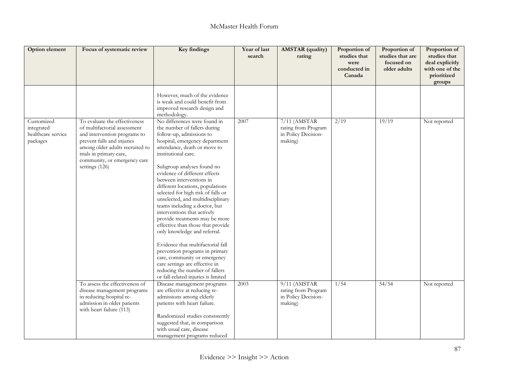| Option element                                             | Focus of systematic review                                                                                                                                                                                                                  | <b>Key findings</b>                                                                                                                                                                                                                                                                                                                                                                                                                                                                                                                                                                                                                                                                                                                                                                  | Year of last<br>search | <b>AMSTAR</b> (quality)<br>rating                                     | Proportion of<br>studies that<br>were<br>conducted in<br>Canada | Proportion of<br>studies that are<br>focused on<br>older adults | Proportion of<br>studies that<br>deal explicitly<br>with one of the<br>prioritized<br>groups |
|------------------------------------------------------------|---------------------------------------------------------------------------------------------------------------------------------------------------------------------------------------------------------------------------------------------|--------------------------------------------------------------------------------------------------------------------------------------------------------------------------------------------------------------------------------------------------------------------------------------------------------------------------------------------------------------------------------------------------------------------------------------------------------------------------------------------------------------------------------------------------------------------------------------------------------------------------------------------------------------------------------------------------------------------------------------------------------------------------------------|------------------------|-----------------------------------------------------------------------|-----------------------------------------------------------------|-----------------------------------------------------------------|----------------------------------------------------------------------------------------------|
|                                                            |                                                                                                                                                                                                                                             | However, much of the evidence<br>is weak and could benefit from<br>improved research design and<br>methodology.                                                                                                                                                                                                                                                                                                                                                                                                                                                                                                                                                                                                                                                                      |                        |                                                                       |                                                                 |                                                                 |                                                                                              |
| Customized<br>integrated<br>healthcare service<br>packages | To evaluate the effectiveness<br>of multifactorial assessment<br>and intervention programs to<br>prevent falls and injuries<br>among older adults recruited to<br>trials in primary care,<br>community, or emergency care<br>settings (126) | No differences were found in<br>the number of fallers during<br>follow-up, admissions to<br>hospital, emergency department<br>attendance, death or move to<br>institutional care.<br>Subgroup analyses found no<br>evidence of different effects<br>between interventions in<br>different locations, populations<br>selected for high risk of falls or<br>unselected, and multidisciplinary<br>teams including a doctor, but<br>interventions that actively<br>provide treatments may be more<br>effective than those that provide<br>only knowledge and referral.<br>Evidence that multifactorial fall<br>prevention programs in primary<br>care, community or emergency<br>care settings are effective in<br>reducing the number of fallers<br>or fall-related injuries is limited | 2007                   | 7/11 (AMSTAR<br>rating from Program<br>in Policy Decision-<br>making) | 2/19                                                            | 19/19                                                           | Not reported                                                                                 |
|                                                            | To assess the effectiveness of<br>disease management programs<br>in reducing hospital re-<br>admission in older patients<br>with heart failure (113)                                                                                        | Disease management programs<br>are effective at reducing re-<br>admissions among elderly<br>patients with heart failure.<br>Randomized studies consistently<br>suggested that, in comparison<br>with usual care, disease<br>management programs reduced                                                                                                                                                                                                                                                                                                                                                                                                                                                                                                                              | 2003                   | 9/11 (AMSTAR<br>rating from Program<br>in Policy Decision-<br>making) | 1/54                                                            | 54/54                                                           | Not reported                                                                                 |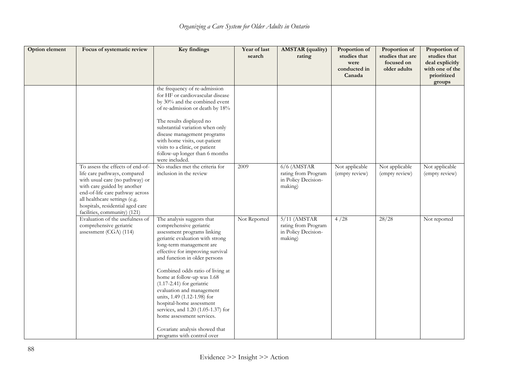| Option element | Focus of systematic review                                                                                                                                                                                                                                                 | Key findings                                                                                                                                                                                                                                                                                                                                                                                                                                                                                                                                          | Year of last<br>search | <b>AMSTAR</b> (quality)<br>rating                                       | Proportion of<br>studies that<br>were<br>conducted in<br>Canada | Proportion of<br>studies that are<br>focused on<br>older adults | Proportion of<br>studies that<br>deal explicitly<br>with one of the<br>prioritized<br>groups |
|----------------|----------------------------------------------------------------------------------------------------------------------------------------------------------------------------------------------------------------------------------------------------------------------------|-------------------------------------------------------------------------------------------------------------------------------------------------------------------------------------------------------------------------------------------------------------------------------------------------------------------------------------------------------------------------------------------------------------------------------------------------------------------------------------------------------------------------------------------------------|------------------------|-------------------------------------------------------------------------|-----------------------------------------------------------------|-----------------------------------------------------------------|----------------------------------------------------------------------------------------------|
|                |                                                                                                                                                                                                                                                                            | the frequency of re-admission<br>for HF or cardiovascular disease<br>by 30% and the combined event<br>of re-admission or death by 18%<br>The results displayed no<br>substantial variation when only<br>disease management programs<br>with home visits, out-patient<br>visits to a clinic, or patient<br>follow-up longer than 6 months<br>were included.                                                                                                                                                                                            |                        |                                                                         |                                                                 |                                                                 |                                                                                              |
|                | To assess the effects of end-of-<br>life care pathways, compared<br>with usual care (no pathway) or<br>with care guided by another<br>end-of-life care pathway across<br>all healthcare settings (e.g.<br>hospitals, residential aged care<br>facilities, community) (121) | No studies met the criteria for<br>inclusion in the review                                                                                                                                                                                                                                                                                                                                                                                                                                                                                            | 2009                   | $6/6$ (AMSTAR<br>rating from Program<br>in Policy Decision-<br>making)  | Not applicable<br>(empty review)                                | Not applicable<br>(empty review)                                | Not applicable<br>(empty review)                                                             |
|                | Evaluation of the usefulness of<br>comprehensive geriatric<br>assessment (CGA) (114)                                                                                                                                                                                       | The analysis suggests that<br>comprehensive geriatric<br>assessment programs linking<br>geriatric evaluation with strong<br>long-term management are<br>effective for improving survival<br>and function in older persons<br>Combined odds ratio of living at<br>home at follow-up was 1.68<br>$(1.17-2.41)$ for geriatric<br>evaluation and management<br>units, 1.49 (1.12-1.98) for<br>hospital-home assessment<br>services, and 1.20 (1.05-1.37) for<br>home assessment services.<br>Covariate analysis showed that<br>programs with control over | Not Reported           | $5/11$ (AMSTAR<br>rating from Program<br>in Policy Decision-<br>making) | 4/28                                                            | 28/28                                                           | Not reported                                                                                 |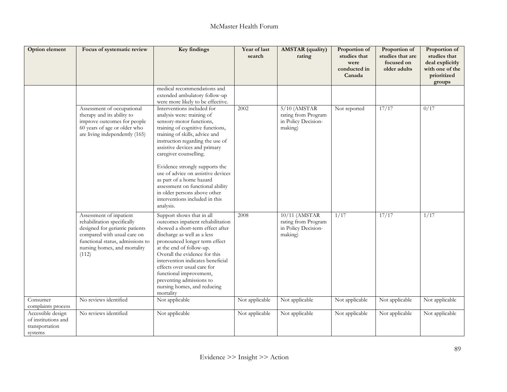| Option element                                                        | Focus of systematic review                                                                                                                                                                            | Key findings                                                                                                                                                                                                                                                                                                                                                                                                                                                                     | Year of last<br>search | <b>AMSTAR</b> (quality)<br>rating                                       | Proportion of<br>studies that<br>were<br>conducted in<br>Canada | Proportion of<br>studies that are<br>focused on<br>older adults | Proportion of<br>studies that<br>deal explicitly<br>with one of the<br>prioritized<br>groups |
|-----------------------------------------------------------------------|-------------------------------------------------------------------------------------------------------------------------------------------------------------------------------------------------------|----------------------------------------------------------------------------------------------------------------------------------------------------------------------------------------------------------------------------------------------------------------------------------------------------------------------------------------------------------------------------------------------------------------------------------------------------------------------------------|------------------------|-------------------------------------------------------------------------|-----------------------------------------------------------------|-----------------------------------------------------------------|----------------------------------------------------------------------------------------------|
|                                                                       |                                                                                                                                                                                                       | medical recommendations and<br>extended ambulatory follow-up<br>were more likely to be effective.                                                                                                                                                                                                                                                                                                                                                                                |                        |                                                                         |                                                                 |                                                                 |                                                                                              |
|                                                                       | Assessment of occupational<br>therapy and its ability to<br>improve outcomes for people<br>60 years of age or older who<br>are living independently (165)                                             | Interventions included for<br>analysis were: training of<br>sensory-motor functions,<br>training of cognitive functions,<br>training of skills, advice and<br>instruction regarding the use of<br>assistive devices and primary<br>caregiver counselling.<br>Evidence strongly supports the<br>use of advice on assistive devices<br>as part of a home hazard<br>assessment on functional ability<br>in older persons above other<br>interventions included in this<br>analysis. | 2002                   | $5/10$ (AMSTAR<br>rating from Program<br>in Policy Decision-<br>making) | Not reported                                                    | 17/17                                                           | 0/17                                                                                         |
|                                                                       | Assessment of inpatient<br>rehabilitation specifically<br>designed for geriatric patients<br>compared with usual care on<br>functional status, admissions to<br>nursing homes, and mortality<br>(112) | Support shows that in all<br>outcomes inpatient rehabilitation<br>showed a short-term effect after<br>discharge as well as a less<br>pronounced longer term effect<br>at the end of follow-up.<br>Overall the evidence for this<br>intervention indicates beneficial<br>effects over usual care for<br>functional improvement,<br>preventing admissions to<br>nursing homes, and reducing<br>mortality                                                                           | 2008                   | 10/11 (AMSTAR<br>rating from Program<br>in Policy Decision-<br>making)  | 1/17                                                            | 17/17                                                           | 1/17                                                                                         |
| Consumer<br>complaints process                                        | No reviews identified                                                                                                                                                                                 | Not applicable                                                                                                                                                                                                                                                                                                                                                                                                                                                                   | Not applicable         | Not applicable                                                          | Not applicable                                                  | Not applicable                                                  | Not applicable                                                                               |
| Accessible design<br>of institutions and<br>transportation<br>systems | No reviews identified                                                                                                                                                                                 | Not applicable                                                                                                                                                                                                                                                                                                                                                                                                                                                                   | Not applicable         | Not applicable                                                          | Not applicable                                                  | Not applicable                                                  | Not applicable                                                                               |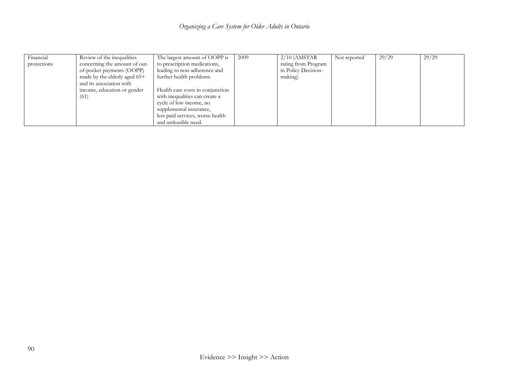| Financial   | Review of the inequalities     | The largest amount of OOPP is    | 2009 | $2/10$ (AMSTAR      | Not reported | 29/29 | 29/29 |
|-------------|--------------------------------|----------------------------------|------|---------------------|--------------|-------|-------|
| protections | concerning the amount of out-  | to prescription medications,     |      | rating from Program |              |       |       |
|             | of-pocket payments (OOPP)      | leading to non-adherence and     |      | in Policy Decision- |              |       |       |
|             | made by the elderly aged $65+$ | further health problems.         |      | making)             |              |       |       |
|             | and its association with       |                                  |      |                     |              |       |       |
|             | income, education or gender    | Health care costs in conjunction |      |                     |              |       |       |
|             | (61)                           | with inequalities can create a   |      |                     |              |       |       |
|             |                                | cycle of low income, no          |      |                     |              |       |       |
|             |                                | supplemental insurance,          |      |                     |              |       |       |
|             |                                | less paid services, worse health |      |                     |              |       |       |
|             |                                | and unfeasible need.             |      |                     |              |       |       |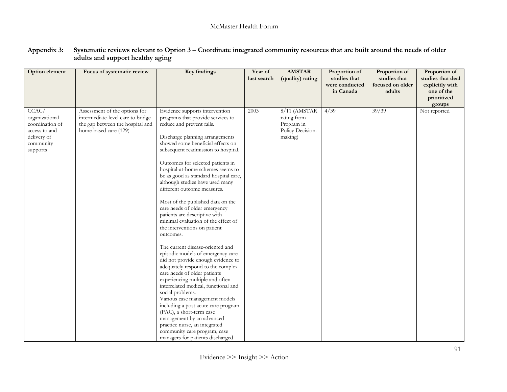| Option element                                                                                      | Focus of systematic review                                                                                                      | <b>Key findings</b>                                                                                                                                                                                                                                                                                                                                                                                                                                                                                                                                                                                                                                                                                                                                                                                                                                                                                                                                                                                                                                                                                                       | Year of<br>last search | <b>AMSTAR</b><br>(quality) rating                                          | Proportion of<br>studies that<br>were conducted | Proportion of<br>studies that<br>focused on older | Proportion of<br>studies that deal<br>explicitly with |
|-----------------------------------------------------------------------------------------------------|---------------------------------------------------------------------------------------------------------------------------------|---------------------------------------------------------------------------------------------------------------------------------------------------------------------------------------------------------------------------------------------------------------------------------------------------------------------------------------------------------------------------------------------------------------------------------------------------------------------------------------------------------------------------------------------------------------------------------------------------------------------------------------------------------------------------------------------------------------------------------------------------------------------------------------------------------------------------------------------------------------------------------------------------------------------------------------------------------------------------------------------------------------------------------------------------------------------------------------------------------------------------|------------------------|----------------------------------------------------------------------------|-------------------------------------------------|---------------------------------------------------|-------------------------------------------------------|
|                                                                                                     |                                                                                                                                 |                                                                                                                                                                                                                                                                                                                                                                                                                                                                                                                                                                                                                                                                                                                                                                                                                                                                                                                                                                                                                                                                                                                           |                        |                                                                            | in Canada                                       | adults                                            | one of the<br>prioritized<br>groups                   |
| CCAC/<br>organizational<br>coordination of<br>access to and<br>delivery of<br>community<br>supports | Assessment of the options for<br>intermediate-level care to bridge<br>the gap between the hospital and<br>home-based care (129) | Evidence supports intervention<br>programs that provide services to<br>reduce and prevent falls.<br>Discharge planning arrangements<br>showed some beneficial effects on<br>subsequent readmission to hospital.<br>Outcomes for selected patients in<br>hospital-at-home schemes seems to<br>be as good as standard hospital care,<br>although studies have used many<br>different outcome measures.<br>Most of the published data on the<br>care needs of older emergency<br>patients are descriptive with<br>minimal evaluation of the effect of<br>the interventions on patient<br>outcomes.<br>The current disease-oriented and<br>episodic models of emergency care<br>did not provide enough evidence to<br>adequately respond to the complex<br>care needs of older patients<br>experiencing multiple and often<br>interrelated medical, functional and<br>social problems.<br>Various case management models<br>including a post acute care program<br>(PAC), a short-term case<br>management by an advanced<br>practice nurse, an integrated<br>community care program, case<br>managers for patients discharged | 2003                   | $8/11$ (AMSTAR<br>rating from<br>Program in<br>Policy Decision-<br>making) | 4/39                                            | 39/39                                             | Not reported                                          |

#### **Appendix 3: Systematic reviews relevant to Option 3 – Coordinate integrated community resources that are built around the needs of older adults and support healthy aging**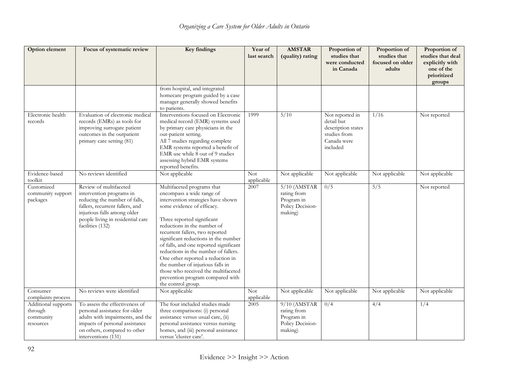| <b>Option element</b>                                    | Focus of systematic review                                                                                                                                                                                     | <b>Key findings</b>                                                                                                                                                                                                                                                                                                                                                                                                                                                                                                             | Year of<br>last search   | <b>AMSTAR</b><br>(quality) rating                                          | Proportion of<br>studies that<br>were conducted<br>in Canada                                   | Proportion of<br>studies that<br>focused on older<br>adults | Proportion of<br>studies that deal<br>explicitly with<br>one of the<br>prioritized<br>groups |
|----------------------------------------------------------|----------------------------------------------------------------------------------------------------------------------------------------------------------------------------------------------------------------|---------------------------------------------------------------------------------------------------------------------------------------------------------------------------------------------------------------------------------------------------------------------------------------------------------------------------------------------------------------------------------------------------------------------------------------------------------------------------------------------------------------------------------|--------------------------|----------------------------------------------------------------------------|------------------------------------------------------------------------------------------------|-------------------------------------------------------------|----------------------------------------------------------------------------------------------|
|                                                          |                                                                                                                                                                                                                | from hospital, and integrated<br>homecare program guided by a case<br>manager generally showed benefits<br>to patients.                                                                                                                                                                                                                                                                                                                                                                                                         |                          |                                                                            |                                                                                                |                                                             |                                                                                              |
| Electronic health<br>records                             | Evaluation of electronic medical<br>records (EMRs) as tools for<br>improving surrogate patient<br>outcomes in the outpatient<br>primary care setting (81)                                                      | Interventions focused on Electronic<br>medical record (EMR) systems used<br>by primary care physicians in the<br>out-patient setting.<br>All 7 studies regarding complete<br>EMR systems reported a benefit of<br>EMR use while 8 out of 9 studies<br>assessing hybrid EMR systems<br>reported benefits.                                                                                                                                                                                                                        | 1999                     | 5/10                                                                       | Not reported in<br>detail but<br>description states<br>studies from<br>Canada were<br>included | 1/16                                                        | Not reported                                                                                 |
| Evidence-based<br>toolkit                                | No reviews identified                                                                                                                                                                                          | Not applicable                                                                                                                                                                                                                                                                                                                                                                                                                                                                                                                  | <b>Not</b><br>applicable | Not applicable                                                             | Not applicable                                                                                 | Not applicable                                              | Not applicable                                                                               |
| Customized<br>community support<br>packages              | Review of multifaceted<br>intervention programs in<br>reducing the number of falls,<br>fallers, recurrent fallers, and<br>injurious falls among older<br>people living in residential care<br>facilities (132) | Multifaceted programs that<br>encompass a wide range of<br>intervention strategies have shown<br>some evidence of efficacy.<br>Three reported significant<br>reductions in the number of<br>recurrent fallers, two reported<br>significant reductions in the number<br>of falls, and one reported significant<br>reductions in the number of fallers.<br>One other reported a reduction in<br>the number of injurious falls in<br>those who received the multifaceted<br>prevention program compared with<br>the control group. | 2007                     | $5/10$ (AMSTAR<br>rating from<br>Program in<br>Policy Decision-<br>making) | 0/5                                                                                            | 5/5                                                         | Not reported                                                                                 |
| Consumer<br>complaints process                           | No reviews were identified                                                                                                                                                                                     | Not applicable                                                                                                                                                                                                                                                                                                                                                                                                                                                                                                                  | <b>Not</b><br>applicable | Not applicable                                                             | Not applicable                                                                                 | Not applicable                                              | Not applicable                                                                               |
| Additional supports<br>through<br>community<br>resources | To assess the effectiveness of<br>personal assistance for older<br>adults with impairments, and the<br>impacts of personal assistance<br>on others, compared to other<br>interventions (131)                   | The four included studies made<br>three comparisons: (i) personal<br>assistance versus usual care, (ii)<br>personal assistance versus nursing<br>homes, and (iii) personal assistance<br>versus 'cluster care'.                                                                                                                                                                                                                                                                                                                 | 2005                     | $9/10$ (AMSTAR<br>rating from<br>Program in<br>Policy Decision-<br>making) | 0/4                                                                                            | 4/4                                                         | 1/4                                                                                          |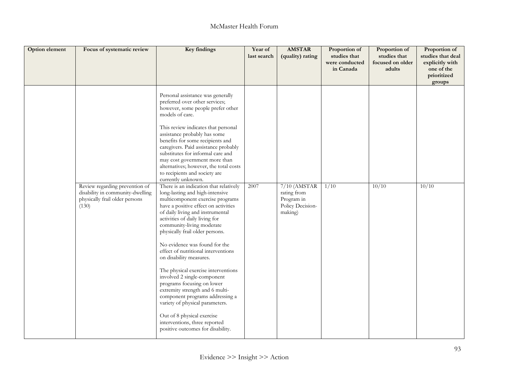| Option element | Focus of systematic review                                                                                    | <b>Key findings</b>                                                                                                                                                                                                                                                                                                                                                                                                                                                                                                                                                                                                                                                                                                                                                                                                                                                                                                                                                                                                                                                                                                                                                      | Year of<br>last search | <b>AMSTAR</b><br>(quality) rating                                          | Proportion of<br>studies that<br>were conducted<br>in Canada | Proportion of<br>studies that<br>focused on older<br>adults | Proportion of<br>studies that deal<br>explicitly with<br>one of the<br>prioritized<br>groups |
|----------------|---------------------------------------------------------------------------------------------------------------|--------------------------------------------------------------------------------------------------------------------------------------------------------------------------------------------------------------------------------------------------------------------------------------------------------------------------------------------------------------------------------------------------------------------------------------------------------------------------------------------------------------------------------------------------------------------------------------------------------------------------------------------------------------------------------------------------------------------------------------------------------------------------------------------------------------------------------------------------------------------------------------------------------------------------------------------------------------------------------------------------------------------------------------------------------------------------------------------------------------------------------------------------------------------------|------------------------|----------------------------------------------------------------------------|--------------------------------------------------------------|-------------------------------------------------------------|----------------------------------------------------------------------------------------------|
|                | Review regarding prevention of<br>disability in community-dwelling<br>physically frail older persons<br>(130) | Personal assistance was generally<br>preferred over other services;<br>however, some people prefer other<br>models of care.<br>This review indicates that personal<br>assistance probably has some<br>benefits for some recipients and<br>caregivers. Paid assistance probably<br>substitutes for informal care and<br>may cost government more than<br>alternatives; however, the total costs<br>to recipients and society are<br>currently unknown.<br>There is an indication that relatively<br>long-lasting and high-intensive<br>multicomponent exercise programs<br>have a positive effect on activities<br>of daily living and instrumental<br>activities of daily living for<br>community-living moderate<br>physically frail older persons.<br>No evidence was found for the<br>effect of nutritional interventions<br>on disability measures.<br>The physical exercise interventions<br>involved 2 single-component<br>programs focusing on lower<br>extremity strength and 6 multi-<br>component programs addressing a<br>variety of physical parameters.<br>Out of 8 physical exercise<br>interventions, three reported<br>positive outcomes for disability. | 2007                   | $7/10$ (AMSTAR<br>rating from<br>Program in<br>Policy Decision-<br>making) | 1/10                                                         | 10/10                                                       | 10/10                                                                                        |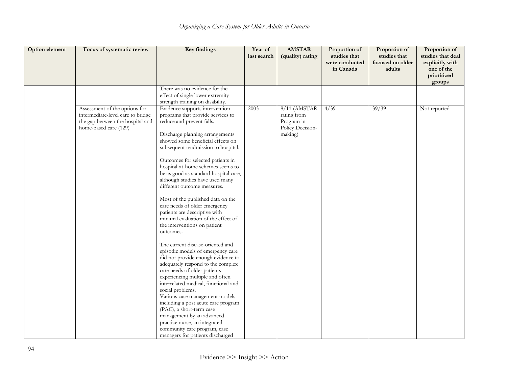| Option element | Focus of systematic review                                                                                                      | <b>Key findings</b>                                                                                                                                                                                                                                                                                                                                                                                                                                                                                                                                                                                                                                                                                                                                                                                                                                                                                                                                                                                                                                                                                                       | Year of<br>last search | <b>AMSTAR</b><br>(quality) rating                                        | Proportion of<br>studies that<br>were conducted<br>in Canada | Proportion of<br>studies that<br>focused on older<br>adults | Proportion of<br>studies that deal<br>explicitly with<br>one of the<br>prioritized<br>groups |
|----------------|---------------------------------------------------------------------------------------------------------------------------------|---------------------------------------------------------------------------------------------------------------------------------------------------------------------------------------------------------------------------------------------------------------------------------------------------------------------------------------------------------------------------------------------------------------------------------------------------------------------------------------------------------------------------------------------------------------------------------------------------------------------------------------------------------------------------------------------------------------------------------------------------------------------------------------------------------------------------------------------------------------------------------------------------------------------------------------------------------------------------------------------------------------------------------------------------------------------------------------------------------------------------|------------------------|--------------------------------------------------------------------------|--------------------------------------------------------------|-------------------------------------------------------------|----------------------------------------------------------------------------------------------|
|                |                                                                                                                                 | There was no evidence for the<br>effect of single lower extremity<br>strength training on disability.                                                                                                                                                                                                                                                                                                                                                                                                                                                                                                                                                                                                                                                                                                                                                                                                                                                                                                                                                                                                                     |                        |                                                                          |                                                              |                                                             |                                                                                              |
|                | Assessment of the options for<br>intermediate-level care to bridge<br>the gap between the hospital and<br>home-based care (129) | Evidence supports intervention<br>programs that provide services to<br>reduce and prevent falls.<br>Discharge planning arrangements<br>showed some beneficial effects on<br>subsequent readmission to hospital.<br>Outcomes for selected patients in<br>hospital-at-home schemes seems to<br>be as good as standard hospital care,<br>although studies have used many<br>different outcome measures.<br>Most of the published data on the<br>care needs of older emergency<br>patients are descriptive with<br>minimal evaluation of the effect of<br>the interventions on patient<br>outcomes.<br>The current disease-oriented and<br>episodic models of emergency care<br>did not provide enough evidence to<br>adequately respond to the complex<br>care needs of older patients<br>experiencing multiple and often<br>interrelated medical, functional and<br>social problems.<br>Various case management models<br>including a post acute care program<br>(PAC), a short-term case<br>management by an advanced<br>practice nurse, an integrated<br>community care program, case<br>managers for patients discharged | 2003                   | 8/11 (AMSTAR<br>rating from<br>Program in<br>Policy Decision-<br>making) | 4/39                                                         | 39/39                                                       | Not reported                                                                                 |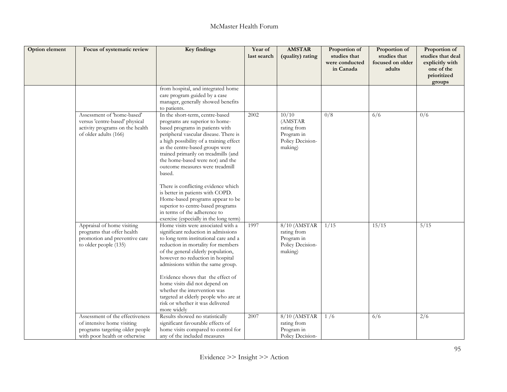| <b>Option element</b> | Focus of systematic review                                                                                                        | <b>Key findings</b>                                                                                                                                                                                                                                                                                                                                                                                                                                                                                                                                                                | Year of<br>last search | <b>AMSTAR</b><br>(quality) rating                                            | Proportion of<br>studies that<br>were conducted<br>in Canada | Proportion of<br>studies that<br>focused on older<br>adults | Proportion of<br>studies that deal<br>explicitly with<br>one of the<br>prioritized<br>groups |
|-----------------------|-----------------------------------------------------------------------------------------------------------------------------------|------------------------------------------------------------------------------------------------------------------------------------------------------------------------------------------------------------------------------------------------------------------------------------------------------------------------------------------------------------------------------------------------------------------------------------------------------------------------------------------------------------------------------------------------------------------------------------|------------------------|------------------------------------------------------------------------------|--------------------------------------------------------------|-------------------------------------------------------------|----------------------------------------------------------------------------------------------|
|                       |                                                                                                                                   | from hospital, and integrated home<br>care program guided by a case<br>manager, generally showed benefits<br>to patients.                                                                                                                                                                                                                                                                                                                                                                                                                                                          |                        |                                                                              |                                                              |                                                             |                                                                                              |
|                       | Assessment of 'home-based'<br>versus 'centre-based' physical<br>activity programs on the health<br>of older adults (166)          | In the short-term, centre-based<br>programs are superior to home-<br>based programs in patients with<br>peripheral vascular disease. There is<br>a high possibility of a training effect<br>as the centre-based groups were<br>trained primarily on treadmills (and<br>the home-based were not) and the<br>outcome measures were treadmill<br>based.<br>There is conflicting evidence which<br>is better in patients with COPD.<br>Home-based programs appear to be<br>superior to centre-based programs<br>in terms of the adherence to<br>exercise (especially in the long term) | 2002                   | 10/10<br>(AMSTAR<br>rating from<br>Program in<br>Policy Decision-<br>making) | $\overline{0/8}$                                             | 6/6                                                         | 0/6                                                                                          |
|                       | Appraisal of home visiting<br>programs that offer health<br>promotion and preventive care<br>to older people (135)                | Home visits were associated with a<br>significant reduction in admissions<br>to long term institutional care and a<br>reduction in mortality for members<br>of the general elderly population,<br>however no reduction in hospital<br>admissions within the same group.<br>Evidence shows that the effect of<br>home visits did not depend on<br>whether the intervention was<br>targeted at elderly people who are at<br>risk or whether it was delivered<br>more widely                                                                                                          | 1997                   | 8/10 (AMSTAR<br>rating from<br>Program in<br>Policy Decision-<br>making)     | 1/15                                                         | 15/15                                                       | 5/15                                                                                         |
|                       | Assessment of the effectiveness<br>of intensive home visiting<br>programs targeting older people<br>with poor health or otherwise | Results showed no statistically<br>significant favourable effects of<br>home visits compared to control for<br>any of the included measures                                                                                                                                                                                                                                                                                                                                                                                                                                        | 2007                   | 8/10 (AMSTAR<br>rating from<br>Program in<br>Policy Decision-                | 1/6                                                          | 6/6                                                         | $\overline{2/6}$                                                                             |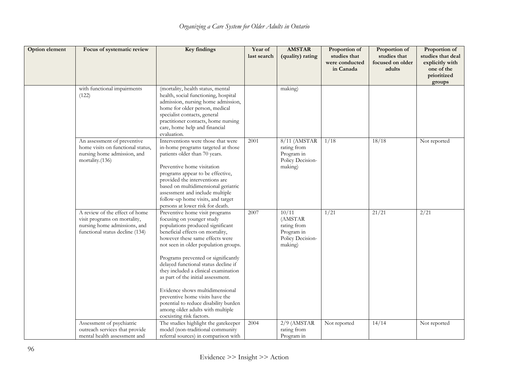| Option element | Focus of systematic review                                                                                                        | <b>Key findings</b>                                                                                                                                                                                                                                                                                                                                                                                                                                                                                                                                        | Year of<br>last search | <b>AMSTAR</b><br>(quality) rating                                            | Proportion of<br>studies that<br>were conducted<br>in Canada | Proportion of<br>studies that<br>focused on older<br>adults | Proportion of<br>studies that deal<br>explicitly with<br>one of the<br>prioritized<br>groups |
|----------------|-----------------------------------------------------------------------------------------------------------------------------------|------------------------------------------------------------------------------------------------------------------------------------------------------------------------------------------------------------------------------------------------------------------------------------------------------------------------------------------------------------------------------------------------------------------------------------------------------------------------------------------------------------------------------------------------------------|------------------------|------------------------------------------------------------------------------|--------------------------------------------------------------|-------------------------------------------------------------|----------------------------------------------------------------------------------------------|
|                | with functional impairments<br>(122)                                                                                              | (mortality, health status, mental<br>health, social functioning, hospital<br>admission, nursing home admission,<br>home for older person, medical<br>specialist contacts, general<br>practitioner contacts, home nursing<br>care, home help and financial<br>evaluation.                                                                                                                                                                                                                                                                                   |                        | making)                                                                      |                                                              |                                                             |                                                                                              |
|                | An assessment of preventive<br>home visits on functional status,<br>nursing home admission, and<br>mortality.(136)                | Interventions were those that were<br>in-home programs targeted at those<br>patients older than 70 years.<br>Preventive home visitation<br>programs appear to be effective,<br>provided the interventions are<br>based on multidimensional geriatric<br>assessment and include multiple<br>follow-up home visits, and target<br>persons at lower risk for death.                                                                                                                                                                                           | 2001                   | $8/11$ (AMSTAR<br>rating from<br>Program in<br>Policy Decision-<br>making)   | 1/18                                                         | 18/18                                                       | Not reported                                                                                 |
|                | A review of the effect of home<br>visit programs on mortality,<br>nursing home admissions, and<br>functional status decline (134) | Preventive home visit programs<br>focusing on younger study<br>populations produced significant<br>beneficial effects on mortality,<br>however these same effects were<br>not seen in older population groups.<br>Programs prevented or significantly<br>delayed functional status decline if<br>they included a clinical examination<br>as part of the initial assessment.<br>Evidence shows multidimensional<br>preventive home visits have the<br>potential to reduce disability burden<br>among older adults with multiple<br>coexisting risk factors. | 2007                   | 10/11<br>(AMSTAR<br>rating from<br>Program in<br>Policy Decision-<br>making) | 1/21                                                         | 21/21                                                       | 2/21                                                                                         |
|                | Assessment of psychiatric<br>outreach services that provide<br>mental health assessment and                                       | The studies highlight the gatekeeper<br>model (non-traditional community<br>referral sources) in comparison with                                                                                                                                                                                                                                                                                                                                                                                                                                           | 2004                   | $2/9$ (AMSTAR<br>rating from<br>Program in                                   | Not reported                                                 | 14/14                                                       | Not reported                                                                                 |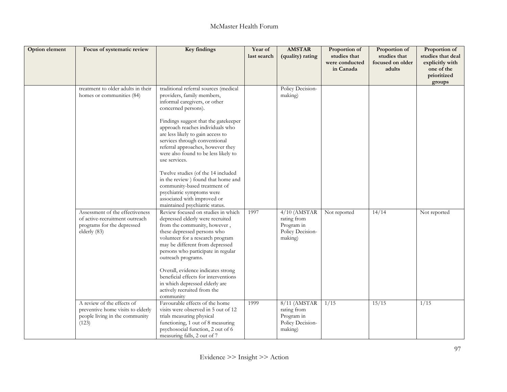| <b>Option element</b> | Focus of systematic review                                                                                      | Key findings                                                                                                                                                                                                                                                                                                                                                                                                                                                                                                                                                                          | Year of<br>last search | <b>AMSTAR</b><br>(quality) rating                                          | Proportion of<br>studies that<br>were conducted<br>in Canada | Proportion of<br>studies that<br>focused on older<br>adults | Proportion of<br>studies that deal<br>explicitly with<br>one of the<br>prioritized<br>groups |
|-----------------------|-----------------------------------------------------------------------------------------------------------------|---------------------------------------------------------------------------------------------------------------------------------------------------------------------------------------------------------------------------------------------------------------------------------------------------------------------------------------------------------------------------------------------------------------------------------------------------------------------------------------------------------------------------------------------------------------------------------------|------------------------|----------------------------------------------------------------------------|--------------------------------------------------------------|-------------------------------------------------------------|----------------------------------------------------------------------------------------------|
|                       | treatment to older adults in their<br>homes or communities (84)                                                 | traditional referral sources (medical<br>providers, family members,<br>informal caregivers, or other<br>concerned persons).<br>Findings suggest that the gatekeeper<br>approach reaches individuals who<br>are less likely to gain access to<br>services through conventional<br>referral approaches, however they<br>were also found to be less likely to<br>use services.<br>Twelve studies (of the 14 included<br>in the review) found that home and<br>community-based treatment of<br>psychiatric symptoms were<br>associated with improved or<br>maintained psychiatric status. |                        | Policy Decision-<br>making)                                                |                                                              |                                                             |                                                                                              |
|                       | Assessment of the effectiveness<br>of active-recruitment outreach<br>programs for the depressed<br>elderly (83) | Review focused on studies in which<br>depressed elderly were recruited<br>from the community, however,<br>these depressed persons who<br>volunteer for a research program<br>may be different from depressed<br>persons who participate in regular<br>outreach programs.<br>Overall, evidence indicates strong<br>beneficial effects for interventions<br>in which depressed elderly are<br>actively recruited from the<br>community                                                                                                                                                  | 1997                   | $4/10$ (AMSTAR<br>rating from<br>Program in<br>Policy Decision-<br>making) | Not reported                                                 | 14/14                                                       | Not reported                                                                                 |
|                       | A review of the effects of<br>preventive home visits to elderly<br>people living in the community<br>(123)      | Favourable effects of the home<br>visits were observed in 5 out of 12<br>trials measuring physical<br>functioning, 1 out of 8 measuring<br>psychosocial function, 2 out of 6<br>measuring falls, 2 out of 7                                                                                                                                                                                                                                                                                                                                                                           | 1999                   | $8/11$ (AMSTAR<br>rating from<br>Program in<br>Policy Decision-<br>making) | 1/15                                                         | 15/15                                                       | 1/15                                                                                         |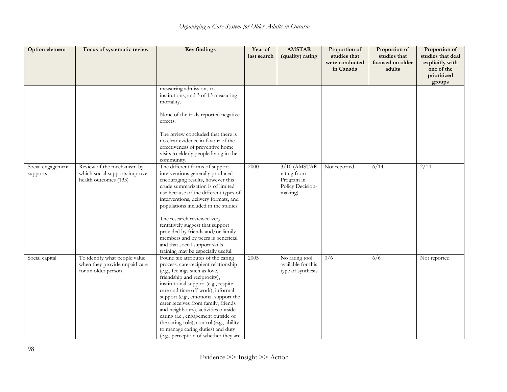| Option element                | Focus of systematic review                                                            | <b>Key findings</b>                                                                                                                                                                                                                                                                                                                                                                                                                                                                                             | Year of<br>last search | <b>AMSTAR</b><br>(quality) rating                                          | Proportion of<br>studies that<br>were conducted<br>in Canada | Proportion of<br>studies that<br>focused on older<br>adults | Proportion of<br>studies that deal<br>explicitly with<br>one of the<br>prioritized<br>groups |
|-------------------------------|---------------------------------------------------------------------------------------|-----------------------------------------------------------------------------------------------------------------------------------------------------------------------------------------------------------------------------------------------------------------------------------------------------------------------------------------------------------------------------------------------------------------------------------------------------------------------------------------------------------------|------------------------|----------------------------------------------------------------------------|--------------------------------------------------------------|-------------------------------------------------------------|----------------------------------------------------------------------------------------------|
|                               |                                                                                       | measuring admissions to<br>institutions, and 3 of 13 measuring<br>mortality.<br>None of the trials reported negative<br>effects.<br>The review concluded that there is<br>no clear evidence in favour of the<br>effectiveness of preventive home<br>visits to elderly people living in the<br>community.                                                                                                                                                                                                        |                        |                                                                            |                                                              |                                                             |                                                                                              |
| Social engagement<br>supports | Review of the mechanism by<br>which social supports improve<br>health outcomes (133)  | The different forms of support<br>interventions generally produced<br>encouraging results, however this<br>crude summarization is of limited<br>use because of the different types of<br>interventions, delivery formats, and<br>populations included in the studies.<br>The research reviewed very<br>tentatively suggest that support<br>provided by friends and/or family<br>members and by peers is beneficial<br>and that social support skills<br>training may be especially useful.                      | 2000                   | $3/10$ (AMSTAR<br>rating from<br>Program in<br>Policy Decision-<br>making) | Not reported                                                 | 6/14                                                        | 2/14                                                                                         |
| Social capital                | To identify what people value<br>when they provide unpaid care<br>for an older person | Found six attributes of the caring<br>process: care-recipient relationship<br>(e.g., feelings such as love,<br>friendship and reciprocity),<br>institutional support (e.g., respite<br>care and time off work), informal<br>support (e.g., emotional support the<br>carer receives from family, friends<br>and neighbours), activities outside<br>caring (i.e., engagement outside of<br>the caring role), control (e.g., ability<br>to manage caring duties) and duty<br>(e.g., perception of whether they are | 2005                   | No rating tool<br>available for this<br>type of synthesis                  | 0/6                                                          | 6/6                                                         | Not reported                                                                                 |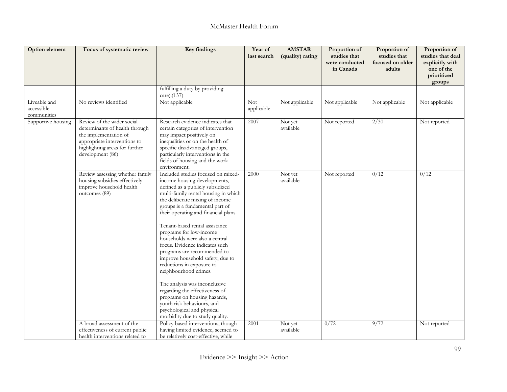| Option element                            | Focus of systematic review                                                                                                                                                  | <b>Key findings</b>                                                                                                                                                                                                                                                                                                                                                                                                                                                                                                                                                                                                                                                                                                      | Year of<br>last search   | <b>AMSTAR</b><br>(quality) rating | Proportion of<br>studies that<br>were conducted<br>in Canada | Proportion of<br>studies that<br>focused on older<br>adults | Proportion of<br>studies that deal<br>explicitly with<br>one of the<br>prioritized<br>groups |
|-------------------------------------------|-----------------------------------------------------------------------------------------------------------------------------------------------------------------------------|--------------------------------------------------------------------------------------------------------------------------------------------------------------------------------------------------------------------------------------------------------------------------------------------------------------------------------------------------------------------------------------------------------------------------------------------------------------------------------------------------------------------------------------------------------------------------------------------------------------------------------------------------------------------------------------------------------------------------|--------------------------|-----------------------------------|--------------------------------------------------------------|-------------------------------------------------------------|----------------------------------------------------------------------------------------------|
|                                           |                                                                                                                                                                             | fulfilling a duty by providing<br>care).(137)                                                                                                                                                                                                                                                                                                                                                                                                                                                                                                                                                                                                                                                                            |                          |                                   |                                                              |                                                             |                                                                                              |
| Liveable and<br>accessible<br>communities | No reviews identified                                                                                                                                                       | Not applicable                                                                                                                                                                                                                                                                                                                                                                                                                                                                                                                                                                                                                                                                                                           | <b>Not</b><br>applicable | Not applicable                    | Not applicable                                               | Not applicable                                              | Not applicable                                                                               |
| Supportive housing                        | Review of the wider social<br>determinants of health through<br>the implementation of<br>appropriate interventions to<br>highlighting areas for further<br>development (86) | Research evidence indicates that<br>certain categories of intervention<br>may impact positively on<br>inequalities or on the health of<br>specific disadvantaged groups,<br>particularly interventions in the<br>fields of housing and the work<br>environment.                                                                                                                                                                                                                                                                                                                                                                                                                                                          | 2007                     | Not yet<br>available              | Not reported                                                 | 2/30                                                        | Not reported                                                                                 |
|                                           | Review assessing whether family<br>housing subsidies effectively<br>improve household health<br>outcomes (89)                                                               | Included studies focused on mixed-<br>income housing developments,<br>defined as a publicly subsidized<br>multi-family rental housing in which<br>the deliberate mixing of income<br>groups is a fundamental part of<br>their operating and financial plans.<br>Tenant-based rental assistance<br>programs for low-income<br>households were also a central<br>focus. Evidence indicates such<br>programs are recommended to<br>improve household safety, due to<br>reductions in exposure to<br>neighbourhood crimes.<br>The analysis was inconclusive<br>regarding the effectiveness of<br>programs on housing hazards,<br>youth risk behaviours, and<br>psychological and physical<br>morbidity due to study quality. | 2000                     | Not yet<br>available              | Not reported                                                 | 0/12                                                        | 0/12                                                                                         |
|                                           | A broad assessment of the<br>effectiveness of current public<br>health interventions related to                                                                             | Policy based interventions, though<br>having limited evidence, seemed to<br>be relatively cost-effective, while                                                                                                                                                                                                                                                                                                                                                                                                                                                                                                                                                                                                          | 2001                     | Not yet<br>available              | 0/72                                                         | 9/72                                                        | Not reported                                                                                 |